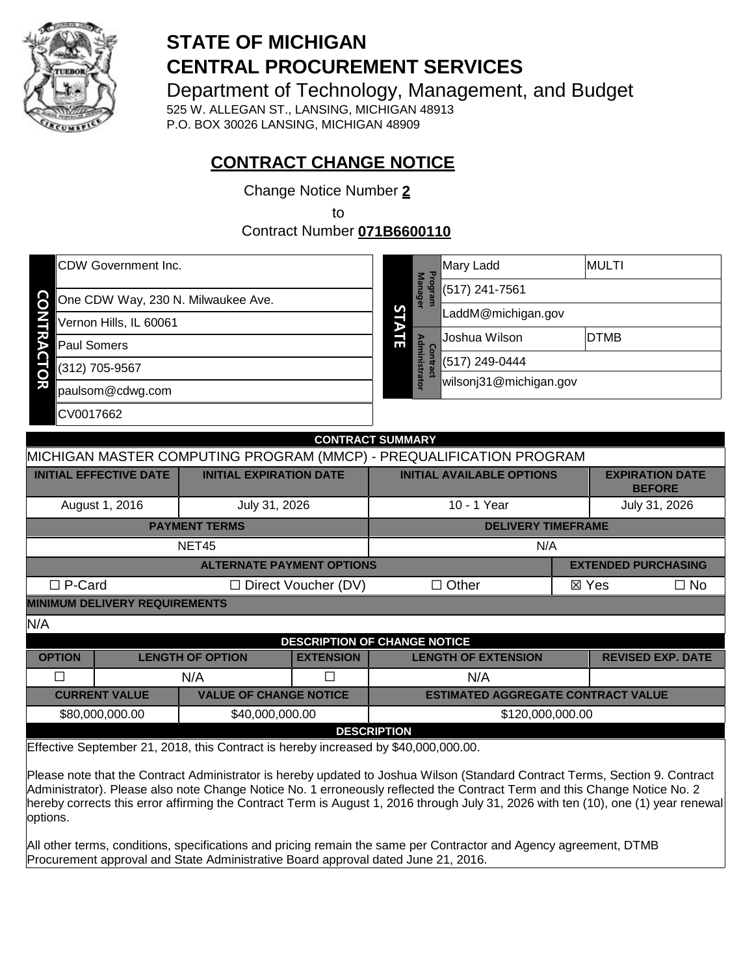

# **STATE OF MICHIGAN CENTRAL PROCUREMENT SERVICES**

Department of Technology, Management, and Budget

525 W. ALLEGAN ST., LANSING, MICHIGAN 48913 P.O. BOX 30026 LANSING, MICHIGAN 48909

# **CONTRACT CHANGE NOTICE**

Change Notice Number **2**

to

Contract Number **071B6600110**

| <b>CDW Government Inc.</b>                     |         | 고                      | Mary Ladd                        | IMULTI             |  |  |
|------------------------------------------------|---------|------------------------|----------------------------------|--------------------|--|--|
| <u>င</u><br>One CDW Way, 230 N. Milwaukee Ave. | eafo    |                        | <b>Manager</b><br>(517) 241-7561 |                    |  |  |
|                                                | S       |                        |                                  | LaddM@michigan.gov |  |  |
| Vernon Hills, IL 60061                         |         |                        |                                  |                    |  |  |
| <b>Paul Somers</b>                             | ਢ⊾<br>E | в                      | Joshua Wilson                    | <b>DTMB</b>        |  |  |
| (312) 705-9567                                 |         | ntra<br>(517) 249-0444 |                                  |                    |  |  |
| Ö                                              | istrato |                        | wilsonj31@michigan.gov           |                    |  |  |
| paulsom@cdwg.com                               |         |                        |                                  |                    |  |  |
| CV0017662                                      |         |                        |                                  |                    |  |  |

|                                                                                                    | <b>CONTRACT SUMMARY</b>                                             |                            |                                  |  |                                         |           |
|----------------------------------------------------------------------------------------------------|---------------------------------------------------------------------|----------------------------|----------------------------------|--|-----------------------------------------|-----------|
|                                                                                                    | MICHIGAN MASTER COMPUTING PROGRAM (MMCP) - PREQUALIFICATION PROGRAM |                            |                                  |  |                                         |           |
| <b>INITIAL EFFECTIVE DATE</b>                                                                      | <b>INITIAL EXPIRATION DATE</b>                                      |                            | <b>INITIAL AVAILABLE OPTIONS</b> |  | <b>EXPIRATION DATE</b><br><b>BEFORE</b> |           |
| August 1, 2016                                                                                     | July 31, 2026                                                       |                            | 10 - 1 Year                      |  | July 31, 2026                           |           |
|                                                                                                    | <b>PAYMENT TERMS</b>                                                |                            | <b>DELIVERY TIMEFRAME</b>        |  |                                         |           |
|                                                                                                    | NET45                                                               |                            | N/A                              |  |                                         |           |
|                                                                                                    | <b>ALTERNATE PAYMENT OPTIONS</b>                                    |                            |                                  |  | <b>EXTENDED PURCHASING</b>              |           |
| $\Box$ P-Card                                                                                      |                                                                     | $\Box$ Direct Voucher (DV) | $\Box$ Other                     |  | $\boxtimes$ Yes                         | $\Box$ No |
| <b>MINIMUM DELIVERY REQUIREMENTS</b>                                                               |                                                                     |                            |                                  |  |                                         |           |
| N/A                                                                                                |                                                                     |                            |                                  |  |                                         |           |
|                                                                                                    | <b>DESCRIPTION OF CHANGE NOTICE</b>                                 |                            |                                  |  |                                         |           |
| <b>OPTION</b>                                                                                      | <b>LENGTH OF OPTION</b>                                             | <b>EXTENSION</b>           | <b>LENGTH OF EXTENSION</b>       |  | <b>REVISED EXP. DATE</b>                |           |
| П                                                                                                  | N/A                                                                 | П                          | N/A                              |  |                                         |           |
| <b>CURRENT VALUE</b><br><b>VALUE OF CHANGE NOTICE</b><br><b>ESTIMATED AGGREGATE CONTRACT VALUE</b> |                                                                     |                            |                                  |  |                                         |           |
| \$80,000,000.00                                                                                    | \$40,000,000.00                                                     |                            | \$120,000,000.00                 |  |                                         |           |
|                                                                                                    | <b>DESCRIPTION</b>                                                  |                            |                                  |  |                                         |           |

Effective September 21, 2018, this Contract is hereby increased by \$40,000,000.00.

Please note that the Contract Administrator is hereby updated to Joshua Wilson (Standard Contract Terms, Section 9. Contract Administrator). Please also note Change Notice No. 1 erroneously reflected the Contract Term and this Change Notice No. 2 hereby corrects this error affirming the Contract Term is August 1, 2016 through July 31, 2026 with ten (10), one (1) year renewal options.

All other terms, conditions, specifications and pricing remain the same per Contractor and Agency agreement, DTMB Procurement approval and State Administrative Board approval dated June 21, 2016.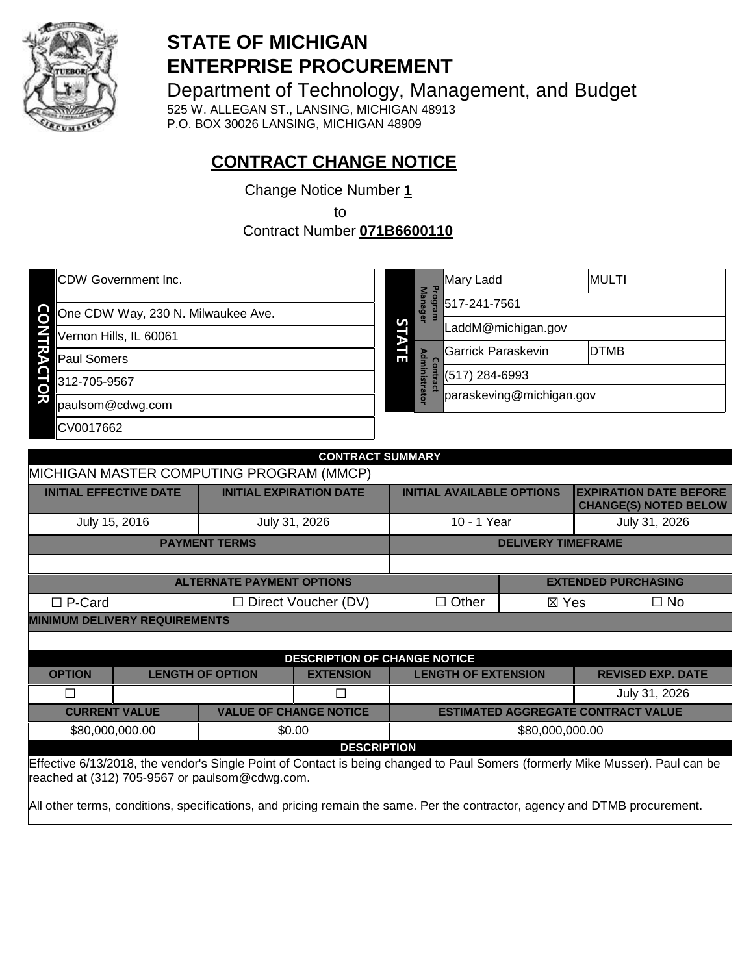

# **STATE OF MICHIGAN ENTERPRISE PROCUREMENT**

Department of Technology, Management, and Budget 525 W. ALLEGAN ST., LANSING, MICHIGAN 48913 P.O. BOX 30026 LANSING, MICHIGAN 48909

# **CONTRACT CHANGE NOTICE**

Change Notice Number **1**

to

Contract Number **071B6600110**

| <b>CDW Government Inc.</b>         | ᠊ᠣ                             | Mary Ladd          | MULTI                    |             |  |
|------------------------------------|--------------------------------|--------------------|--------------------------|-------------|--|
| One CDW Way, 230 N. Milwaukee Ave. | <b>Manager</b><br><b>Dalia</b> |                    | 517-241-7561             |             |  |
| Vernon Hills, IL 60061             | S                              | LaddM@michigan.gov |                          |             |  |
| <b>Paul Somers</b>                 | пi                             | Adm                | Garrick Paraskevin       | <b>DTMB</b> |  |
| 312-705-9567                       |                                | inistr             | (517) 284-6993           |             |  |
| O<br>刀<br>paulsom@cdwg.com         |                                | ator               | paraskeving@michigan.gov |             |  |
| CV0017662                          |                                |                    |                          |             |  |

|                                      | <b>CONTRACT SUMMARY</b> |                                          |                                     |                                  |                           |                                                               |
|--------------------------------------|-------------------------|------------------------------------------|-------------------------------------|----------------------------------|---------------------------|---------------------------------------------------------------|
|                                      |                         | MICHIGAN MASTER COMPUTING PROGRAM (MMCP) |                                     |                                  |                           |                                                               |
| <b>INITIAL EFFECTIVE DATE</b>        |                         | <b>INITIAL EXPIRATION DATE</b>           |                                     | <b>INITIAL AVAILABLE OPTIONS</b> |                           | <b>EXPIRATION DATE BEFORE</b><br><b>CHANGE(S) NOTED BELOW</b> |
| July 15, 2016                        |                         | July 31, 2026                            |                                     | 10 - 1 Year                      |                           | July 31, 2026                                                 |
|                                      |                         | <b>PAYMENT TERMS</b>                     |                                     |                                  | <b>DELIVERY TIMEFRAME</b> |                                                               |
|                                      |                         |                                          |                                     |                                  |                           |                                                               |
|                                      |                         | <b>ALTERNATE PAYMENT OPTIONS</b>         |                                     |                                  |                           | <b>EXTENDED PURCHASING</b>                                    |
| $\Box$ P-Card                        |                         |                                          | $\Box$ Direct Voucher (DV)          | $\Box$ Other                     | ⊠ Yes                     | $\Box$ No                                                     |
| <b>MINIMUM DELIVERY REQUIREMENTS</b> |                         |                                          |                                     |                                  |                           |                                                               |
|                                      |                         |                                          |                                     |                                  |                           |                                                               |
|                                      |                         |                                          | <b>DESCRIPTION OF CHANGE NOTICE</b> |                                  |                           |                                                               |
| <b>OPTION</b>                        |                         | <b>LENGTH OF OPTION</b>                  | <b>EXTENSION</b>                    | <b>LENGTH OF EXTENSION</b>       |                           | <b>REVISED EXP. DATE</b>                                      |
| П                                    |                         |                                          | П                                   |                                  |                           | July 31, 2026                                                 |
| <b>CURRENT VALUE</b>                 |                         | <b>VALUE OF CHANGE NOTICE</b>            |                                     |                                  |                           | <b>ESTIMATED AGGREGATE CONTRACT VALUE</b>                     |
| \$80,000,000.00                      |                         |                                          | \$0.00                              |                                  | \$80,000,000.00           |                                                               |

Effective 6/13/2018, the vendor's Single Point of Contact is being changed to Paul Somers (formerly Mike Musser). Paul can be reached at (312) 705-9567 or paulsom@cdwg.com. **DESCRIPTION** 

All other terms, conditions, specifications, and pricing remain the same. Per the contractor, agency and DTMB procurement.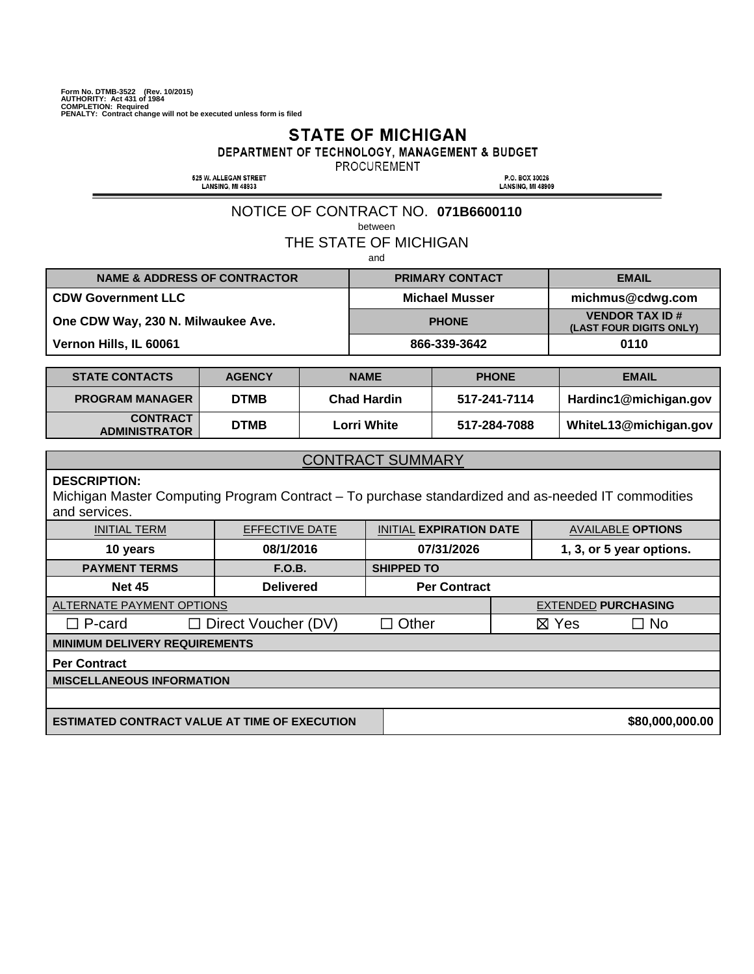# **STATE OF MICHIGAN**

DEPARTMENT OF TECHNOLOGY, MANAGEMENT & BUDGET

PROCUREMENT

525 W. ALLEGAN STREET<br>LANSING, MI 48933

P.O. BOX 30026<br>LANSING, MI 48909

# NOTICE OF CONTRACT NO. **071B6600110**

between

THE STATE OF MICHIGAN

and

| <b>NAME &amp; ADDRESS OF CONTRACTOR</b> | <b>PRIMARY CONTACT</b> | <b>EMAIL</b>                                     |
|-----------------------------------------|------------------------|--------------------------------------------------|
| <b>CDW Government LLC</b>               | <b>Michael Musser</b>  | michmus@cdwg.com                                 |
| One CDW Way, 230 N. Milwaukee Ave.      | <b>PHONE</b>           | <b>VENDOR TAX ID#</b><br>(LAST FOUR DIGITS ONLY) |
| Vernon Hills, IL 60061                  | 866-339-3642           | 0110                                             |

| <b>STATE CONTACTS</b>                   | <b>AGENCY</b> | <b>NAME</b>        | <b>PHONE</b> | <b>EMAIL</b>          |
|-----------------------------------------|---------------|--------------------|--------------|-----------------------|
| <b>PROGRAM MANAGER</b>                  | <b>DTMB</b>   | <b>Chad Hardin</b> | 517-241-7114 | Hardinc1@michigan.gov |
| <b>CONTRACT</b><br><b>ADMINISTRATOR</b> | <b>DTMB</b>   | <b>Lorri White</b> | 517-284-7088 | WhiteL13@michigan.gov |

#### **DESCRIPTION:**

Michigan Master Computing Program Contract – To purchase standardized and as-needed IT commodities and services.

| <b>INITIAL TERM</b>                                  | <b>EFFECTIVE DATE</b>      | <b>INITIAL EXPIRATION DATE</b> |  |                            | <b>AVAILABLE OPTIONS</b> |
|------------------------------------------------------|----------------------------|--------------------------------|--|----------------------------|--------------------------|
| 10 years                                             | 08/1/2016                  | 07/31/2026                     |  | 1, 3, or 5 year options.   |                          |
| <b>PAYMENT TERMS</b>                                 | F.O.B.                     | <b>SHIPPED TO</b>              |  |                            |                          |
| <b>Net 45</b>                                        | <b>Delivered</b>           | <b>Per Contract</b>            |  |                            |                          |
| ALTERNATE PAYMENT OPTIONS                            |                            |                                |  | <b>EXTENDED PURCHASING</b> |                          |
| $\square$ P-card                                     | $\Box$ Direct Voucher (DV) | $\Box$ Other                   |  | $\boxtimes$ Yes            | $\Box$ No                |
| <b>MINIMUM DELIVERY REQUIREMENTS</b>                 |                            |                                |  |                            |                          |
| <b>Per Contract</b>                                  |                            |                                |  |                            |                          |
| <b>MISCELLANEOUS INFORMATION</b>                     |                            |                                |  |                            |                          |
|                                                      |                            |                                |  |                            |                          |
| <b>ESTIMATED CONTRACT VALUE AT TIME OF EXECUTION</b> |                            |                                |  |                            | \$80,000,000.00          |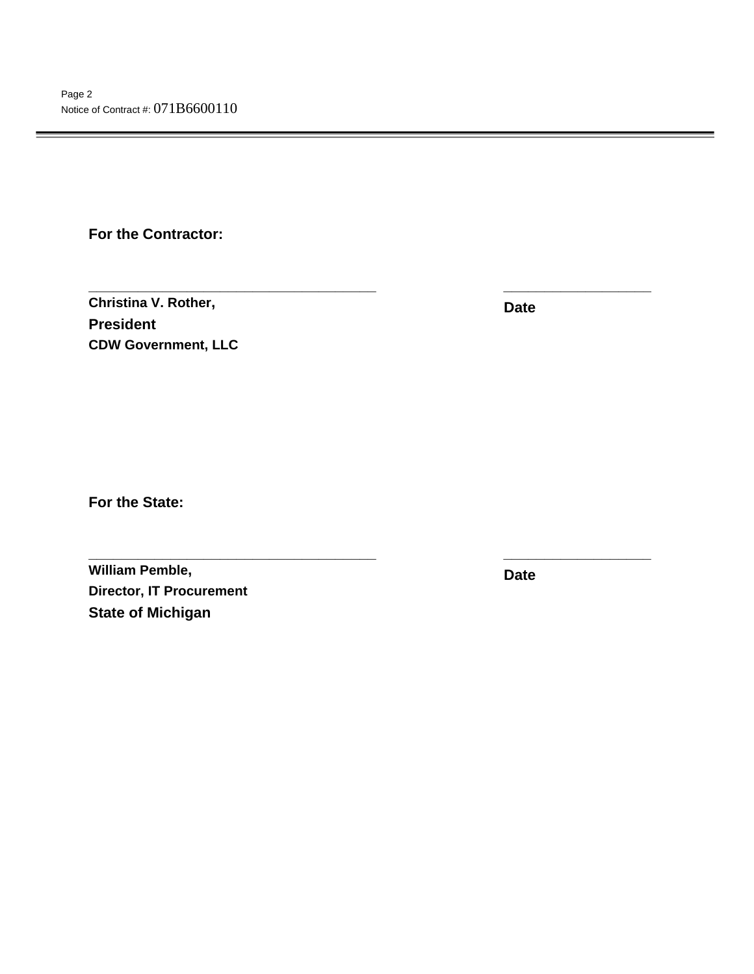**For the Contractor:** 

**Christina V. Rother, President CDW Government, LLC**

**Date** 

**\_\_\_\_\_\_\_\_\_\_\_\_\_\_\_\_\_\_\_\_\_\_\_\_\_\_\_\_\_\_\_\_\_\_\_ \_\_\_\_\_\_\_\_\_\_\_\_\_\_\_\_\_\_** 

**\_\_\_\_\_\_\_\_\_\_\_\_\_\_\_\_\_\_\_\_\_\_\_\_\_\_\_\_\_\_\_\_\_\_\_ \_\_\_\_\_\_\_\_\_\_\_\_\_\_\_\_\_\_** 

**For the State:** 

**William Pemble, Director, IT Procurement State of Michigan** 

**Date**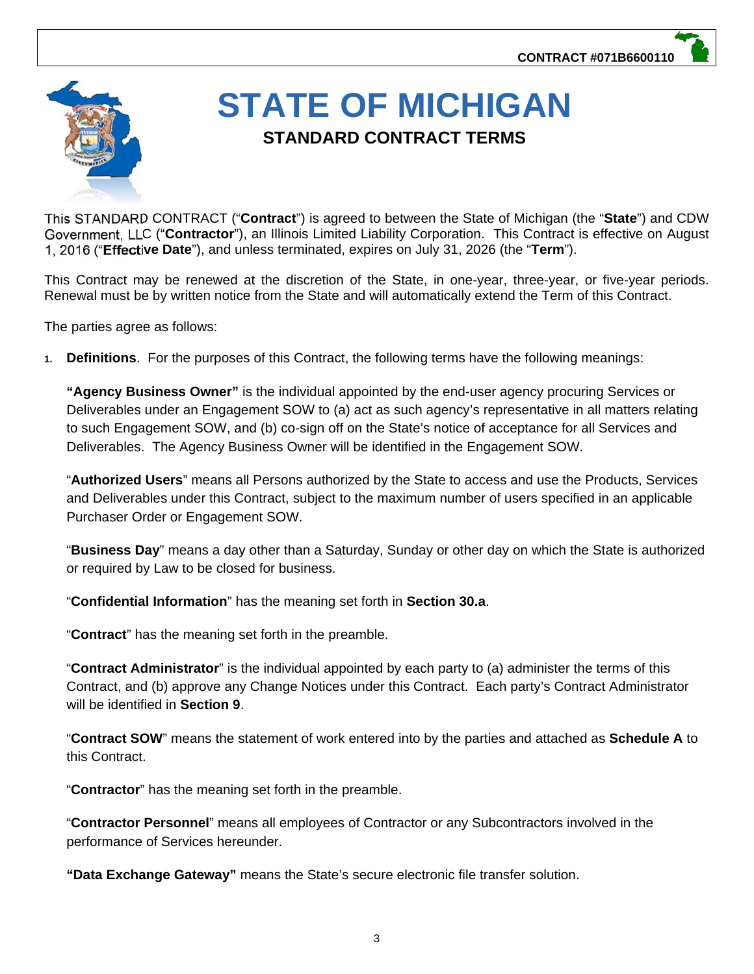

# **STATE OF MICHIGAN STANDARD CONTRACT TERMS**

This STANDARD CONTRACT ("**Contract**") is agreed to between the State of Michigan (the "**State**") and CDW Government, LLC ("**Contractor**"), an Illinois Limited Liability Corporation. This Contract is effective on August 1, 2016 ("**Effective Date**"), and unless terminated, expires on July 31, 2026 (the "**Term**").

This Contract may be renewed at the discretion of the State, in one-year, three-year, or five-year periods. Renewal must be by written notice from the State and will automatically extend the Term of this Contract.

The parties agree as follows:

**1. Definitions**. For the purposes of this Contract, the following terms have the following meanings:

**"Agency Business Owner"** is the individual appointed by the end-user agency procuring Services or Deliverables under an Engagement SOW to (a) act as such agency's representative in all matters relating to such Engagement SOW, and (b) co-sign off on the State's notice of acceptance for all Services and Deliverables. The Agency Business Owner will be identified in the Engagement SOW.

"**Authorized Users**" means all Persons authorized by the State to access and use the Products, Services and Deliverables under this Contract, subject to the maximum number of users specified in an applicable Purchaser Order or Engagement SOW.

"**Business Day**" means a day other than a Saturday, Sunday or other day on which the State is authorized or required by Law to be closed for business.

"**Confidential Information**" has the meaning set forth in **Section 30.a**.

"**Contract**" has the meaning set forth in the preamble.

"**Contract Administrator**" is the individual appointed by each party to (a) administer the terms of this Contract, and (b) approve any Change Notices under this Contract. Each party's Contract Administrator will be identified in **Section 9**.

"**Contract SOW**" means the statement of work entered into by the parties and attached as **Schedule A** to this Contract.

"**Contractor**" has the meaning set forth in the preamble.

"**Contractor Personnel**" means all employees of Contractor or any Subcontractors involved in the performance of Services hereunder.

**"Data Exchange Gateway"** means the State's secure electronic file transfer solution.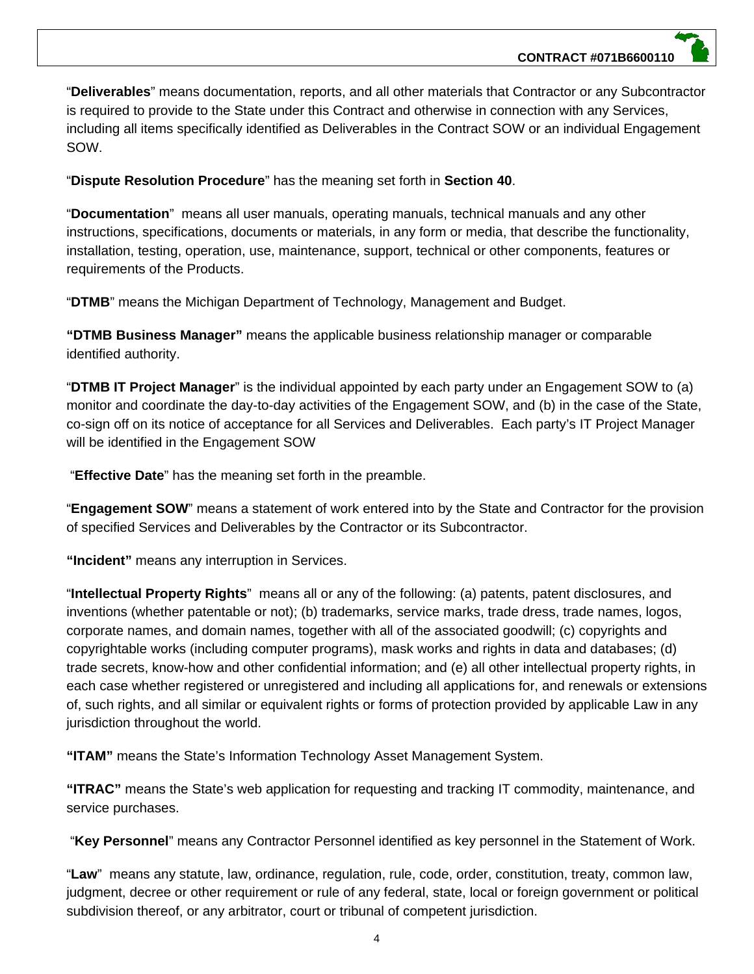"**Deliverables**" means documentation, reports, and all other materials that Contractor or any Subcontractor is required to provide to the State under this Contract and otherwise in connection with any Services, including all items specifically identified as Deliverables in the Contract SOW or an individual Engagement SOW.

"**Dispute Resolution Procedure**" has the meaning set forth in **Section 40**.

"**Documentation**" means all user manuals, operating manuals, technical manuals and any other instructions, specifications, documents or materials, in any form or media, that describe the functionality, installation, testing, operation, use, maintenance, support, technical or other components, features or requirements of the Products.

"**DTMB**" means the Michigan Department of Technology, Management and Budget.

**"DTMB Business Manager"** means the applicable business relationship manager or comparable identified authority.

"**DTMB IT Project Manager**" is the individual appointed by each party under an Engagement SOW to (a) monitor and coordinate the day-to-day activities of the Engagement SOW, and (b) in the case of the State, co-sign off on its notice of acceptance for all Services and Deliverables. Each party's IT Project Manager will be identified in the Engagement SOW

"**Effective Date**" has the meaning set forth in the preamble.

"**Engagement SOW**" means a statement of work entered into by the State and Contractor for the provision of specified Services and Deliverables by the Contractor or its Subcontractor.

**"Incident"** means any interruption in Services.

"**Intellectual Property Rights**" means all or any of the following: (a) patents, patent disclosures, and inventions (whether patentable or not); (b) trademarks, service marks, trade dress, trade names, logos, corporate names, and domain names, together with all of the associated goodwill; (c) copyrights and copyrightable works (including computer programs), mask works and rights in data and databases; (d) trade secrets, know-how and other confidential information; and (e) all other intellectual property rights, in each case whether registered or unregistered and including all applications for, and renewals or extensions of, such rights, and all similar or equivalent rights or forms of protection provided by applicable Law in any jurisdiction throughout the world.

**"ITAM"** means the State's Information Technology Asset Management System.

**"ITRAC"** means the State's web application for requesting and tracking IT commodity, maintenance, and service purchases.

"**Key Personnel**" means any Contractor Personnel identified as key personnel in the Statement of Work.

"**Law**" means any statute, law, ordinance, regulation, rule, code, order, constitution, treaty, common law, judgment, decree or other requirement or rule of any federal, state, local or foreign government or political subdivision thereof, or any arbitrator, court or tribunal of competent jurisdiction.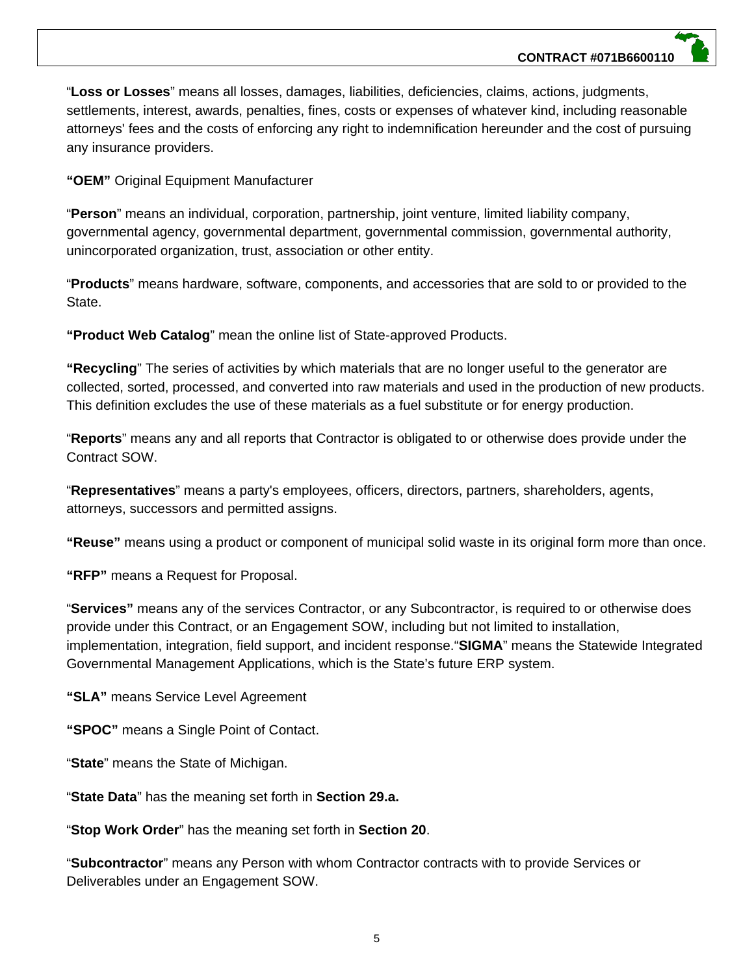"**Loss or Losses**" means all losses, damages, liabilities, deficiencies, claims, actions, judgments, settlements, interest, awards, penalties, fines, costs or expenses of whatever kind, including reasonable attorneys' fees and the costs of enforcing any right to indemnification hereunder and the cost of pursuing any insurance providers.

**"OEM"** Original Equipment Manufacturer

"**Person**" means an individual, corporation, partnership, joint venture, limited liability company, governmental agency, governmental department, governmental commission, governmental authority, unincorporated organization, trust, association or other entity.

"**Products**" means hardware, software, components, and accessories that are sold to or provided to the State.

**"Product Web Catalog**" mean the online list of State-approved Products.

**"Recycling**" The series of activities by which materials that are no longer useful to the generator are collected, sorted, processed, and converted into raw materials and used in the production of new products. This definition excludes the use of these materials as a fuel substitute or for energy production.

"**Reports**" means any and all reports that Contractor is obligated to or otherwise does provide under the Contract SOW.

"**Representatives**" means a party's employees, officers, directors, partners, shareholders, agents, attorneys, successors and permitted assigns.

**"Reuse"** means using a product or component of municipal solid waste in its original form more than once.

**"RFP"** means a Request for Proposal.

"**Services"** means any of the services Contractor, or any Subcontractor, is required to or otherwise does provide under this Contract, or an Engagement SOW, including but not limited to installation, implementation, integration, field support, and incident response."**SIGMA**" means the Statewide Integrated Governmental Management Applications, which is the State's future ERP system.

**"SLA"** means Service Level Agreement

**"SPOC"** means a Single Point of Contact.

"**State**" means the State of Michigan.

"**State Data**" has the meaning set forth in **Section 29.a.**

"**Stop Work Order**" has the meaning set forth in **Section 20**.

"**Subcontractor**" means any Person with whom Contractor contracts with to provide Services or Deliverables under an Engagement SOW.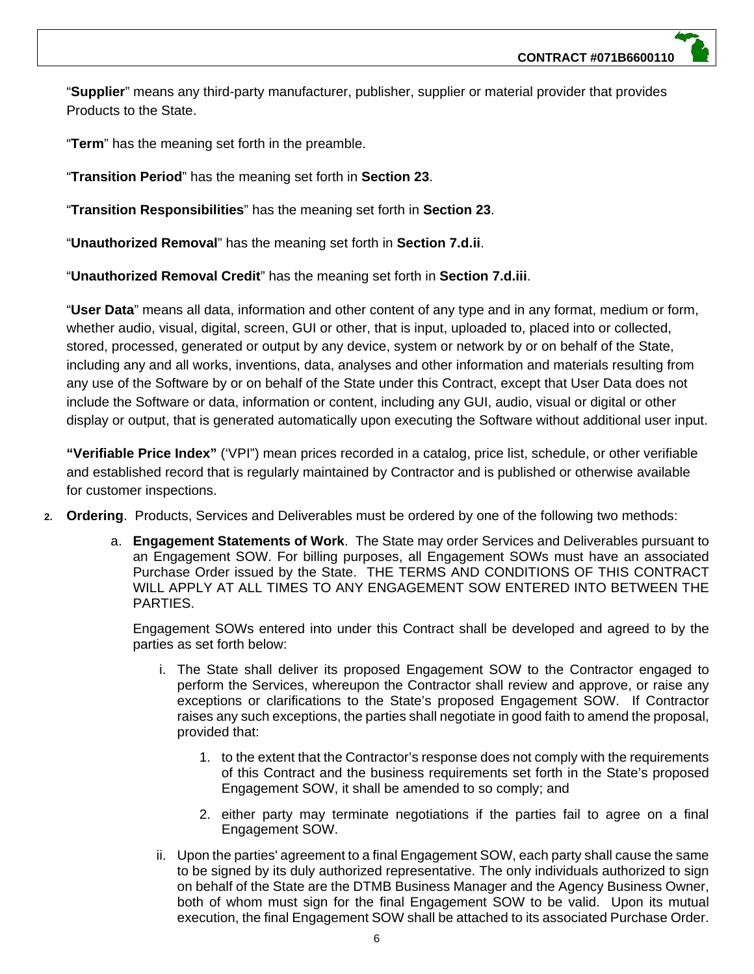"**Supplier**" means any third-party manufacturer, publisher, supplier or material provider that provides Products to the State.

"**Term**" has the meaning set forth in the preamble.

"**Transition Period**" has the meaning set forth in **Section 23**.

"**Transition Responsibilities**" has the meaning set forth in **Section 23**.

"**Unauthorized Removal**" has the meaning set forth in **Section 7.d.ii**.

"**Unauthorized Removal Credit**" has the meaning set forth in **Section 7.d.iii**.

"**User Data**" means all data, information and other content of any type and in any format, medium or form, whether audio, visual, digital, screen, GUI or other, that is input, uploaded to, placed into or collected, stored, processed, generated or output by any device, system or network by or on behalf of the State, including any and all works, inventions, data, analyses and other information and materials resulting from any use of the Software by or on behalf of the State under this Contract, except that User Data does not include the Software or data, information or content, including any GUI, audio, visual or digital or other display or output, that is generated automatically upon executing the Software without additional user input.

**"Verifiable Price Index"** ('VPI") mean prices recorded in a catalog, price list, schedule, or other verifiable and established record that is regularly maintained by Contractor and is published or otherwise available for customer inspections.

- **2. Ordering**. Products, Services and Deliverables must be ordered by one of the following two methods:
	- a. **Engagement Statements of Work**. The State may order Services and Deliverables pursuant to an Engagement SOW. For billing purposes, all Engagement SOWs must have an associated Purchase Order issued by the State. THE TERMS AND CONDITIONS OF THIS CONTRACT WILL APPLY AT ALL TIMES TO ANY ENGAGEMENT SOW ENTERED INTO BETWEEN THE PARTIES.

Engagement SOWs entered into under this Contract shall be developed and agreed to by the parties as set forth below:

- i. The State shall deliver its proposed Engagement SOW to the Contractor engaged to perform the Services, whereupon the Contractor shall review and approve, or raise any exceptions or clarifications to the State's proposed Engagement SOW. If Contractor raises any such exceptions, the parties shall negotiate in good faith to amend the proposal, provided that:
	- 1. to the extent that the Contractor's response does not comply with the requirements of this Contract and the business requirements set forth in the State's proposed Engagement SOW, it shall be amended to so comply; and
	- 2. either party may terminate negotiations if the parties fail to agree on a final Engagement SOW.
- ii. Upon the parties' agreement to a final Engagement SOW, each party shall cause the same to be signed by its duly authorized representative. The only individuals authorized to sign on behalf of the State are the DTMB Business Manager and the Agency Business Owner, both of whom must sign for the final Engagement SOW to be valid. Upon its mutual execution, the final Engagement SOW shall be attached to its associated Purchase Order.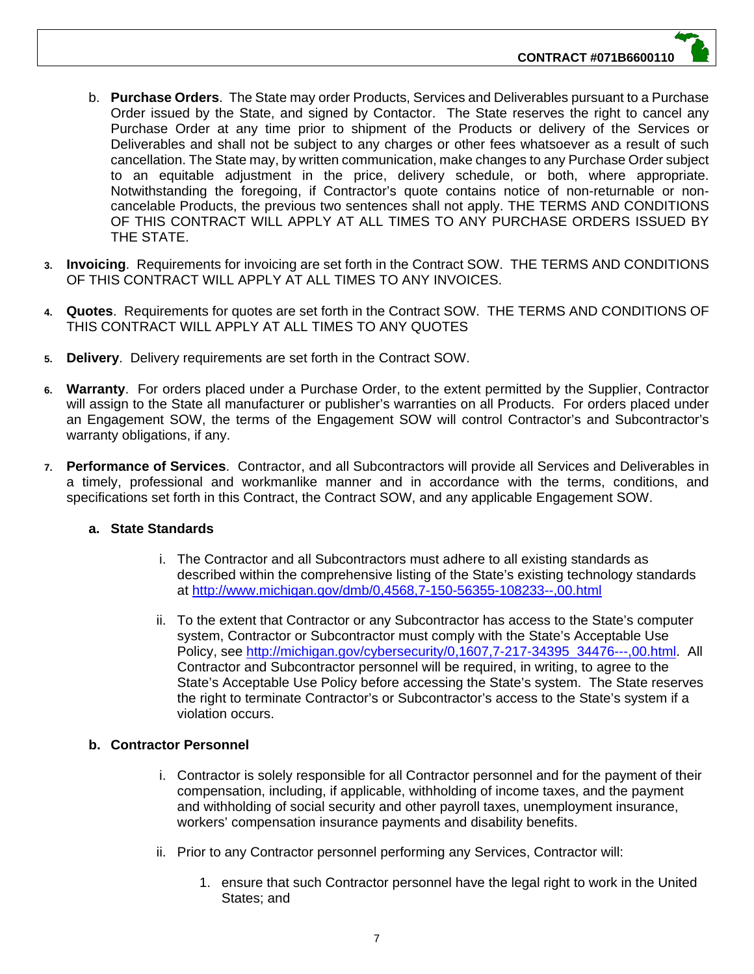- b. **Purchase Orders**. The State may order Products, Services and Deliverables pursuant to a Purchase Order issued by the State, and signed by Contactor. The State reserves the right to cancel any Purchase Order at any time prior to shipment of the Products or delivery of the Services or Deliverables and shall not be subject to any charges or other fees whatsoever as a result of such cancellation. The State may, by written communication, make changes to any Purchase Order subject to an equitable adjustment in the price, delivery schedule, or both, where appropriate. Notwithstanding the foregoing, if Contractor's quote contains notice of non-returnable or noncancelable Products, the previous two sentences shall not apply. THE TERMS AND CONDITIONS OF THIS CONTRACT WILL APPLY AT ALL TIMES TO ANY PURCHASE ORDERS ISSUED BY THE STATE.
- **3. Invoicing**. Requirements for invoicing are set forth in the Contract SOW. THE TERMS AND CONDITIONS OF THIS CONTRACT WILL APPLY AT ALL TIMES TO ANY INVOICES.
- **4. Quotes**. Requirements for quotes are set forth in the Contract SOW. THE TERMS AND CONDITIONS OF THIS CONTRACT WILL APPLY AT ALL TIMES TO ANY QUOTES
- **5. Delivery**. Delivery requirements are set forth in the Contract SOW.
- **6. Warranty**. For orders placed under a Purchase Order, to the extent permitted by the Supplier, Contractor will assign to the State all manufacturer or publisher's warranties on all Products. For orders placed under an Engagement SOW, the terms of the Engagement SOW will control Contractor's and Subcontractor's warranty obligations, if any.
- **7. Performance of Services**. Contractor, and all Subcontractors will provide all Services and Deliverables in a timely, professional and workmanlike manner and in accordance with the terms, conditions, and specifications set forth in this Contract, the Contract SOW, and any applicable Engagement SOW.

# **a. State Standards**

- i. The Contractor and all Subcontractors must adhere to all existing standards as described within the comprehensive listing of the State's existing technology standards at http://www.michigan.gov/dmb/0,4568,7-150-56355-108233--,00.html
- ii. To the extent that Contractor or any Subcontractor has access to the State's computer system, Contractor or Subcontractor must comply with the State's Acceptable Use Policy, see http://michigan.gov/cybersecurity/0,1607,7-217-34395\_34476---,00.html. All Contractor and Subcontractor personnel will be required, in writing, to agree to the State's Acceptable Use Policy before accessing the State's system. The State reserves the right to terminate Contractor's or Subcontractor's access to the State's system if a violation occurs.

# **b. Contractor Personnel**

- i. Contractor is solely responsible for all Contractor personnel and for the payment of their compensation, including, if applicable, withholding of income taxes, and the payment and withholding of social security and other payroll taxes, unemployment insurance, workers' compensation insurance payments and disability benefits.
- ii. Prior to any Contractor personnel performing any Services, Contractor will:
	- 1. ensure that such Contractor personnel have the legal right to work in the United States; and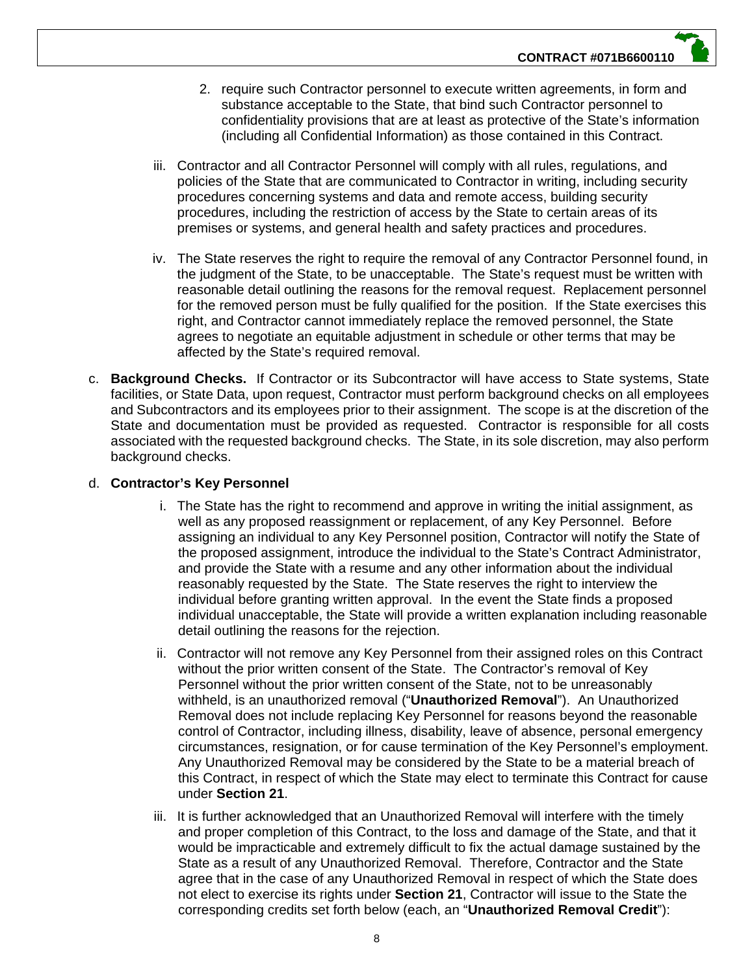- 2. require such Contractor personnel to execute written agreements, in form and substance acceptable to the State, that bind such Contractor personnel to confidentiality provisions that are at least as protective of the State's information (including all Confidential Information) as those contained in this Contract.
- iii. Contractor and all Contractor Personnel will comply with all rules, regulations, and policies of the State that are communicated to Contractor in writing, including security procedures concerning systems and data and remote access, building security procedures, including the restriction of access by the State to certain areas of its premises or systems, and general health and safety practices and procedures.
- iv. The State reserves the right to require the removal of any Contractor Personnel found, in the judgment of the State, to be unacceptable. The State's request must be written with reasonable detail outlining the reasons for the removal request. Replacement personnel for the removed person must be fully qualified for the position. If the State exercises this right, and Contractor cannot immediately replace the removed personnel, the State agrees to negotiate an equitable adjustment in schedule or other terms that may be affected by the State's required removal.
- c. **Background Checks.** If Contractor or its Subcontractor will have access to State systems, State facilities, or State Data, upon request, Contractor must perform background checks on all employees and Subcontractors and its employees prior to their assignment. The scope is at the discretion of the State and documentation must be provided as requested. Contractor is responsible for all costs associated with the requested background checks. The State, in its sole discretion, may also perform background checks.

#### d. **Contractor's Key Personnel**

- i. The State has the right to recommend and approve in writing the initial assignment, as well as any proposed reassignment or replacement, of any Key Personnel. Before assigning an individual to any Key Personnel position, Contractor will notify the State of the proposed assignment, introduce the individual to the State's Contract Administrator, and provide the State with a resume and any other information about the individual reasonably requested by the State. The State reserves the right to interview the individual before granting written approval. In the event the State finds a proposed individual unacceptable, the State will provide a written explanation including reasonable detail outlining the reasons for the rejection.
- ii. Contractor will not remove any Key Personnel from their assigned roles on this Contract without the prior written consent of the State. The Contractor's removal of Key Personnel without the prior written consent of the State, not to be unreasonably withheld, is an unauthorized removal ("**Unauthorized Removal**"). An Unauthorized Removal does not include replacing Key Personnel for reasons beyond the reasonable control of Contractor, including illness, disability, leave of absence, personal emergency circumstances, resignation, or for cause termination of the Key Personnel's employment. Any Unauthorized Removal may be considered by the State to be a material breach of this Contract, in respect of which the State may elect to terminate this Contract for cause under **Section 21**.
- iii. It is further acknowledged that an Unauthorized Removal will interfere with the timely and proper completion of this Contract, to the loss and damage of the State, and that it would be impracticable and extremely difficult to fix the actual damage sustained by the State as a result of any Unauthorized Removal. Therefore, Contractor and the State agree that in the case of any Unauthorized Removal in respect of which the State does not elect to exercise its rights under **Section 21**, Contractor will issue to the State the corresponding credits set forth below (each, an "**Unauthorized Removal Credit**"):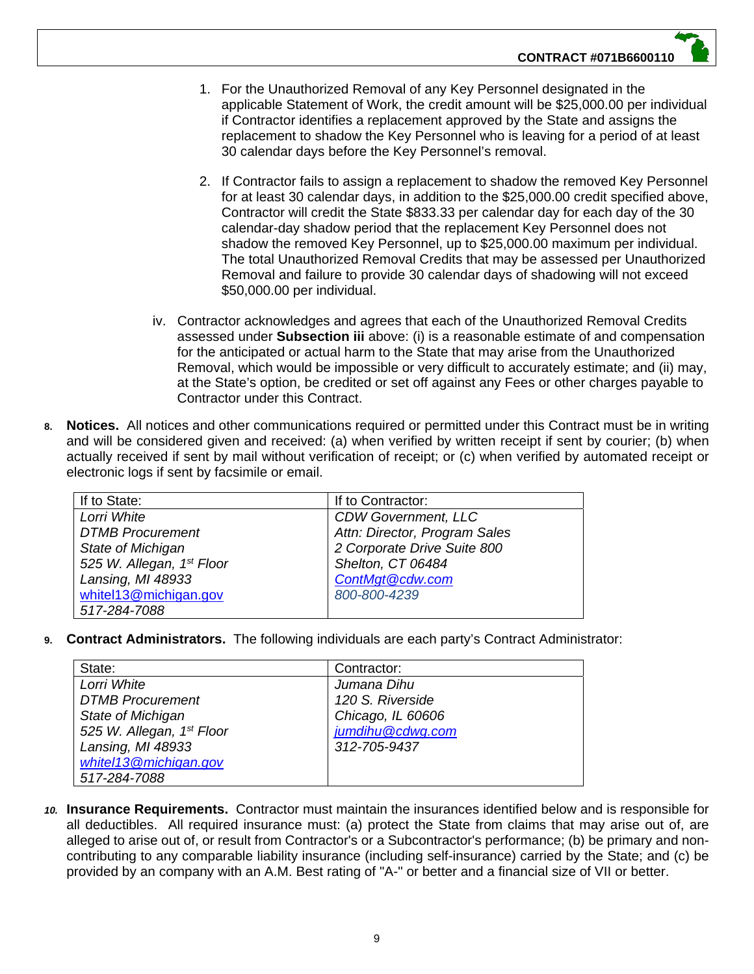- 1. For the Unauthorized Removal of any Key Personnel designated in the applicable Statement of Work, the credit amount will be \$25,000.00 per individual if Contractor identifies a replacement approved by the State and assigns the replacement to shadow the Key Personnel who is leaving for a period of at least 30 calendar days before the Key Personnel's removal.
- 2. If Contractor fails to assign a replacement to shadow the removed Key Personnel for at least 30 calendar days, in addition to the \$25,000.00 credit specified above, Contractor will credit the State \$833.33 per calendar day for each day of the 30 calendar-day shadow period that the replacement Key Personnel does not shadow the removed Key Personnel, up to \$25,000.00 maximum per individual. The total Unauthorized Removal Credits that may be assessed per Unauthorized Removal and failure to provide 30 calendar days of shadowing will not exceed \$50,000.00 per individual.
- iv. Contractor acknowledges and agrees that each of the Unauthorized Removal Credits assessed under **Subsection iii** above: (i) is a reasonable estimate of and compensation for the anticipated or actual harm to the State that may arise from the Unauthorized Removal, which would be impossible or very difficult to accurately estimate; and (ii) may, at the State's option, be credited or set off against any Fees or other charges payable to Contractor under this Contract.
- **8. Notices.** All notices and other communications required or permitted under this Contract must be in writing and will be considered given and received: (a) when verified by written receipt if sent by courier; (b) when actually received if sent by mail without verification of receipt; or (c) when verified by automated receipt or electronic logs if sent by facsimile or email.

| If to State:              | If to Contractor:             |
|---------------------------|-------------------------------|
| Lorri White               | <b>CDW Government, LLC</b>    |
| <b>DTMB Procurement</b>   | Attn: Director, Program Sales |
| State of Michigan         | 2 Corporate Drive Suite 800   |
| 525 W. Allegan, 1st Floor | Shelton, CT 06484             |
| Lansing, MI 48933         | ContMgt@cdw.com               |
| whitel13@michigan.gov     | 800-800-4239                  |
| 517-284-7088              |                               |

**9. Contract Administrators.** The following individuals are each party's Contract Administrator:

| State:                    | Contractor:       |
|---------------------------|-------------------|
| Lorri White               | Jumana Dihu       |
| <b>DTMB Procurement</b>   | 120 S. Riverside  |
| State of Michigan         | Chicago, IL 60606 |
| 525 W. Allegan, 1st Floor | jumdihu@cdwg.com  |
| Lansing, MI 48933         | 312-705-9437      |
| whitel13@michigan.gov     |                   |
| 517-284-7088              |                   |

*10.* **Insurance Requirements.** Contractor must maintain the insurances identified below and is responsible for all deductibles. All required insurance must: (a) protect the State from claims that may arise out of, are alleged to arise out of, or result from Contractor's or a Subcontractor's performance; (b) be primary and noncontributing to any comparable liability insurance (including self-insurance) carried by the State; and (c) be provided by an company with an A.M. Best rating of "A-" or better and a financial size of VII or better.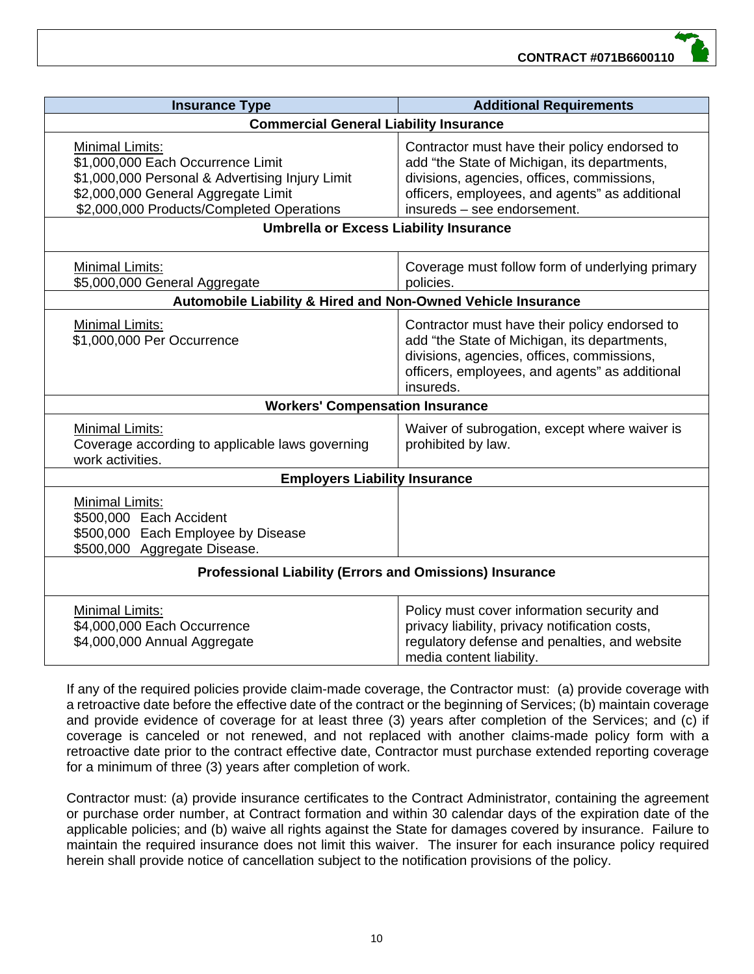| <b>Insurance Type</b>                                                                                                                                                                              | <b>Additional Requirements</b>                                                                                                                                                                                               |  |  |  |
|----------------------------------------------------------------------------------------------------------------------------------------------------------------------------------------------------|------------------------------------------------------------------------------------------------------------------------------------------------------------------------------------------------------------------------------|--|--|--|
| <b>Commercial General Liability Insurance</b>                                                                                                                                                      |                                                                                                                                                                                                                              |  |  |  |
| <b>Minimal Limits:</b><br>\$1,000,000 Each Occurrence Limit<br>\$1,000,000 Personal & Advertising Injury Limit<br>\$2,000,000 General Aggregate Limit<br>\$2,000,000 Products/Completed Operations | Contractor must have their policy endorsed to<br>add "the State of Michigan, its departments,<br>divisions, agencies, offices, commissions,<br>officers, employees, and agents" as additional<br>insureds - see endorsement. |  |  |  |
| <b>Umbrella or Excess Liability Insurance</b>                                                                                                                                                      |                                                                                                                                                                                                                              |  |  |  |
| <b>Minimal Limits:</b><br>\$5,000,000 General Aggregate                                                                                                                                            | Coverage must follow form of underlying primary<br>policies.                                                                                                                                                                 |  |  |  |
| Automobile Liability & Hired and Non-Owned Vehicle Insurance                                                                                                                                       |                                                                                                                                                                                                                              |  |  |  |
| <b>Minimal Limits:</b><br>\$1,000,000 Per Occurrence                                                                                                                                               | Contractor must have their policy endorsed to<br>add "the State of Michigan, its departments,<br>divisions, agencies, offices, commissions,<br>officers, employees, and agents" as additional<br>insureds.                   |  |  |  |
| <b>Workers' Compensation Insurance</b>                                                                                                                                                             |                                                                                                                                                                                                                              |  |  |  |
| <b>Minimal Limits:</b><br>Coverage according to applicable laws governing<br>work activities.                                                                                                      | Waiver of subrogation, except where waiver is<br>prohibited by law.                                                                                                                                                          |  |  |  |
| <b>Employers Liability Insurance</b>                                                                                                                                                               |                                                                                                                                                                                                                              |  |  |  |
| Minimal Limits:<br>\$500,000 Each Accident<br>\$500,000 Each Employee by Disease<br>\$500,000 Aggregate Disease.                                                                                   |                                                                                                                                                                                                                              |  |  |  |
| <b>Professional Liability (Errors and Omissions) Insurance</b>                                                                                                                                     |                                                                                                                                                                                                                              |  |  |  |
| <b>Minimal Limits:</b><br>\$4,000,000 Each Occurrence<br>\$4,000,000 Annual Aggregate                                                                                                              | Policy must cover information security and<br>privacy liability, privacy notification costs,<br>regulatory defense and penalties, and website<br>media content liability.                                                    |  |  |  |

If any of the required policies provide claim-made coverage, the Contractor must: (a) provide coverage with a retroactive date before the effective date of the contract or the beginning of Services; (b) maintain coverage and provide evidence of coverage for at least three (3) years after completion of the Services; and (c) if coverage is canceled or not renewed, and not replaced with another claims-made policy form with a retroactive date prior to the contract effective date, Contractor must purchase extended reporting coverage for a minimum of three (3) years after completion of work.

Contractor must: (a) provide insurance certificates to the Contract Administrator, containing the agreement or purchase order number, at Contract formation and within 30 calendar days of the expiration date of the applicable policies; and (b) waive all rights against the State for damages covered by insurance. Failure to maintain the required insurance does not limit this waiver. The insurer for each insurance policy required herein shall provide notice of cancellation subject to the notification provisions of the policy.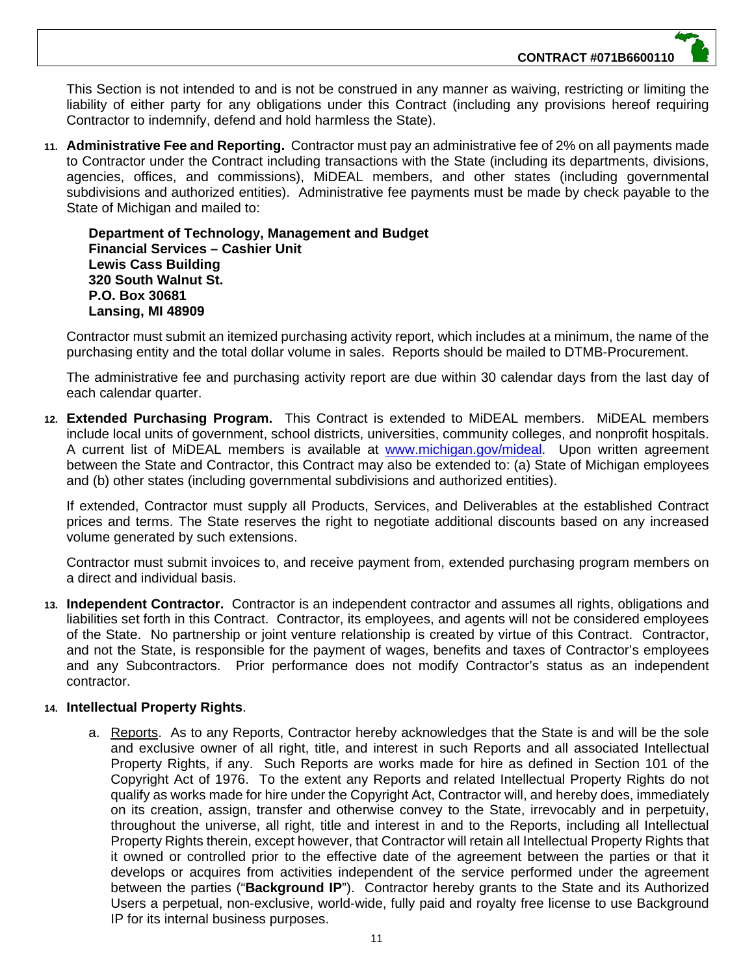**CONTRACT #071B6600110**

This Section is not intended to and is not be construed in any manner as waiving, restricting or limiting the liability of either party for any obligations under this Contract (including any provisions hereof requiring Contractor to indemnify, defend and hold harmless the State).

**11. Administrative Fee and Reporting.** Contractor must pay an administrative fee of 2% on all payments made to Contractor under the Contract including transactions with the State (including its departments, divisions, agencies, offices, and commissions), MiDEAL members, and other states (including governmental subdivisions and authorized entities). Administrative fee payments must be made by check payable to the State of Michigan and mailed to:

**Department of Technology, Management and Budget Financial Services – Cashier Unit Lewis Cass Building 320 South Walnut St. P.O. Box 30681 Lansing, MI 48909**

Contractor must submit an itemized purchasing activity report, which includes at a minimum, the name of the purchasing entity and the total dollar volume in sales. Reports should be mailed to DTMB-Procurement.

The administrative fee and purchasing activity report are due within 30 calendar days from the last day of each calendar quarter.

**12. Extended Purchasing Program.** This Contract is extended to MiDEAL members. MiDEAL members include local units of government, school districts, universities, community colleges, and nonprofit hospitals. A current list of MiDEAL members is available at www.michigan.gov/mideal. Upon written agreement between the State and Contractor, this Contract may also be extended to: (a) State of Michigan employees and (b) other states (including governmental subdivisions and authorized entities).

If extended, Contractor must supply all Products, Services, and Deliverables at the established Contract prices and terms. The State reserves the right to negotiate additional discounts based on any increased volume generated by such extensions.

Contractor must submit invoices to, and receive payment from, extended purchasing program members on a direct and individual basis.

**13. Independent Contractor.** Contractor is an independent contractor and assumes all rights, obligations and liabilities set forth in this Contract. Contractor, its employees, and agents will not be considered employees of the State. No partnership or joint venture relationship is created by virtue of this Contract. Contractor, and not the State, is responsible for the payment of wages, benefits and taxes of Contractor's employees and any Subcontractors. Prior performance does not modify Contractor's status as an independent contractor.

#### **14. Intellectual Property Rights**.

a. Reports. As to any Reports, Contractor hereby acknowledges that the State is and will be the sole and exclusive owner of all right, title, and interest in such Reports and all associated Intellectual Property Rights, if any. Such Reports are works made for hire as defined in Section 101 of the Copyright Act of 1976. To the extent any Reports and related Intellectual Property Rights do not qualify as works made for hire under the Copyright Act, Contractor will, and hereby does, immediately on its creation, assign, transfer and otherwise convey to the State, irrevocably and in perpetuity, throughout the universe, all right, title and interest in and to the Reports, including all Intellectual Property Rights therein, except however, that Contractor will retain all Intellectual Property Rights that it owned or controlled prior to the effective date of the agreement between the parties or that it develops or acquires from activities independent of the service performed under the agreement between the parties ("**Background IP**"). Contractor hereby grants to the State and its Authorized Users a perpetual, non-exclusive, world-wide, fully paid and royalty free license to use Background IP for its internal business purposes.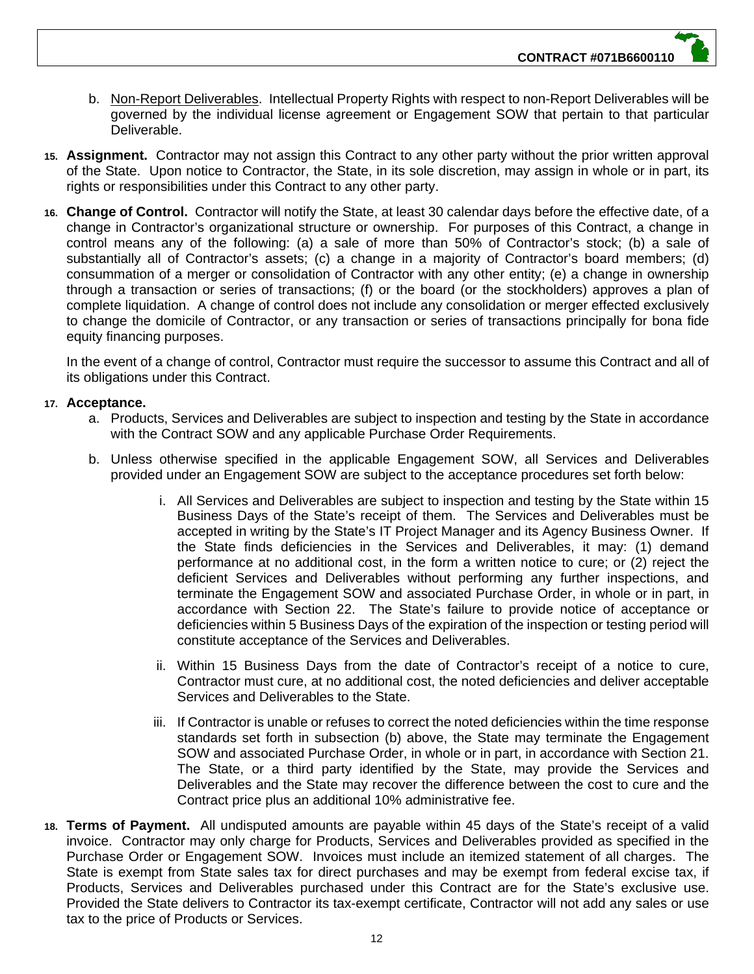- b. Non-Report Deliverables. Intellectual Property Rights with respect to non-Report Deliverables will be governed by the individual license agreement or Engagement SOW that pertain to that particular Deliverable.
- **15. Assignment.** Contractor may not assign this Contract to any other party without the prior written approval of the State. Upon notice to Contractor, the State, in its sole discretion, may assign in whole or in part, its rights or responsibilities under this Contract to any other party.
- **16. Change of Control.** Contractor will notify the State, at least 30 calendar days before the effective date, of a change in Contractor's organizational structure or ownership. For purposes of this Contract, a change in control means any of the following: (a) a sale of more than 50% of Contractor's stock; (b) a sale of substantially all of Contractor's assets; (c) a change in a majority of Contractor's board members; (d) consummation of a merger or consolidation of Contractor with any other entity; (e) a change in ownership through a transaction or series of transactions; (f) or the board (or the stockholders) approves a plan of complete liquidation. A change of control does not include any consolidation or merger effected exclusively to change the domicile of Contractor, or any transaction or series of transactions principally for bona fide equity financing purposes.

In the event of a change of control, Contractor must require the successor to assume this Contract and all of its obligations under this Contract.

#### **17. Acceptance.**

- a. Products, Services and Deliverables are subject to inspection and testing by the State in accordance with the Contract SOW and any applicable Purchase Order Requirements.
- b. Unless otherwise specified in the applicable Engagement SOW, all Services and Deliverables provided under an Engagement SOW are subject to the acceptance procedures set forth below:
	- i. All Services and Deliverables are subject to inspection and testing by the State within 15 Business Days of the State's receipt of them. The Services and Deliverables must be accepted in writing by the State's IT Project Manager and its Agency Business Owner. If the State finds deficiencies in the Services and Deliverables, it may: (1) demand performance at no additional cost, in the form a written notice to cure; or (2) reject the deficient Services and Deliverables without performing any further inspections, and terminate the Engagement SOW and associated Purchase Order, in whole or in part, in accordance with Section 22. The State's failure to provide notice of acceptance or deficiencies within 5 Business Days of the expiration of the inspection or testing period will constitute acceptance of the Services and Deliverables.
	- ii. Within 15 Business Days from the date of Contractor's receipt of a notice to cure, Contractor must cure, at no additional cost, the noted deficiencies and deliver acceptable Services and Deliverables to the State.
	- iii. If Contractor is unable or refuses to correct the noted deficiencies within the time response standards set forth in subsection (b) above, the State may terminate the Engagement SOW and associated Purchase Order, in whole or in part, in accordance with Section 21. The State, or a third party identified by the State, may provide the Services and Deliverables and the State may recover the difference between the cost to cure and the Contract price plus an additional 10% administrative fee.
- **18. Terms of Payment.** All undisputed amounts are payable within 45 days of the State's receipt of a valid invoice. Contractor may only charge for Products, Services and Deliverables provided as specified in the Purchase Order or Engagement SOW. Invoices must include an itemized statement of all charges. The State is exempt from State sales tax for direct purchases and may be exempt from federal excise tax, if Products, Services and Deliverables purchased under this Contract are for the State's exclusive use. Provided the State delivers to Contractor its tax-exempt certificate, Contractor will not add any sales or use tax to the price of Products or Services.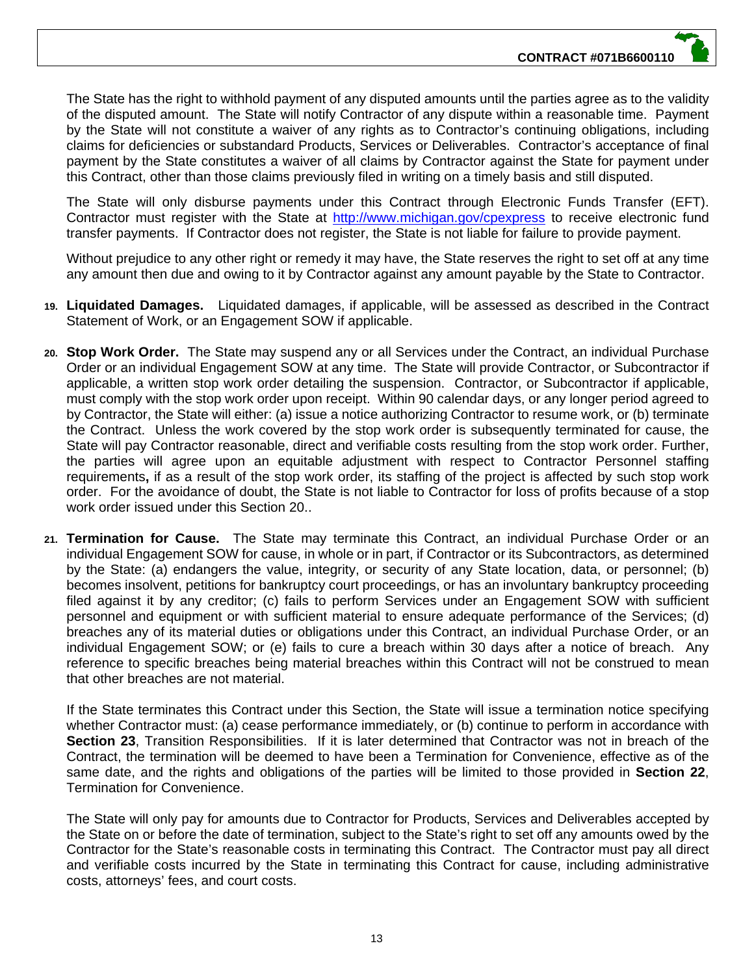The State has the right to withhold payment of any disputed amounts until the parties agree as to the validity of the disputed amount. The State will notify Contractor of any dispute within a reasonable time. Payment by the State will not constitute a waiver of any rights as to Contractor's continuing obligations, including claims for deficiencies or substandard Products, Services or Deliverables. Contractor's acceptance of final payment by the State constitutes a waiver of all claims by Contractor against the State for payment under this Contract, other than those claims previously filed in writing on a timely basis and still disputed.

The State will only disburse payments under this Contract through Electronic Funds Transfer (EFT). Contractor must register with the State at http://www.michigan.gov/cpexpress to receive electronic fund transfer payments. If Contractor does not register, the State is not liable for failure to provide payment.

Without prejudice to any other right or remedy it may have, the State reserves the right to set off at any time any amount then due and owing to it by Contractor against any amount payable by the State to Contractor.

- **19. Liquidated Damages.** Liquidated damages, if applicable, will be assessed as described in the Contract Statement of Work, or an Engagement SOW if applicable.
- **20. Stop Work Order.** The State may suspend any or all Services under the Contract, an individual Purchase Order or an individual Engagement SOW at any time. The State will provide Contractor, or Subcontractor if applicable, a written stop work order detailing the suspension. Contractor, or Subcontractor if applicable, must comply with the stop work order upon receipt. Within 90 calendar days, or any longer period agreed to by Contractor, the State will either: (a) issue a notice authorizing Contractor to resume work, or (b) terminate the Contract. Unless the work covered by the stop work order is subsequently terminated for cause, the State will pay Contractor reasonable, direct and verifiable costs resulting from the stop work order. Further, the parties will agree upon an equitable adjustment with respect to Contractor Personnel staffing requirements**,** if as a result of the stop work order, its staffing of the project is affected by such stop work order. For the avoidance of doubt, the State is not liable to Contractor for loss of profits because of a stop work order issued under this Section 20..
- **21. Termination for Cause.** The State may terminate this Contract, an individual Purchase Order or an individual Engagement SOW for cause, in whole or in part, if Contractor or its Subcontractors, as determined by the State: (a) endangers the value, integrity, or security of any State location, data, or personnel; (b) becomes insolvent, petitions for bankruptcy court proceedings, or has an involuntary bankruptcy proceeding filed against it by any creditor; (c) fails to perform Services under an Engagement SOW with sufficient personnel and equipment or with sufficient material to ensure adequate performance of the Services; (d) breaches any of its material duties or obligations under this Contract, an individual Purchase Order, or an individual Engagement SOW; or (e) fails to cure a breach within 30 days after a notice of breach. Any reference to specific breaches being material breaches within this Contract will not be construed to mean that other breaches are not material.

If the State terminates this Contract under this Section, the State will issue a termination notice specifying whether Contractor must: (a) cease performance immediately, or (b) continue to perform in accordance with **Section 23**, Transition Responsibilities. If it is later determined that Contractor was not in breach of the Contract, the termination will be deemed to have been a Termination for Convenience, effective as of the same date, and the rights and obligations of the parties will be limited to those provided in **Section 22**, Termination for Convenience.

The State will only pay for amounts due to Contractor for Products, Services and Deliverables accepted by the State on or before the date of termination, subject to the State's right to set off any amounts owed by the Contractor for the State's reasonable costs in terminating this Contract. The Contractor must pay all direct and verifiable costs incurred by the State in terminating this Contract for cause, including administrative costs, attorneys' fees, and court costs.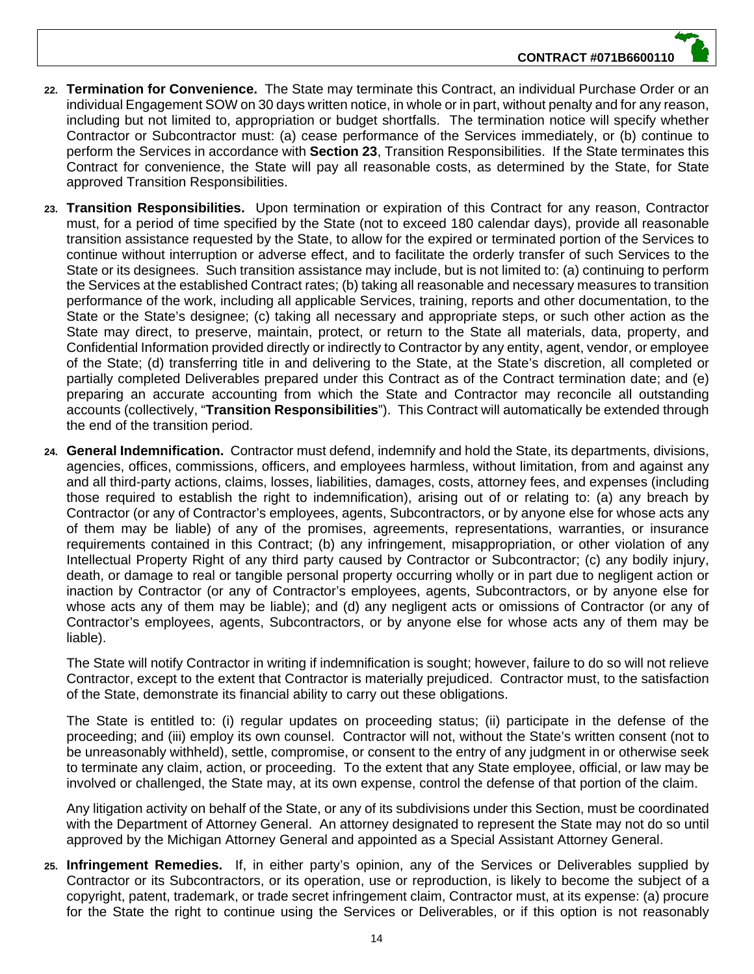

- **22. Termination for Convenience.** The State may terminate this Contract, an individual Purchase Order or an individual Engagement SOW on 30 days written notice, in whole or in part, without penalty and for any reason, including but not limited to, appropriation or budget shortfalls. The termination notice will specify whether Contractor or Subcontractor must: (a) cease performance of the Services immediately, or (b) continue to perform the Services in accordance with **Section 23**, Transition Responsibilities. If the State terminates this Contract for convenience, the State will pay all reasonable costs, as determined by the State, for State approved Transition Responsibilities.
- **23. Transition Responsibilities.** Upon termination or expiration of this Contract for any reason, Contractor must, for a period of time specified by the State (not to exceed 180 calendar days), provide all reasonable transition assistance requested by the State, to allow for the expired or terminated portion of the Services to continue without interruption or adverse effect, and to facilitate the orderly transfer of such Services to the State or its designees. Such transition assistance may include, but is not limited to: (a) continuing to perform the Services at the established Contract rates; (b) taking all reasonable and necessary measures to transition performance of the work, including all applicable Services, training, reports and other documentation, to the State or the State's designee; (c) taking all necessary and appropriate steps, or such other action as the State may direct, to preserve, maintain, protect, or return to the State all materials, data, property, and Confidential Information provided directly or indirectly to Contractor by any entity, agent, vendor, or employee of the State; (d) transferring title in and delivering to the State, at the State's discretion, all completed or partially completed Deliverables prepared under this Contract as of the Contract termination date; and (e) preparing an accurate accounting from which the State and Contractor may reconcile all outstanding accounts (collectively, "**Transition Responsibilities**"). This Contract will automatically be extended through the end of the transition period.
- **24. General Indemnification.** Contractor must defend, indemnify and hold the State, its departments, divisions, agencies, offices, commissions, officers, and employees harmless, without limitation, from and against any and all third-party actions, claims, losses, liabilities, damages, costs, attorney fees, and expenses (including those required to establish the right to indemnification), arising out of or relating to: (a) any breach by Contractor (or any of Contractor's employees, agents, Subcontractors, or by anyone else for whose acts any of them may be liable) of any of the promises, agreements, representations, warranties, or insurance requirements contained in this Contract; (b) any infringement, misappropriation, or other violation of any Intellectual Property Right of any third party caused by Contractor or Subcontractor; (c) any bodily injury, death, or damage to real or tangible personal property occurring wholly or in part due to negligent action or inaction by Contractor (or any of Contractor's employees, agents, Subcontractors, or by anyone else for whose acts any of them may be liable); and (d) any negligent acts or omissions of Contractor (or any of Contractor's employees, agents, Subcontractors, or by anyone else for whose acts any of them may be liable).

The State will notify Contractor in writing if indemnification is sought; however, failure to do so will not relieve Contractor, except to the extent that Contractor is materially prejudiced. Contractor must, to the satisfaction of the State, demonstrate its financial ability to carry out these obligations.

The State is entitled to: (i) regular updates on proceeding status; (ii) participate in the defense of the proceeding; and (iii) employ its own counsel. Contractor will not, without the State's written consent (not to be unreasonably withheld), settle, compromise, or consent to the entry of any judgment in or otherwise seek to terminate any claim, action, or proceeding. To the extent that any State employee, official, or law may be involved or challenged, the State may, at its own expense, control the defense of that portion of the claim.

Any litigation activity on behalf of the State, or any of its subdivisions under this Section, must be coordinated with the Department of Attorney General. An attorney designated to represent the State may not do so until approved by the Michigan Attorney General and appointed as a Special Assistant Attorney General.

**25. Infringement Remedies.** If, in either party's opinion, any of the Services or Deliverables supplied by Contractor or its Subcontractors, or its operation, use or reproduction, is likely to become the subject of a copyright, patent, trademark, or trade secret infringement claim, Contractor must, at its expense: (a) procure for the State the right to continue using the Services or Deliverables, or if this option is not reasonably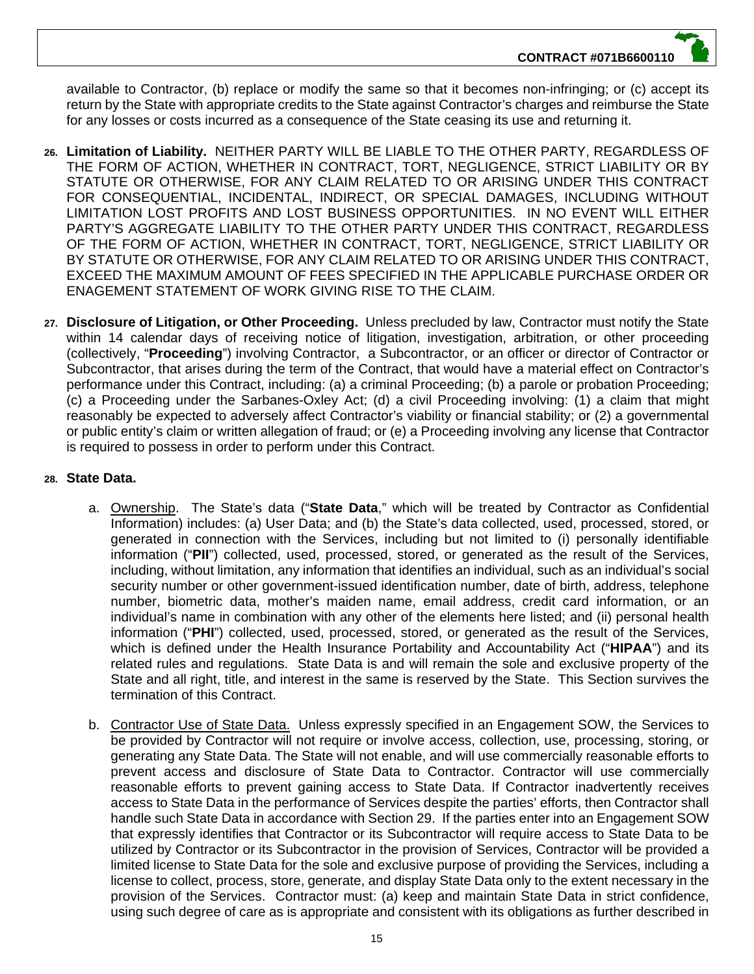available to Contractor, (b) replace or modify the same so that it becomes non-infringing; or (c) accept its return by the State with appropriate credits to the State against Contractor's charges and reimburse the State for any losses or costs incurred as a consequence of the State ceasing its use and returning it.

- **26. Limitation of Liability.** NEITHER PARTY WILL BE LIABLE TO THE OTHER PARTY, REGARDLESS OF THE FORM OF ACTION, WHETHER IN CONTRACT, TORT, NEGLIGENCE, STRICT LIABILITY OR BY STATUTE OR OTHERWISE, FOR ANY CLAIM RELATED TO OR ARISING UNDER THIS CONTRACT FOR CONSEQUENTIAL, INCIDENTAL, INDIRECT, OR SPECIAL DAMAGES, INCLUDING WITHOUT LIMITATION LOST PROFITS AND LOST BUSINESS OPPORTUNITIES. IN NO EVENT WILL EITHER PARTY'S AGGREGATE LIABILITY TO THE OTHER PARTY UNDER THIS CONTRACT, REGARDLESS OF THE FORM OF ACTION, WHETHER IN CONTRACT, TORT, NEGLIGENCE, STRICT LIABILITY OR BY STATUTE OR OTHERWISE, FOR ANY CLAIM RELATED TO OR ARISING UNDER THIS CONTRACT, EXCEED THE MAXIMUM AMOUNT OF FEES SPECIFIED IN THE APPLICABLE PURCHASE ORDER OR ENAGEMENT STATEMENT OF WORK GIVING RISE TO THE CLAIM.
- **27. Disclosure of Litigation, or Other Proceeding.** Unless precluded by law, Contractor must notify the State within 14 calendar days of receiving notice of litigation, investigation, arbitration, or other proceeding (collectively, "**Proceeding**") involving Contractor, a Subcontractor, or an officer or director of Contractor or Subcontractor, that arises during the term of the Contract, that would have a material effect on Contractor's performance under this Contract, including: (a) a criminal Proceeding; (b) a parole or probation Proceeding; (c) a Proceeding under the Sarbanes-Oxley Act; (d) a civil Proceeding involving: (1) a claim that might reasonably be expected to adversely affect Contractor's viability or financial stability; or (2) a governmental or public entity's claim or written allegation of fraud; or (e) a Proceeding involving any license that Contractor is required to possess in order to perform under this Contract.

# **28. State Data.**

- a. Ownership. The State's data ("**State Data**," which will be treated by Contractor as Confidential Information) includes: (a) User Data; and (b) the State's data collected, used, processed, stored, or generated in connection with the Services, including but not limited to (i) personally identifiable information ("**PII**") collected, used, processed, stored, or generated as the result of the Services, including, without limitation, any information that identifies an individual, such as an individual's social security number or other government-issued identification number, date of birth, address, telephone number, biometric data, mother's maiden name, email address, credit card information, or an individual's name in combination with any other of the elements here listed; and (ii) personal health information ("**PHI**") collected, used, processed, stored, or generated as the result of the Services, which is defined under the Health Insurance Portability and Accountability Act ("**HIPAA**") and its related rules and regulations. State Data is and will remain the sole and exclusive property of the State and all right, title, and interest in the same is reserved by the State. This Section survives the termination of this Contract.
- b. Contractor Use of State Data. Unless expressly specified in an Engagement SOW, the Services to be provided by Contractor will not require or involve access, collection, use, processing, storing, or generating any State Data. The State will not enable, and will use commercially reasonable efforts to prevent access and disclosure of State Data to Contractor. Contractor will use commercially reasonable efforts to prevent gaining access to State Data. If Contractor inadvertently receives access to State Data in the performance of Services despite the parties' efforts, then Contractor shall handle such State Data in accordance with Section 29. If the parties enter into an Engagement SOW that expressly identifies that Contractor or its Subcontractor will require access to State Data to be utilized by Contractor or its Subcontractor in the provision of Services, Contractor will be provided a limited license to State Data for the sole and exclusive purpose of providing the Services, including a license to collect, process, store, generate, and display State Data only to the extent necessary in the provision of the Services. Contractor must: (a) keep and maintain State Data in strict confidence, using such degree of care as is appropriate and consistent with its obligations as further described in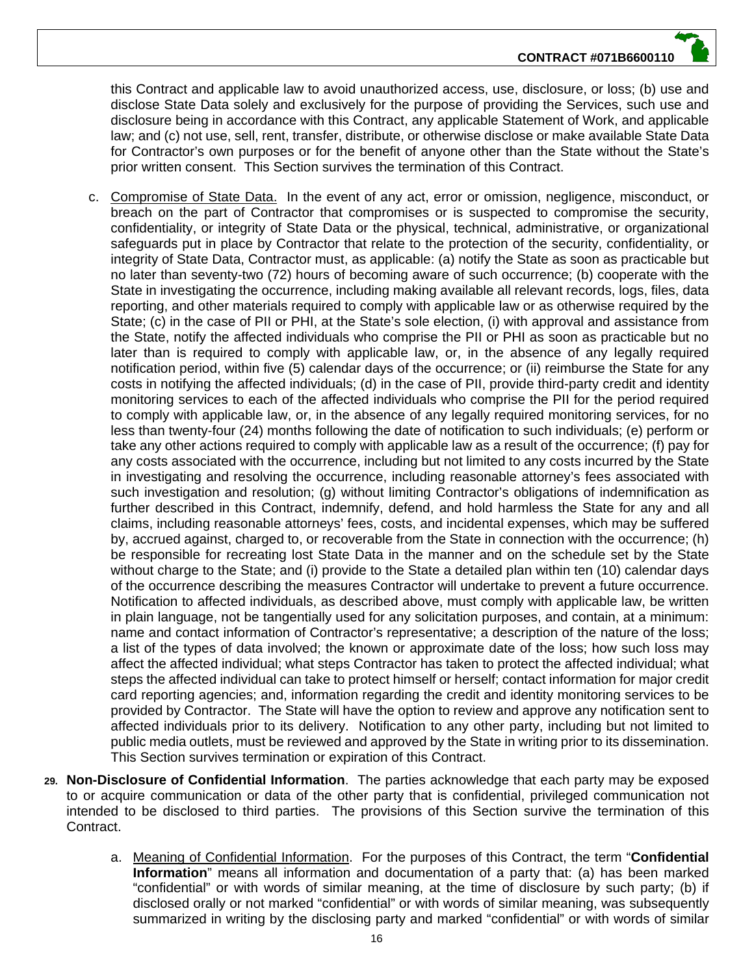this Contract and applicable law to avoid unauthorized access, use, disclosure, or loss; (b) use and disclose State Data solely and exclusively for the purpose of providing the Services, such use and disclosure being in accordance with this Contract, any applicable Statement of Work, and applicable law; and (c) not use, sell, rent, transfer, distribute, or otherwise disclose or make available State Data for Contractor's own purposes or for the benefit of anyone other than the State without the State's prior written consent. This Section survives the termination of this Contract.

- c. Compromise of State Data. In the event of any act, error or omission, negligence, misconduct, or breach on the part of Contractor that compromises or is suspected to compromise the security, confidentiality, or integrity of State Data or the physical, technical, administrative, or organizational safeguards put in place by Contractor that relate to the protection of the security, confidentiality, or integrity of State Data, Contractor must, as applicable: (a) notify the State as soon as practicable but no later than seventy-two (72) hours of becoming aware of such occurrence; (b) cooperate with the State in investigating the occurrence, including making available all relevant records, logs, files, data reporting, and other materials required to comply with applicable law or as otherwise required by the State; (c) in the case of PII or PHI, at the State's sole election, (i) with approval and assistance from the State, notify the affected individuals who comprise the PII or PHI as soon as practicable but no later than is required to comply with applicable law, or, in the absence of any legally required notification period, within five (5) calendar days of the occurrence; or (ii) reimburse the State for any costs in notifying the affected individuals; (d) in the case of PII, provide third-party credit and identity monitoring services to each of the affected individuals who comprise the PII for the period required to comply with applicable law, or, in the absence of any legally required monitoring services, for no less than twenty-four (24) months following the date of notification to such individuals; (e) perform or take any other actions required to comply with applicable law as a result of the occurrence; (f) pay for any costs associated with the occurrence, including but not limited to any costs incurred by the State in investigating and resolving the occurrence, including reasonable attorney's fees associated with such investigation and resolution; (g) without limiting Contractor's obligations of indemnification as further described in this Contract, indemnify, defend, and hold harmless the State for any and all claims, including reasonable attorneys' fees, costs, and incidental expenses, which may be suffered by, accrued against, charged to, or recoverable from the State in connection with the occurrence; (h) be responsible for recreating lost State Data in the manner and on the schedule set by the State without charge to the State; and (i) provide to the State a detailed plan within ten (10) calendar days of the occurrence describing the measures Contractor will undertake to prevent a future occurrence. Notification to affected individuals, as described above, must comply with applicable law, be written in plain language, not be tangentially used for any solicitation purposes, and contain, at a minimum: name and contact information of Contractor's representative; a description of the nature of the loss; a list of the types of data involved; the known or approximate date of the loss; how such loss may affect the affected individual; what steps Contractor has taken to protect the affected individual; what steps the affected individual can take to protect himself or herself; contact information for major credit card reporting agencies; and, information regarding the credit and identity monitoring services to be provided by Contractor. The State will have the option to review and approve any notification sent to affected individuals prior to its delivery. Notification to any other party, including but not limited to public media outlets, must be reviewed and approved by the State in writing prior to its dissemination. This Section survives termination or expiration of this Contract.
- **29. Non-Disclosure of Confidential Information**. The parties acknowledge that each party may be exposed to or acquire communication or data of the other party that is confidential, privileged communication not intended to be disclosed to third parties. The provisions of this Section survive the termination of this Contract.
	- a. Meaning of Confidential Information. For the purposes of this Contract, the term "**Confidential Information**" means all information and documentation of a party that: (a) has been marked "confidential" or with words of similar meaning, at the time of disclosure by such party; (b) if disclosed orally or not marked "confidential" or with words of similar meaning, was subsequently summarized in writing by the disclosing party and marked "confidential" or with words of similar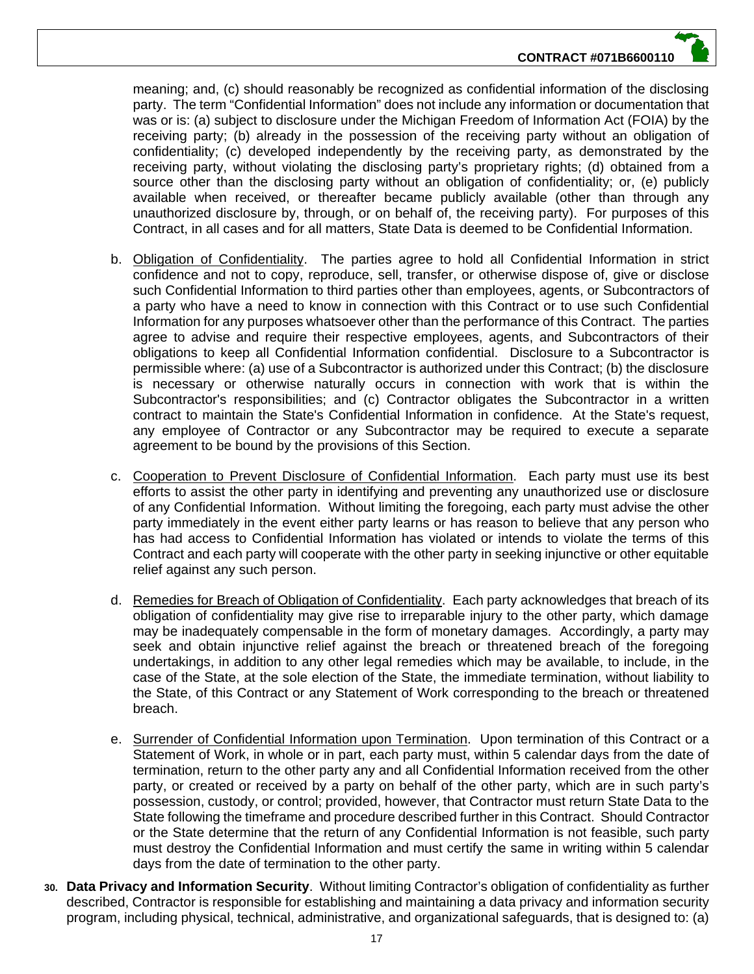meaning; and, (c) should reasonably be recognized as confidential information of the disclosing party. The term "Confidential Information" does not include any information or documentation that was or is: (a) subject to disclosure under the Michigan Freedom of Information Act (FOIA) by the receiving party; (b) already in the possession of the receiving party without an obligation of confidentiality; (c) developed independently by the receiving party, as demonstrated by the receiving party, without violating the disclosing party's proprietary rights; (d) obtained from a source other than the disclosing party without an obligation of confidentiality; or, (e) publicly available when received, or thereafter became publicly available (other than through any unauthorized disclosure by, through, or on behalf of, the receiving party). For purposes of this Contract, in all cases and for all matters, State Data is deemed to be Confidential Information.

- b. Obligation of Confidentiality. The parties agree to hold all Confidential Information in strict confidence and not to copy, reproduce, sell, transfer, or otherwise dispose of, give or disclose such Confidential Information to third parties other than employees, agents, or Subcontractors of a party who have a need to know in connection with this Contract or to use such Confidential Information for any purposes whatsoever other than the performance of this Contract. The parties agree to advise and require their respective employees, agents, and Subcontractors of their obligations to keep all Confidential Information confidential. Disclosure to a Subcontractor is permissible where: (a) use of a Subcontractor is authorized under this Contract; (b) the disclosure is necessary or otherwise naturally occurs in connection with work that is within the Subcontractor's responsibilities; and (c) Contractor obligates the Subcontractor in a written contract to maintain the State's Confidential Information in confidence. At the State's request, any employee of Contractor or any Subcontractor may be required to execute a separate agreement to be bound by the provisions of this Section.
- c. Cooperation to Prevent Disclosure of Confidential Information. Each party must use its best efforts to assist the other party in identifying and preventing any unauthorized use or disclosure of any Confidential Information. Without limiting the foregoing, each party must advise the other party immediately in the event either party learns or has reason to believe that any person who has had access to Confidential Information has violated or intends to violate the terms of this Contract and each party will cooperate with the other party in seeking injunctive or other equitable relief against any such person.
- d. Remedies for Breach of Obligation of Confidentiality. Each party acknowledges that breach of its obligation of confidentiality may give rise to irreparable injury to the other party, which damage may be inadequately compensable in the form of monetary damages. Accordingly, a party may seek and obtain injunctive relief against the breach or threatened breach of the foregoing undertakings, in addition to any other legal remedies which may be available, to include, in the case of the State, at the sole election of the State, the immediate termination, without liability to the State, of this Contract or any Statement of Work corresponding to the breach or threatened breach.
- e. Surrender of Confidential Information upon Termination. Upon termination of this Contract or a Statement of Work, in whole or in part, each party must, within 5 calendar days from the date of termination, return to the other party any and all Confidential Information received from the other party, or created or received by a party on behalf of the other party, which are in such party's possession, custody, or control; provided, however, that Contractor must return State Data to the State following the timeframe and procedure described further in this Contract. Should Contractor or the State determine that the return of any Confidential Information is not feasible, such party must destroy the Confidential Information and must certify the same in writing within 5 calendar days from the date of termination to the other party.
- **30. Data Privacy and Information Security**. Without limiting Contractor's obligation of confidentiality as further described, Contractor is responsible for establishing and maintaining a data privacy and information security program, including physical, technical, administrative, and organizational safeguards, that is designed to: (a)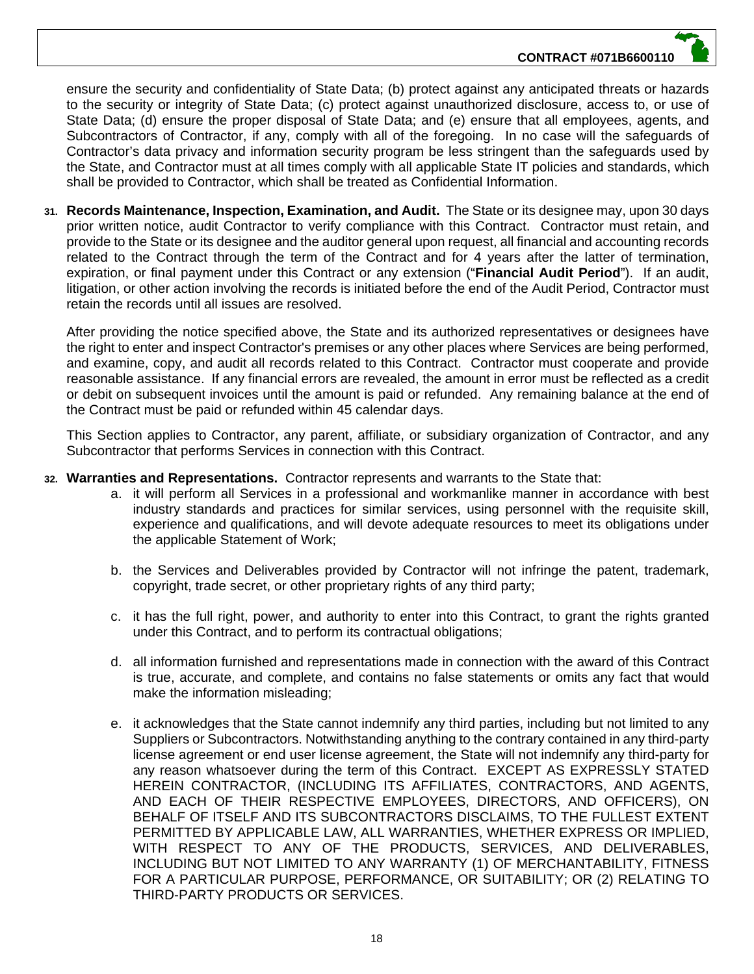ensure the security and confidentiality of State Data; (b) protect against any anticipated threats or hazards to the security or integrity of State Data; (c) protect against unauthorized disclosure, access to, or use of State Data; (d) ensure the proper disposal of State Data; and (e) ensure that all employees, agents, and Subcontractors of Contractor, if any, comply with all of the foregoing. In no case will the safeguards of Contractor's data privacy and information security program be less stringent than the safeguards used by the State, and Contractor must at all times comply with all applicable State IT policies and standards, which shall be provided to Contractor, which shall be treated as Confidential Information.

**31. Records Maintenance, Inspection, Examination, and Audit.** The State or its designee may, upon 30 days prior written notice, audit Contractor to verify compliance with this Contract. Contractor must retain, and provide to the State or its designee and the auditor general upon request, all financial and accounting records related to the Contract through the term of the Contract and for 4 years after the latter of termination, expiration, or final payment under this Contract or any extension ("**Financial Audit Period**"). If an audit, litigation, or other action involving the records is initiated before the end of the Audit Period, Contractor must retain the records until all issues are resolved.

After providing the notice specified above, the State and its authorized representatives or designees have the right to enter and inspect Contractor's premises or any other places where Services are being performed, and examine, copy, and audit all records related to this Contract. Contractor must cooperate and provide reasonable assistance. If any financial errors are revealed, the amount in error must be reflected as a credit or debit on subsequent invoices until the amount is paid or refunded. Any remaining balance at the end of the Contract must be paid or refunded within 45 calendar days.

This Section applies to Contractor, any parent, affiliate, or subsidiary organization of Contractor, and any Subcontractor that performs Services in connection with this Contract.

- **32. Warranties and Representations.** Contractor represents and warrants to the State that:
	- a. it will perform all Services in a professional and workmanlike manner in accordance with best industry standards and practices for similar services, using personnel with the requisite skill, experience and qualifications, and will devote adequate resources to meet its obligations under the applicable Statement of Work;
	- b. the Services and Deliverables provided by Contractor will not infringe the patent, trademark, copyright, trade secret, or other proprietary rights of any third party;
	- c. it has the full right, power, and authority to enter into this Contract, to grant the rights granted under this Contract, and to perform its contractual obligations;
	- d. all information furnished and representations made in connection with the award of this Contract is true, accurate, and complete, and contains no false statements or omits any fact that would make the information misleading;
	- e. it acknowledges that the State cannot indemnify any third parties, including but not limited to any Suppliers or Subcontractors. Notwithstanding anything to the contrary contained in any third-party license agreement or end user license agreement, the State will not indemnify any third-party for any reason whatsoever during the term of this Contract. EXCEPT AS EXPRESSLY STATED HEREIN CONTRACTOR, (INCLUDING ITS AFFILIATES, CONTRACTORS, AND AGENTS, AND EACH OF THEIR RESPECTIVE EMPLOYEES, DIRECTORS, AND OFFICERS), ON BEHALF OF ITSELF AND ITS SUBCONTRACTORS DISCLAIMS, TO THE FULLEST EXTENT PERMITTED BY APPLICABLE LAW, ALL WARRANTIES, WHETHER EXPRESS OR IMPLIED, WITH RESPECT TO ANY OF THE PRODUCTS, SERVICES, AND DELIVERABLES, INCLUDING BUT NOT LIMITED TO ANY WARRANTY (1) OF MERCHANTABILITY, FITNESS FOR A PARTICULAR PURPOSE, PERFORMANCE, OR SUITABILITY; OR (2) RELATING TO THIRD-PARTY PRODUCTS OR SERVICES.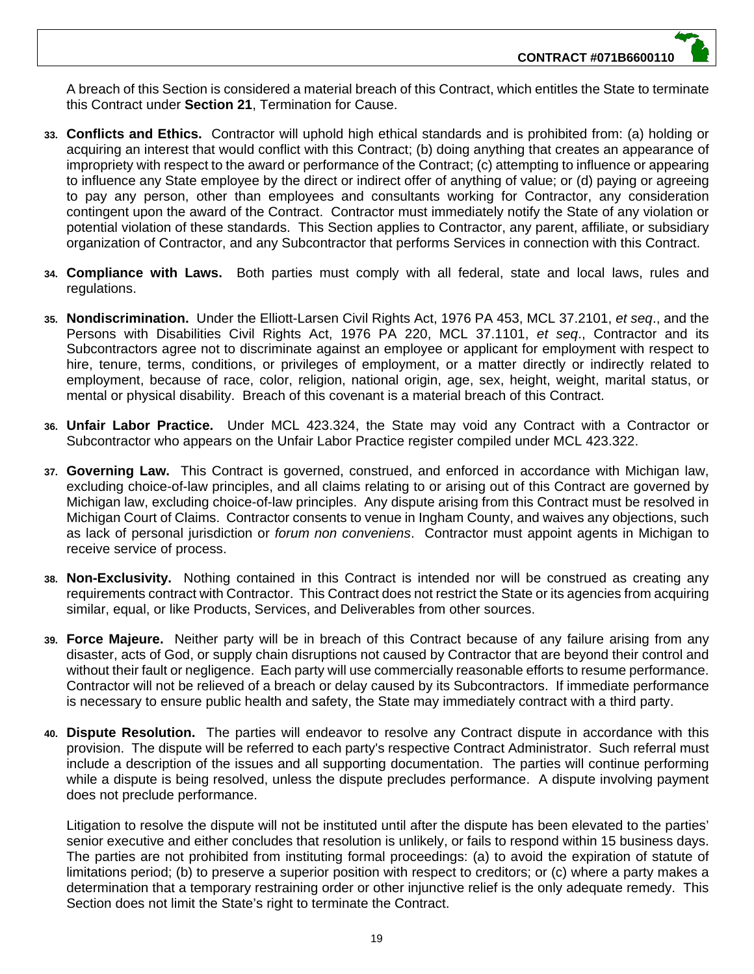A breach of this Section is considered a material breach of this Contract, which entitles the State to terminate this Contract under **Section 21**, Termination for Cause.

- **33. Conflicts and Ethics.** Contractor will uphold high ethical standards and is prohibited from: (a) holding or acquiring an interest that would conflict with this Contract; (b) doing anything that creates an appearance of impropriety with respect to the award or performance of the Contract; (c) attempting to influence or appearing to influence any State employee by the direct or indirect offer of anything of value; or (d) paying or agreeing to pay any person, other than employees and consultants working for Contractor, any consideration contingent upon the award of the Contract. Contractor must immediately notify the State of any violation or potential violation of these standards. This Section applies to Contractor, any parent, affiliate, or subsidiary organization of Contractor, and any Subcontractor that performs Services in connection with this Contract.
- **34. Compliance with Laws.** Both parties must comply with all federal, state and local laws, rules and regulations.
- **35. Nondiscrimination.** Under the Elliott-Larsen Civil Rights Act, 1976 PA 453, MCL 37.2101, *et seq*., and the Persons with Disabilities Civil Rights Act, 1976 PA 220, MCL 37.1101, *et seq*., Contractor and its Subcontractors agree not to discriminate against an employee or applicant for employment with respect to hire, tenure, terms, conditions, or privileges of employment, or a matter directly or indirectly related to employment, because of race, color, religion, national origin, age, sex, height, weight, marital status, or mental or physical disability. Breach of this covenant is a material breach of this Contract.
- **36. Unfair Labor Practice.** Under MCL 423.324, the State may void any Contract with a Contractor or Subcontractor who appears on the Unfair Labor Practice register compiled under MCL 423.322.
- **37. Governing Law.** This Contract is governed, construed, and enforced in accordance with Michigan law, excluding choice-of-law principles, and all claims relating to or arising out of this Contract are governed by Michigan law, excluding choice-of-law principles. Any dispute arising from this Contract must be resolved in Michigan Court of Claims. Contractor consents to venue in Ingham County, and waives any objections, such as lack of personal jurisdiction or *forum non conveniens*. Contractor must appoint agents in Michigan to receive service of process.
- **38. Non-Exclusivity.** Nothing contained in this Contract is intended nor will be construed as creating any requirements contract with Contractor. This Contract does not restrict the State or its agencies from acquiring similar, equal, or like Products, Services, and Deliverables from other sources.
- **39. Force Majeure.** Neither party will be in breach of this Contract because of any failure arising from any disaster, acts of God, or supply chain disruptions not caused by Contractor that are beyond their control and without their fault or negligence. Each party will use commercially reasonable efforts to resume performance. Contractor will not be relieved of a breach or delay caused by its Subcontractors. If immediate performance is necessary to ensure public health and safety, the State may immediately contract with a third party.
- **40. Dispute Resolution.** The parties will endeavor to resolve any Contract dispute in accordance with this provision. The dispute will be referred to each party's respective Contract Administrator. Such referral must include a description of the issues and all supporting documentation. The parties will continue performing while a dispute is being resolved, unless the dispute precludes performance. A dispute involving payment does not preclude performance.

Litigation to resolve the dispute will not be instituted until after the dispute has been elevated to the parties' senior executive and either concludes that resolution is unlikely, or fails to respond within 15 business days. The parties are not prohibited from instituting formal proceedings: (a) to avoid the expiration of statute of limitations period; (b) to preserve a superior position with respect to creditors; or (c) where a party makes a determination that a temporary restraining order or other injunctive relief is the only adequate remedy. This Section does not limit the State's right to terminate the Contract.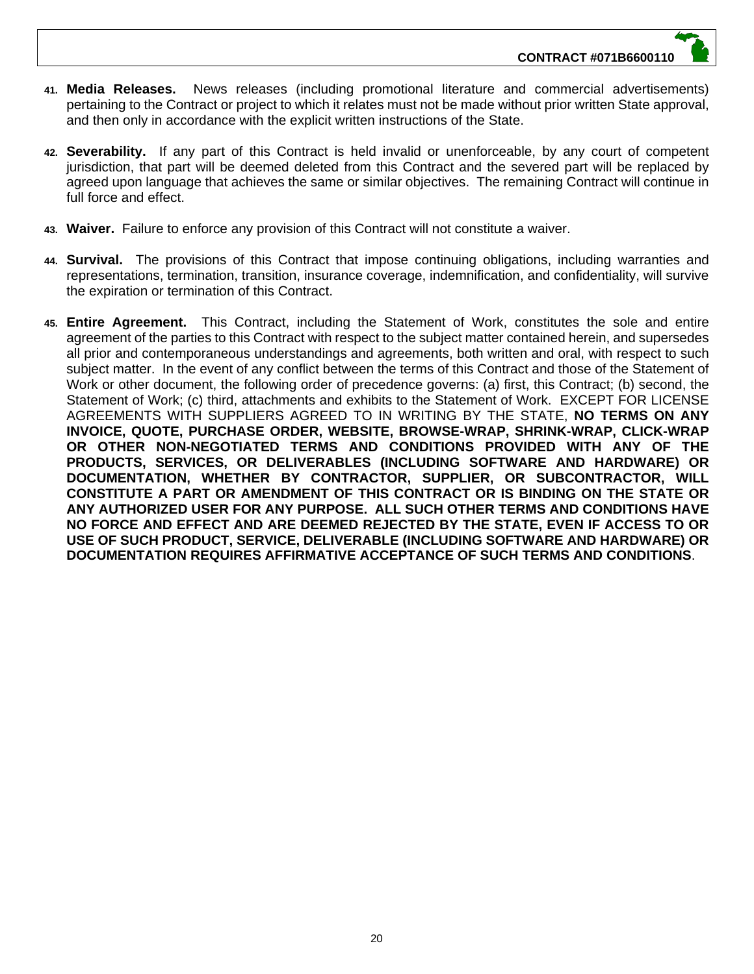- **41. Media Releases.** News releases (including promotional literature and commercial advertisements) pertaining to the Contract or project to which it relates must not be made without prior written State approval, and then only in accordance with the explicit written instructions of the State.
- **42. Severability.** If any part of this Contract is held invalid or unenforceable, by any court of competent jurisdiction, that part will be deemed deleted from this Contract and the severed part will be replaced by agreed upon language that achieves the same or similar objectives. The remaining Contract will continue in full force and effect.
- **43. Waiver.** Failure to enforce any provision of this Contract will not constitute a waiver.
- **44. Survival.** The provisions of this Contract that impose continuing obligations, including warranties and representations, termination, transition, insurance coverage, indemnification, and confidentiality, will survive the expiration or termination of this Contract.
- **45. Entire Agreement.** This Contract, including the Statement of Work, constitutes the sole and entire agreement of the parties to this Contract with respect to the subject matter contained herein, and supersedes all prior and contemporaneous understandings and agreements, both written and oral, with respect to such subject matter. In the event of any conflict between the terms of this Contract and those of the Statement of Work or other document, the following order of precedence governs: (a) first, this Contract; (b) second, the Statement of Work; (c) third, attachments and exhibits to the Statement of Work. EXCEPT FOR LICENSE AGREEMENTS WITH SUPPLIERS AGREED TO IN WRITING BY THE STATE, **NO TERMS ON ANY INVOICE, QUOTE, PURCHASE ORDER, WEBSITE, BROWSE-WRAP, SHRINK-WRAP, CLICK-WRAP OR OTHER NON-NEGOTIATED TERMS AND CONDITIONS PROVIDED WITH ANY OF THE PRODUCTS, SERVICES, OR DELIVERABLES (INCLUDING SOFTWARE AND HARDWARE) OR DOCUMENTATION, WHETHER BY CONTRACTOR, SUPPLIER, OR SUBCONTRACTOR, WILL CONSTITUTE A PART OR AMENDMENT OF THIS CONTRACT OR IS BINDING ON THE STATE OR ANY AUTHORIZED USER FOR ANY PURPOSE. ALL SUCH OTHER TERMS AND CONDITIONS HAVE NO FORCE AND EFFECT AND ARE DEEMED REJECTED BY THE STATE, EVEN IF ACCESS TO OR USE OF SUCH PRODUCT, SERVICE, DELIVERABLE (INCLUDING SOFTWARE AND HARDWARE) OR DOCUMENTATION REQUIRES AFFIRMATIVE ACCEPTANCE OF SUCH TERMS AND CONDITIONS**.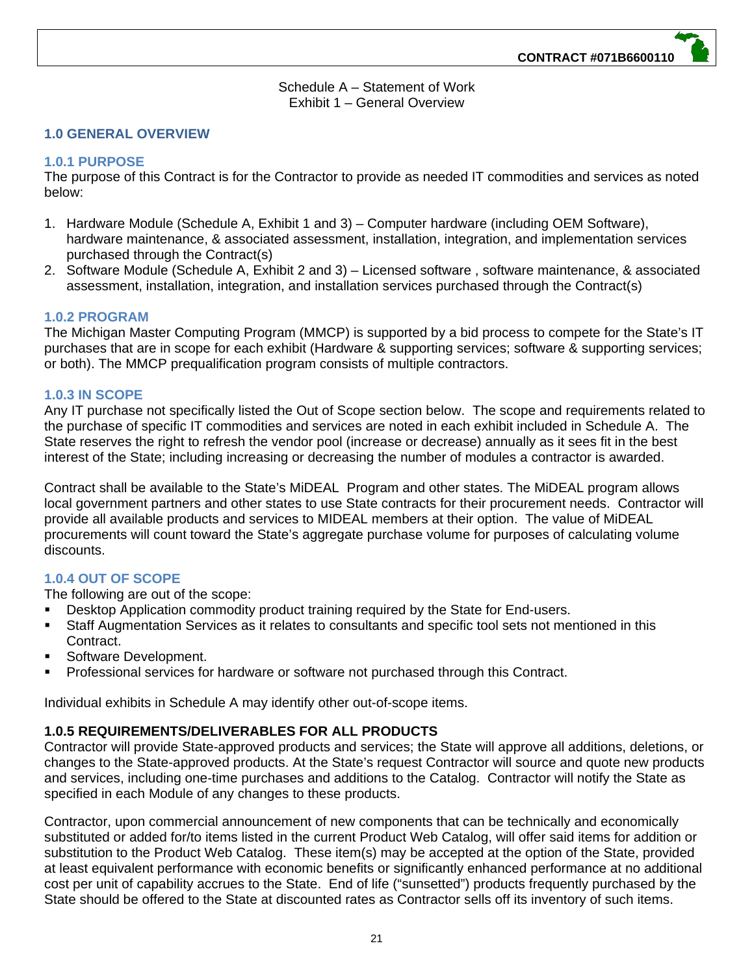Schedule A – Statement of Work Exhibit 1 – General Overview

#### **1.0 GENERAL OVERVIEW**

#### **1.0.1 PURPOSE**

The purpose of this Contract is for the Contractor to provide as needed IT commodities and services as noted below:

- 1. Hardware Module (Schedule A, Exhibit 1 and 3) Computer hardware (including OEM Software), hardware maintenance, & associated assessment, installation, integration, and implementation services purchased through the Contract(s)
- 2. Software Module (Schedule A, Exhibit 2 and 3) Licensed software , software maintenance, & associated assessment, installation, integration, and installation services purchased through the Contract(s)

#### **1.0.2 PROGRAM**

The Michigan Master Computing Program (MMCP) is supported by a bid process to compete for the State's IT purchases that are in scope for each exhibit (Hardware & supporting services; software & supporting services; or both). The MMCP prequalification program consists of multiple contractors.

#### **1.0.3 IN SCOPE**

Any IT purchase not specifically listed the Out of Scope section below. The scope and requirements related to the purchase of specific IT commodities and services are noted in each exhibit included in Schedule A. The State reserves the right to refresh the vendor pool (increase or decrease) annually as it sees fit in the best interest of the State; including increasing or decreasing the number of modules a contractor is awarded.

Contract shall be available to the State's MiDEAL Program and other states. The MiDEAL program allows local government partners and other states to use State contracts for their procurement needs. Contractor will provide all available products and services to MIDEAL members at their option. The value of MiDEAL procurements will count toward the State's aggregate purchase volume for purposes of calculating volume discounts.

# **1.0.4 OUT OF SCOPE**

The following are out of the scope:

- Desktop Application commodity product training required by the State for End-users.
- Staff Augmentation Services as it relates to consultants and specific tool sets not mentioned in this Contract.
- Software Development.
- Professional services for hardware or software not purchased through this Contract.

Individual exhibits in Schedule A may identify other out-of-scope items.

# **1.0.5 REQUIREMENTS/DELIVERABLES FOR ALL PRODUCTS**

Contractor will provide State-approved products and services; the State will approve all additions, deletions, or changes to the State-approved products. At the State's request Contractor will source and quote new products and services, including one-time purchases and additions to the Catalog. Contractor will notify the State as specified in each Module of any changes to these products.

Contractor, upon commercial announcement of new components that can be technically and economically substituted or added for/to items listed in the current Product Web Catalog, will offer said items for addition or substitution to the Product Web Catalog. These item(s) may be accepted at the option of the State, provided at least equivalent performance with economic benefits or significantly enhanced performance at no additional cost per unit of capability accrues to the State. End of life ("sunsetted") products frequently purchased by the State should be offered to the State at discounted rates as Contractor sells off its inventory of such items.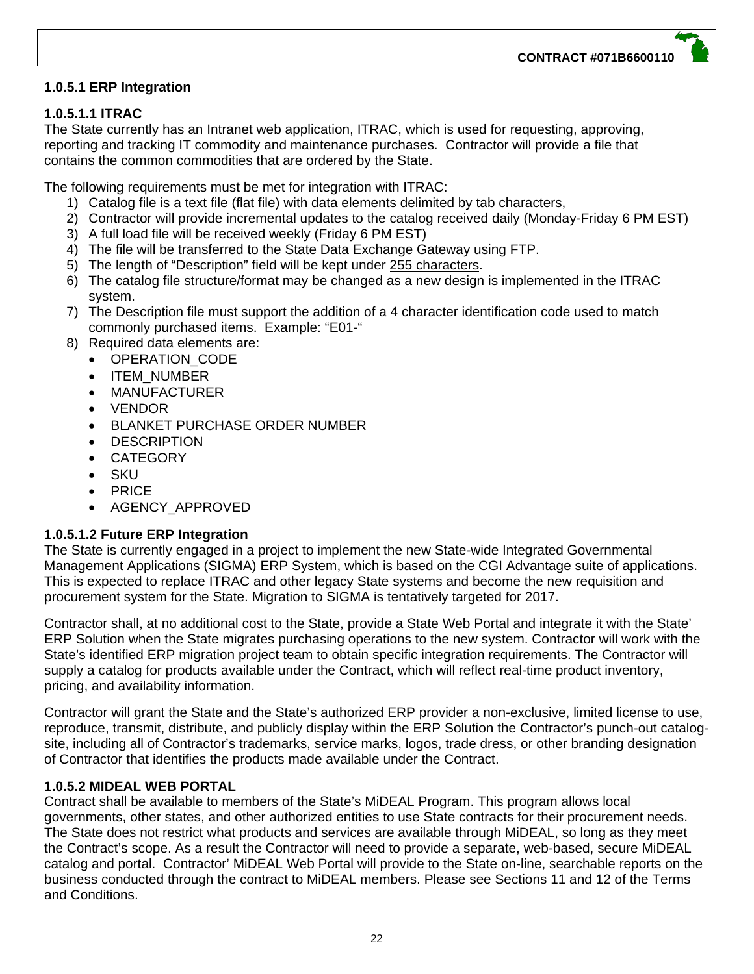# **1.0.5.1 ERP Integration**

# **1.0.5.1.1 ITRAC**

The State currently has an Intranet web application, ITRAC, which is used for requesting, approving, reporting and tracking IT commodity and maintenance purchases. Contractor will provide a file that contains the common commodities that are ordered by the State.

The following requirements must be met for integration with ITRAC:

- 1) Catalog file is a text file (flat file) with data elements delimited by tab characters,
- 2) Contractor will provide incremental updates to the catalog received daily (Monday-Friday 6 PM EST)
- 3) A full load file will be received weekly (Friday 6 PM EST)
- 4) The file will be transferred to the State Data Exchange Gateway using FTP.
- 5) The length of "Description" field will be kept under 255 characters.
- 6) The catalog file structure/format may be changed as a new design is implemented in the ITRAC system.
- 7) The Description file must support the addition of a 4 character identification code used to match commonly purchased items. Example: "E01-"
- 8) Required data elements are:
	- OPERATION CODE
		- ITEM\_NUMBER
	- MANUFACTURER
	- VENDOR
	- BLANKET PURCHASE ORDER NUMBER
	- **DESCRIPTION**
	- CATEGORY
	- SKU
	- $\bullet$  PRICE
	- AGENCY\_APPROVED

# **1.0.5.1.2 Future ERP Integration**

The State is currently engaged in a project to implement the new State-wide Integrated Governmental Management Applications (SIGMA) ERP System, which is based on the CGI Advantage suite of applications. This is expected to replace ITRAC and other legacy State systems and become the new requisition and procurement system for the State. Migration to SIGMA is tentatively targeted for 2017.

Contractor shall, at no additional cost to the State, provide a State Web Portal and integrate it with the State' ERP Solution when the State migrates purchasing operations to the new system. Contractor will work with the State's identified ERP migration project team to obtain specific integration requirements. The Contractor will supply a catalog for products available under the Contract, which will reflect real-time product inventory, pricing, and availability information.

Contractor will grant the State and the State's authorized ERP provider a non-exclusive, limited license to use, reproduce, transmit, distribute, and publicly display within the ERP Solution the Contractor's punch-out catalogsite, including all of Contractor's trademarks, service marks, logos, trade dress, or other branding designation of Contractor that identifies the products made available under the Contract.

# **1.0.5.2 MIDEAL WEB PORTAL**

Contract shall be available to members of the State's MiDEAL Program. This program allows local governments, other states, and other authorized entities to use State contracts for their procurement needs. The State does not restrict what products and services are available through MiDEAL, so long as they meet the Contract's scope. As a result the Contractor will need to provide a separate, web-based, secure MiDEAL catalog and portal. Contractor' MiDEAL Web Portal will provide to the State on-line, searchable reports on the business conducted through the contract to MiDEAL members. Please see Sections 11 and 12 of the Terms and Conditions.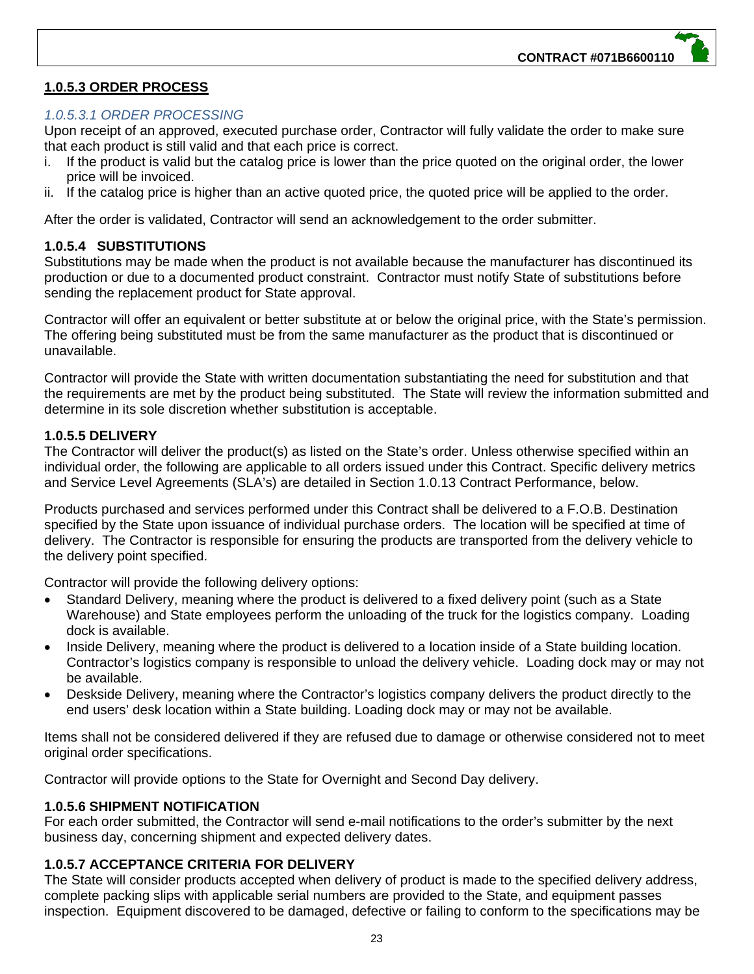# **1.0.5.3 ORDER PROCESS**

# *1.0.5.3.1 ORDER PROCESSING*

Upon receipt of an approved, executed purchase order, Contractor will fully validate the order to make sure that each product is still valid and that each price is correct.

- i. If the product is valid but the catalog price is lower than the price quoted on the original order, the lower price will be invoiced.
- ii. If the catalog price is higher than an active quoted price, the quoted price will be applied to the order.

After the order is validated, Contractor will send an acknowledgement to the order submitter.

# **1.0.5.4 SUBSTITUTIONS**

Substitutions may be made when the product is not available because the manufacturer has discontinued its production or due to a documented product constraint. Contractor must notify State of substitutions before sending the replacement product for State approval.

Contractor will offer an equivalent or better substitute at or below the original price, with the State's permission. The offering being substituted must be from the same manufacturer as the product that is discontinued or unavailable.

Contractor will provide the State with written documentation substantiating the need for substitution and that the requirements are met by the product being substituted. The State will review the information submitted and determine in its sole discretion whether substitution is acceptable.

# **1.0.5.5 DELIVERY**

The Contractor will deliver the product(s) as listed on the State's order. Unless otherwise specified within an individual order, the following are applicable to all orders issued under this Contract. Specific delivery metrics and Service Level Agreements (SLA's) are detailed in Section 1.0.13 Contract Performance, below.

Products purchased and services performed under this Contract shall be delivered to a F.O.B. Destination specified by the State upon issuance of individual purchase orders. The location will be specified at time of delivery. The Contractor is responsible for ensuring the products are transported from the delivery vehicle to the delivery point specified.

Contractor will provide the following delivery options:

- Standard Delivery, meaning where the product is delivered to a fixed delivery point (such as a State Warehouse) and State employees perform the unloading of the truck for the logistics company. Loading dock is available.
- Inside Delivery, meaning where the product is delivered to a location inside of a State building location. Contractor's logistics company is responsible to unload the delivery vehicle. Loading dock may or may not be available.
- Deskside Delivery, meaning where the Contractor's logistics company delivers the product directly to the end users' desk location within a State building. Loading dock may or may not be available.

Items shall not be considered delivered if they are refused due to damage or otherwise considered not to meet original order specifications.

Contractor will provide options to the State for Overnight and Second Day delivery.

# **1.0.5.6 SHIPMENT NOTIFICATION**

For each order submitted, the Contractor will send e-mail notifications to the order's submitter by the next business day, concerning shipment and expected delivery dates.

# **1.0.5.7 ACCEPTANCE CRITERIA FOR DELIVERY**

The State will consider products accepted when delivery of product is made to the specified delivery address, complete packing slips with applicable serial numbers are provided to the State, and equipment passes inspection. Equipment discovered to be damaged, defective or failing to conform to the specifications may be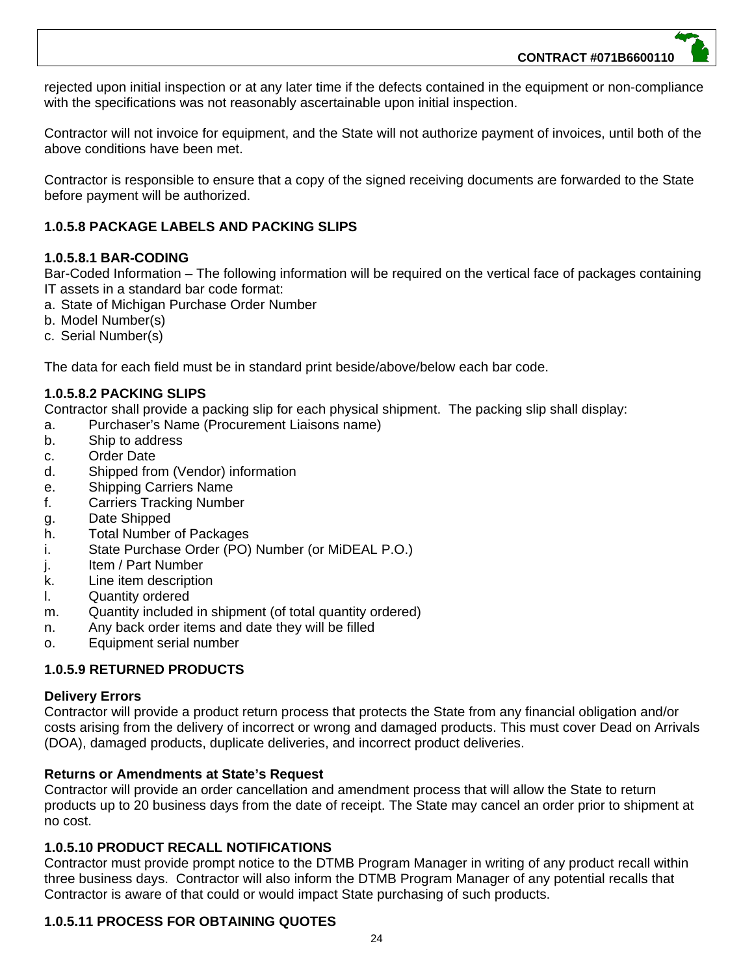rejected upon initial inspection or at any later time if the defects contained in the equipment or non-compliance with the specifications was not reasonably ascertainable upon initial inspection.

Contractor will not invoice for equipment, and the State will not authorize payment of invoices, until both of the above conditions have been met.

Contractor is responsible to ensure that a copy of the signed receiving documents are forwarded to the State before payment will be authorized.

# **1.0.5.8 PACKAGE LABELS AND PACKING SLIPS**

# **1.0.5.8.1 BAR-CODING**

Bar-Coded Information – The following information will be required on the vertical face of packages containing IT assets in a standard bar code format:

- a. State of Michigan Purchase Order Number
- b. Model Number(s)
- c. Serial Number(s)

The data for each field must be in standard print beside/above/below each bar code.

# **1.0.5.8.2 PACKING SLIPS**

Contractor shall provide a packing slip for each physical shipment. The packing slip shall display:

- a. Purchaser's Name (Procurement Liaisons name)
- b. Ship to address
- c. Order Date
- d. Shipped from (Vendor) information
- e. Shipping Carriers Name
- f. Carriers Tracking Number
- g. Date Shipped
- h. Total Number of Packages
- i. State Purchase Order (PO) Number (or MiDEAL P.O.)
- j. Item / Part Number
- k. Line item description
- l. Quantity ordered
- m. Quantity included in shipment (of total quantity ordered)
- n. Any back order items and date they will be filled
- o. Equipment serial number

# **1.0.5.9 RETURNED PRODUCTS**

#### **Delivery Errors**

Contractor will provide a product return process that protects the State from any financial obligation and/or costs arising from the delivery of incorrect or wrong and damaged products. This must cover Dead on Arrivals (DOA), damaged products, duplicate deliveries, and incorrect product deliveries.

# **Returns or Amendments at State's Request**

Contractor will provide an order cancellation and amendment process that will allow the State to return products up to 20 business days from the date of receipt. The State may cancel an order prior to shipment at no cost.

# **1.0.5.10 PRODUCT RECALL NOTIFICATIONS**

Contractor must provide prompt notice to the DTMB Program Manager in writing of any product recall within three business days. Contractor will also inform the DTMB Program Manager of any potential recalls that Contractor is aware of that could or would impact State purchasing of such products.

# **1.0.5.11 PROCESS FOR OBTAINING QUOTES**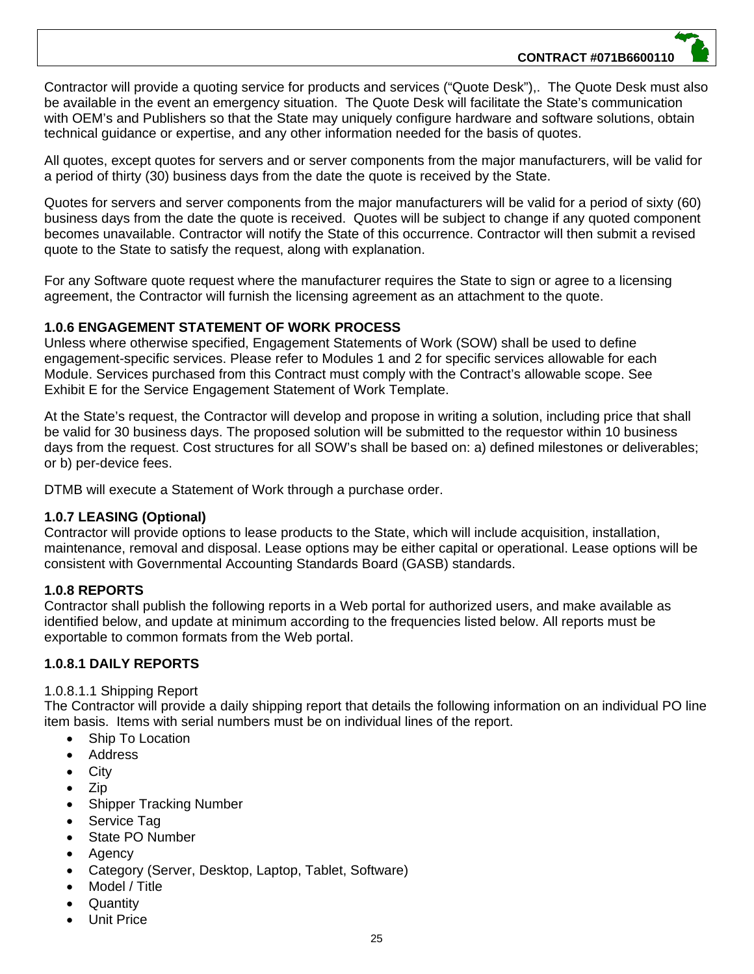Contractor will provide a quoting service for products and services ("Quote Desk"),. The Quote Desk must also be available in the event an emergency situation. The Quote Desk will facilitate the State's communication with OEM's and Publishers so that the State may uniquely configure hardware and software solutions, obtain technical guidance or expertise, and any other information needed for the basis of quotes.

All quotes, except quotes for servers and or server components from the major manufacturers, will be valid for a period of thirty (30) business days from the date the quote is received by the State.

Quotes for servers and server components from the major manufacturers will be valid for a period of sixty (60) business days from the date the quote is received. Quotes will be subject to change if any quoted component becomes unavailable. Contractor will notify the State of this occurrence. Contractor will then submit a revised quote to the State to satisfy the request, along with explanation.

For any Software quote request where the manufacturer requires the State to sign or agree to a licensing agreement, the Contractor will furnish the licensing agreement as an attachment to the quote.

# **1.0.6 ENGAGEMENT STATEMENT OF WORK PROCESS**

Unless where otherwise specified, Engagement Statements of Work (SOW) shall be used to define engagement-specific services. Please refer to Modules 1 and 2 for specific services allowable for each Module. Services purchased from this Contract must comply with the Contract's allowable scope. See Exhibit E for the Service Engagement Statement of Work Template.

At the State's request, the Contractor will develop and propose in writing a solution, including price that shall be valid for 30 business days. The proposed solution will be submitted to the requestor within 10 business days from the request. Cost structures for all SOW's shall be based on: a) defined milestones or deliverables; or b) per-device fees.

DTMB will execute a Statement of Work through a purchase order.

# **1.0.7 LEASING (Optional)**

Contractor will provide options to lease products to the State, which will include acquisition, installation, maintenance, removal and disposal. Lease options may be either capital or operational. Lease options will be consistent with Governmental Accounting Standards Board (GASB) standards.

# **1.0.8 REPORTS**

Contractor shall publish the following reports in a Web portal for authorized users, and make available as identified below, and update at minimum according to the frequencies listed below. All reports must be exportable to common formats from the Web portal.

# **1.0.8.1 DAILY REPORTS**

#### 1.0.8.1.1 Shipping Report

The Contractor will provide a daily shipping report that details the following information on an individual PO line item basis. Items with serial numbers must be on individual lines of the report.

- Ship To Location
- Address
- City
- $\bullet$  Zip
- Shipper Tracking Number
- Service Tag
- State PO Number
- Agency
- Category (Server, Desktop, Laptop, Tablet, Software)
- Model / Title
- **Quantity**
- Unit Price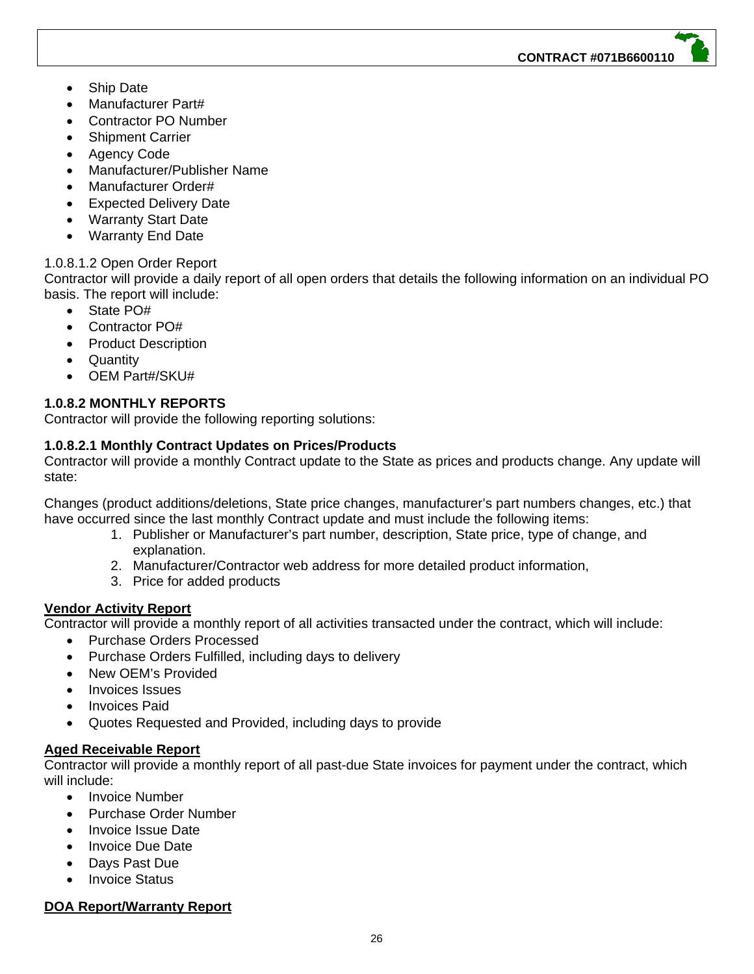- Ship Date
- Manufacturer Part#
- Contractor PO Number
- Shipment Carrier
- Agency Code
- Manufacturer/Publisher Name
- Manufacturer Order#
- **Expected Delivery Date**
- Warranty Start Date
- Warranty End Date

# 1.0.8.1.2 Open Order Report

Contractor will provide a daily report of all open orders that details the following information on an individual PO basis. The report will include:

- State PO#
- Contractor PO#
- Product Description
- Quantity
- OEM Part#/SKU#

# **1.0.8.2 MONTHLY REPORTS**

Contractor will provide the following reporting solutions:

# **1.0.8.2.1 Monthly Contract Updates on Prices/Products**

Contractor will provide a monthly Contract update to the State as prices and products change. Any update will state:

Changes (product additions/deletions, State price changes, manufacturer's part numbers changes, etc.) that have occurred since the last monthly Contract update and must include the following items:

- 1. Publisher or Manufacturer's part number, description, State price, type of change, and explanation.
- 2. Manufacturer/Contractor web address for more detailed product information,
- 3. Price for added products

# **Vendor Activity Report**

Contractor will provide a monthly report of all activities transacted under the contract, which will include:

- Purchase Orders Processed
- Purchase Orders Fulfilled, including days to delivery
- New OEM's Provided
- Invoices Issues
- Invoices Paid
- Quotes Requested and Provided, including days to provide

# **Aged Receivable Report**

Contractor will provide a monthly report of all past-due State invoices for payment under the contract, which will include:

- Invoice Number
- Purchase Order Number
- Invoice Issue Date
- Invoice Due Date
- Days Past Due
- Invoice Status

# **DOA Report/Warranty Report**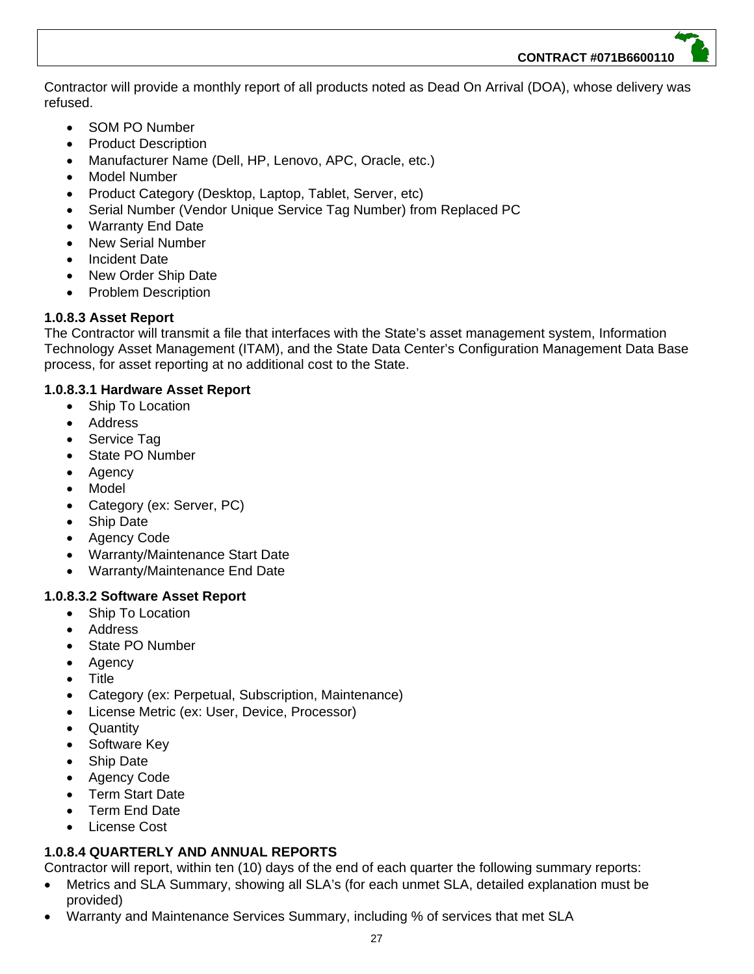Contractor will provide a monthly report of all products noted as Dead On Arrival (DOA), whose delivery was refused.

- SOM PO Number
- Product Description
- Manufacturer Name (Dell, HP, Lenovo, APC, Oracle, etc.)
- Model Number
- Product Category (Desktop, Laptop, Tablet, Server, etc)
- Serial Number (Vendor Unique Service Tag Number) from Replaced PC
- Warranty End Date
- New Serial Number
- Incident Date
- New Order Ship Date
- Problem Description

# **1.0.8.3 Asset Report**

The Contractor will transmit a file that interfaces with the State's asset management system, Information Technology Asset Management (ITAM), and the State Data Center's Configuration Management Data Base process, for asset reporting at no additional cost to the State.

# **1.0.8.3.1 Hardware Asset Report**

- Ship To Location
- Address
- Service Tag
- State PO Number
- Agency
- Model
- Category (ex: Server, PC)
- Ship Date
- Agency Code
- Warranty/Maintenance Start Date
- Warranty/Maintenance End Date

# **1.0.8.3.2 Software Asset Report**

- Ship To Location
- Address
- State PO Number
- Agency
- Title
- Category (ex: Perpetual, Subscription, Maintenance)
- License Metric (ex: User, Device, Processor)
- **Quantity**
- Software Key
- Ship Date
- Agency Code
- Term Start Date
- Term End Date
- License Cost

# **1.0.8.4 QUARTERLY AND ANNUAL REPORTS**

Contractor will report, within ten (10) days of the end of each quarter the following summary reports:

- Metrics and SLA Summary, showing all SLA's (for each unmet SLA, detailed explanation must be provided)
- Warranty and Maintenance Services Summary, including % of services that met SLA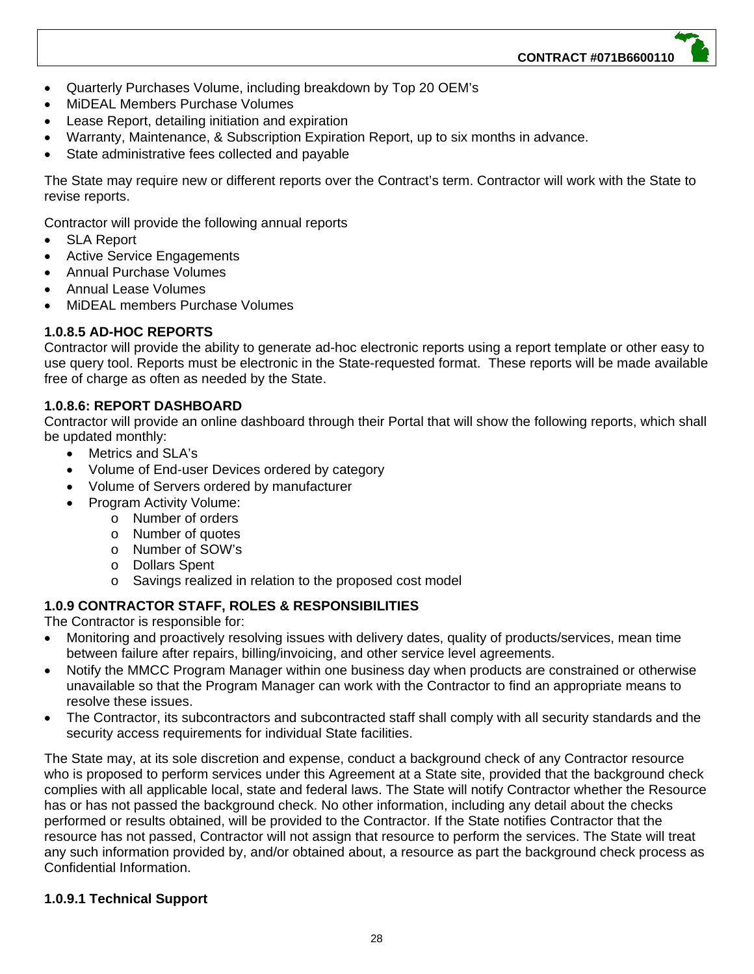- Quarterly Purchases Volume, including breakdown by Top 20 OEM's
- MiDEAL Members Purchase Volumes
- Lease Report, detailing initiation and expiration
- Warranty, Maintenance, & Subscription Expiration Report, up to six months in advance.
- State administrative fees collected and payable

The State may require new or different reports over the Contract's term. Contractor will work with the State to revise reports.

Contractor will provide the following annual reports

- SLA Report
- Active Service Engagements
- Annual Purchase Volumes
- Annual Lease Volumes
- MiDEAL members Purchase Volumes

# **1.0.8.5 AD-HOC REPORTS**

Contractor will provide the ability to generate ad-hoc electronic reports using a report template or other easy to use query tool. Reports must be electronic in the State-requested format. These reports will be made available free of charge as often as needed by the State.

# **1.0.8.6: REPORT DASHBOARD**

Contractor will provide an online dashboard through their Portal that will show the following reports, which shall be updated monthly:

- Metrics and SLA's
- Volume of End-user Devices ordered by category
- Volume of Servers ordered by manufacturer
- Program Activity Volume:
	- o Number of orders
	- o Number of quotes
	- o Number of SOW's
	- o Dollars Spent
	- o Savings realized in relation to the proposed cost model

# **1.0.9 CONTRACTOR STAFF, ROLES & RESPONSIBILITIES**

The Contractor is responsible for:

- Monitoring and proactively resolving issues with delivery dates, quality of products/services, mean time between failure after repairs, billing/invoicing, and other service level agreements.
- Notify the MMCC Program Manager within one business day when products are constrained or otherwise unavailable so that the Program Manager can work with the Contractor to find an appropriate means to resolve these issues.
- The Contractor, its subcontractors and subcontracted staff shall comply with all security standards and the security access requirements for individual State facilities.

The State may, at its sole discretion and expense, conduct a background check of any Contractor resource who is proposed to perform services under this Agreement at a State site, provided that the background check complies with all applicable local, state and federal laws. The State will notify Contractor whether the Resource has or has not passed the background check. No other information, including any detail about the checks performed or results obtained, will be provided to the Contractor. If the State notifies Contractor that the resource has not passed, Contractor will not assign that resource to perform the services. The State will treat any such information provided by, and/or obtained about, a resource as part the background check process as Confidential Information.

# **1.0.9.1 Technical Support**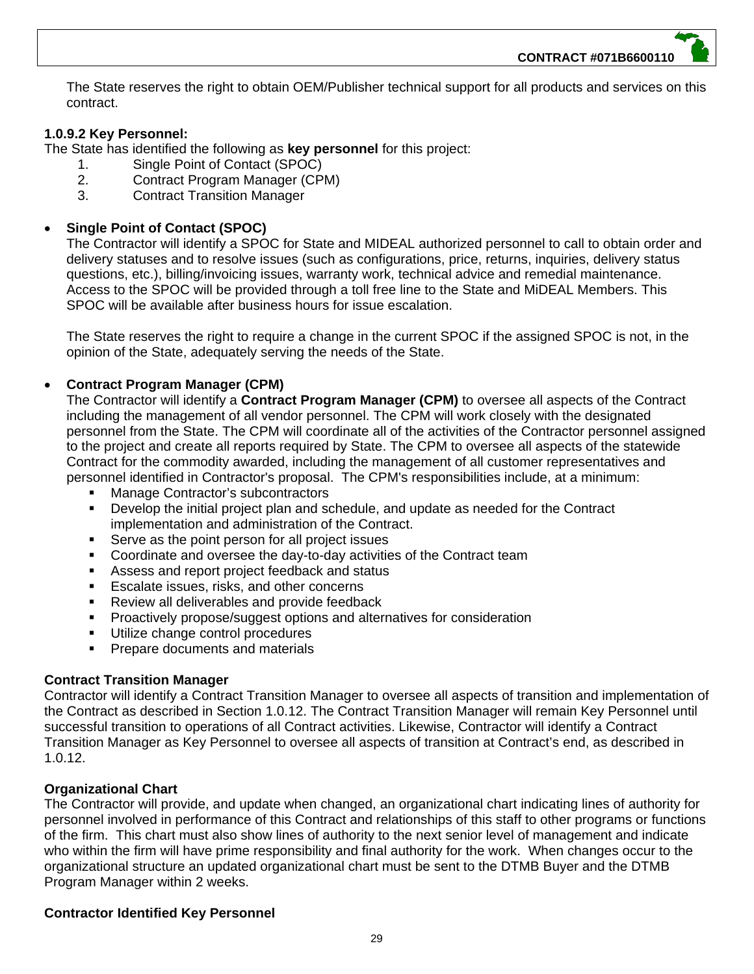The State reserves the right to obtain OEM/Publisher technical support for all products and services on this contract.

# **1.0.9.2 Key Personnel:**

The State has identified the following as **key personnel** for this project:

- 1. Single Point of Contact (SPOC)
- 2. Contract Program Manager (CPM)
- 3. Contract Transition Manager

# **Single Point of Contact (SPOC)**

The Contractor will identify a SPOC for State and MIDEAL authorized personnel to call to obtain order and delivery statuses and to resolve issues (such as configurations, price, returns, inquiries, delivery status questions, etc.), billing/invoicing issues, warranty work, technical advice and remedial maintenance. Access to the SPOC will be provided through a toll free line to the State and MiDEAL Members. This SPOC will be available after business hours for issue escalation.

The State reserves the right to require a change in the current SPOC if the assigned SPOC is not, in the opinion of the State, adequately serving the needs of the State.

# **Contract Program Manager (CPM)**

The Contractor will identify a **Contract Program Manager (CPM)** to oversee all aspects of the Contract including the management of all vendor personnel. The CPM will work closely with the designated personnel from the State. The CPM will coordinate all of the activities of the Contractor personnel assigned to the project and create all reports required by State. The CPM to oversee all aspects of the statewide Contract for the commodity awarded, including the management of all customer representatives and personnel identified in Contractor's proposal. The CPM's responsibilities include, at a minimum:

- Manage Contractor's subcontractors
- Develop the initial project plan and schedule, and update as needed for the Contract implementation and administration of the Contract.
- Serve as the point person for all project issues
- **Coordinate and oversee the day-to-day activities of the Contract team**
- Assess and report project feedback and status
- **Escalate issues, risks, and other concerns**
- **Review all deliverables and provide feedback**
- **Proactively propose/suggest options and alternatives for consideration**
- Utilize change control procedures
- Prepare documents and materials

# **Contract Transition Manager**

Contractor will identify a Contract Transition Manager to oversee all aspects of transition and implementation of the Contract as described in Section 1.0.12. The Contract Transition Manager will remain Key Personnel until successful transition to operations of all Contract activities. Likewise, Contractor will identify a Contract Transition Manager as Key Personnel to oversee all aspects of transition at Contract's end, as described in 1.0.12.

# **Organizational Chart**

The Contractor will provide, and update when changed, an organizational chart indicating lines of authority for personnel involved in performance of this Contract and relationships of this staff to other programs or functions of the firm. This chart must also show lines of authority to the next senior level of management and indicate who within the firm will have prime responsibility and final authority for the work. When changes occur to the organizational structure an updated organizational chart must be sent to the DTMB Buyer and the DTMB Program Manager within 2 weeks.

# **Contractor Identified Key Personnel**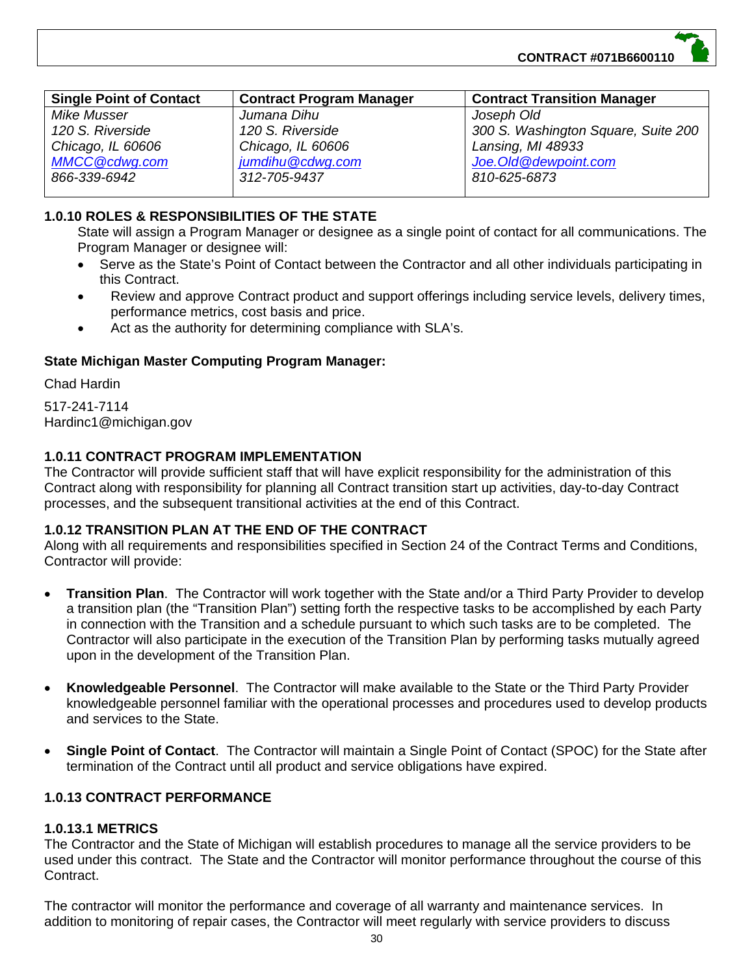

| <b>Single Point of Contact</b> | <b>Contract Program Manager</b> | <b>Contract Transition Manager</b>  |
|--------------------------------|---------------------------------|-------------------------------------|
| Mike Musser                    | Jumana Dihu                     | Joseph Old                          |
| 120 S. Riverside               | 120 S. Riverside                | 300 S. Washington Square, Suite 200 |
| Chicago, IL 60606              | Chicago, IL 60606               | Lansing, MI 48933                   |
| <b>MMCC@cdwg.com</b>           | jumdihu@cdwg.com                | Joe. Old @dewpoint.com              |
| 866-339-6942                   | 312-705-9437                    | 810-625-6873                        |
|                                |                                 |                                     |

# **1.0.10 ROLES & RESPONSIBILITIES OF THE STATE**

State will assign a Program Manager or designee as a single point of contact for all communications. The Program Manager or designee will:

- Serve as the State's Point of Contact between the Contractor and all other individuals participating in this Contract.
- Review and approve Contract product and support offerings including service levels, delivery times, performance metrics, cost basis and price.
- Act as the authority for determining compliance with SLA's.

# **State Michigan Master Computing Program Manager:**

Chad Hardin

517-241-7114 Hardinc1@michigan.gov

# **1.0.11 CONTRACT PROGRAM IMPLEMENTATION**

The Contractor will provide sufficient staff that will have explicit responsibility for the administration of this Contract along with responsibility for planning all Contract transition start up activities, day-to-day Contract processes, and the subsequent transitional activities at the end of this Contract.

# **1.0.12 TRANSITION PLAN AT THE END OF THE CONTRACT**

Along with all requirements and responsibilities specified in Section 24 of the Contract Terms and Conditions, Contractor will provide:

- **Transition Plan**. The Contractor will work together with the State and/or a Third Party Provider to develop a transition plan (the "Transition Plan") setting forth the respective tasks to be accomplished by each Party in connection with the Transition and a schedule pursuant to which such tasks are to be completed. The Contractor will also participate in the execution of the Transition Plan by performing tasks mutually agreed upon in the development of the Transition Plan.
- **Knowledgeable Personnel**. The Contractor will make available to the State or the Third Party Provider knowledgeable personnel familiar with the operational processes and procedures used to develop products and services to the State.
- **Single Point of Contact**. The Contractor will maintain a Single Point of Contact (SPOC) for the State after termination of the Contract until all product and service obligations have expired.

# **1.0.13 CONTRACT PERFORMANCE**

# **1.0.13.1 METRICS**

The Contractor and the State of Michigan will establish procedures to manage all the service providers to be used under this contract. The State and the Contractor will monitor performance throughout the course of this Contract.

The contractor will monitor the performance and coverage of all warranty and maintenance services. In addition to monitoring of repair cases, the Contractor will meet regularly with service providers to discuss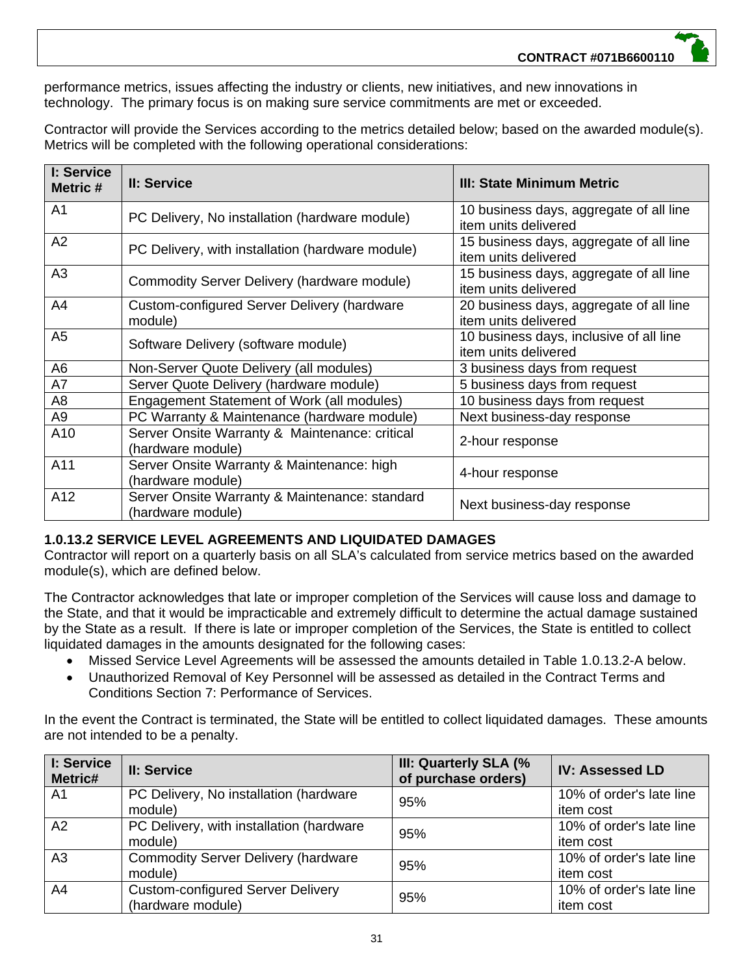performance metrics, issues affecting the industry or clients, new initiatives, and new innovations in technology. The primary focus is on making sure service commitments are met or exceeded.

Contractor will provide the Services according to the metrics detailed below; based on the awarded module(s). Metrics will be completed with the following operational considerations:

| I: Service<br>Metric # | II: Service                                                         | III: State Minimum Metric                                       |
|------------------------|---------------------------------------------------------------------|-----------------------------------------------------------------|
| A <sub>1</sub>         | PC Delivery, No installation (hardware module)                      | 10 business days, aggregate of all line<br>item units delivered |
| A2                     | PC Delivery, with installation (hardware module)                    | 15 business days, aggregate of all line<br>item units delivered |
| A <sub>3</sub>         | Commodity Server Delivery (hardware module)                         | 15 business days, aggregate of all line<br>item units delivered |
| A4                     | Custom-configured Server Delivery (hardware<br>module)              | 20 business days, aggregate of all line<br>item units delivered |
| A <sub>5</sub>         | Software Delivery (software module)                                 | 10 business days, inclusive of all line<br>item units delivered |
| A <sub>6</sub>         | Non-Server Quote Delivery (all modules)                             | 3 business days from request                                    |
| A7                     | Server Quote Delivery (hardware module)                             | 5 business days from request                                    |
| A <sub>8</sub>         | Engagement Statement of Work (all modules)                          | 10 business days from request                                   |
| A <sub>9</sub>         | PC Warranty & Maintenance (hardware module)                         | Next business-day response                                      |
| A10                    | Server Onsite Warranty & Maintenance: critical<br>(hardware module) | 2-hour response                                                 |
| A11                    | Server Onsite Warranty & Maintenance: high<br>(hardware module)     | 4-hour response                                                 |
| A12                    | Server Onsite Warranty & Maintenance: standard<br>(hardware module) | Next business-day response                                      |

# **1.0.13.2 SERVICE LEVEL AGREEMENTS AND LIQUIDATED DAMAGES**

Contractor will report on a quarterly basis on all SLA's calculated from service metrics based on the awarded module(s), which are defined below.

The Contractor acknowledges that late or improper completion of the Services will cause loss and damage to the State, and that it would be impracticable and extremely difficult to determine the actual damage sustained by the State as a result. If there is late or improper completion of the Services, the State is entitled to collect liquidated damages in the amounts designated for the following cases:

- Missed Service Level Agreements will be assessed the amounts detailed in Table 1.0.13.2-A below.
- Unauthorized Removal of Key Personnel will be assessed as detailed in the Contract Terms and Conditions Section 7: Performance of Services.

In the event the Contract is terminated, the State will be entitled to collect liquidated damages. These amounts are not intended to be a penalty.

| I: Service<br>Metric# | II: Service                                                   | III: Quarterly SLA (%<br>of purchase orders) | <b>IV: Assessed LD</b>                |
|-----------------------|---------------------------------------------------------------|----------------------------------------------|---------------------------------------|
| A <sub>1</sub>        | PC Delivery, No installation (hardware<br>module)             | 95%                                          | 10% of order's late line<br>item cost |
| A2                    | PC Delivery, with installation (hardware<br>module)           | 95%                                          | 10% of order's late line<br>item cost |
| A <sub>3</sub>        | <b>Commodity Server Delivery (hardware</b><br>module)         | 95%                                          | 10% of order's late line<br>item cost |
| A <sub>4</sub>        | <b>Custom-configured Server Delivery</b><br>(hardware module) | 95%                                          | 10% of order's late line<br>item cost |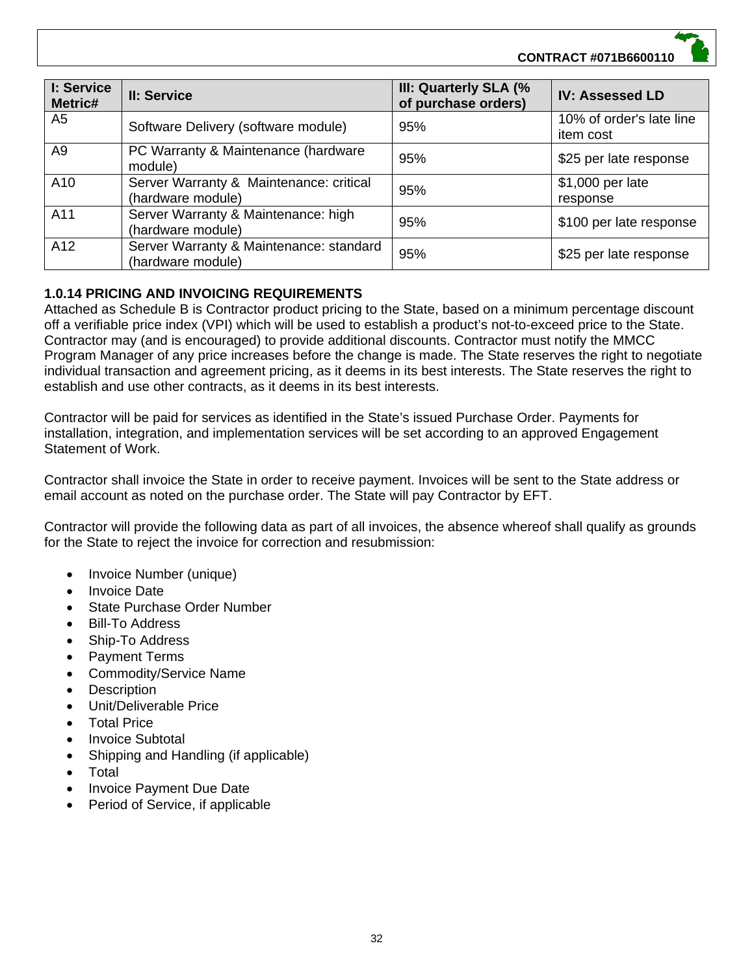# **CONTRACT #071B6600110**

| I: Service<br>Metric# | II: Service                                                  | III: Quarterly SLA (%<br>of purchase orders) | <b>IV: Assessed LD</b>                |
|-----------------------|--------------------------------------------------------------|----------------------------------------------|---------------------------------------|
| A <sub>5</sub>        | Software Delivery (software module)                          | 95%                                          | 10% of order's late line<br>item cost |
| A <sub>9</sub>        | PC Warranty & Maintenance (hardware<br>module)               | 95%                                          | \$25 per late response                |
| A10                   | Server Warranty & Maintenance: critical<br>(hardware module) | 95%                                          | \$1,000 per late<br>response          |
| A11                   | Server Warranty & Maintenance: high<br>(hardware module)     | 95%                                          | \$100 per late response               |
| A12                   | Server Warranty & Maintenance: standard<br>(hardware module) | 95%                                          | \$25 per late response                |

# **1.0.14 PRICING AND INVOICING REQUIREMENTS**

Attached as Schedule B is Contractor product pricing to the State, based on a minimum percentage discount off a verifiable price index (VPI) which will be used to establish a product's not-to-exceed price to the State. Contractor may (and is encouraged) to provide additional discounts. Contractor must notify the MMCC Program Manager of any price increases before the change is made. The State reserves the right to negotiate individual transaction and agreement pricing, as it deems in its best interests. The State reserves the right to establish and use other contracts, as it deems in its best interests.

Contractor will be paid for services as identified in the State's issued Purchase Order. Payments for installation, integration, and implementation services will be set according to an approved Engagement Statement of Work.

Contractor shall invoice the State in order to receive payment. Invoices will be sent to the State address or email account as noted on the purchase order. The State will pay Contractor by EFT.

Contractor will provide the following data as part of all invoices, the absence whereof shall qualify as grounds for the State to reject the invoice for correction and resubmission:

- Invoice Number (unique)
- Invoice Date
- State Purchase Order Number
- Bill-To Address
- Ship-To Address
- Payment Terms
- Commodity/Service Name
- **Description**
- Unit/Deliverable Price
- Total Price
- Invoice Subtotal
- Shipping and Handling (if applicable)
- Total
- Invoice Payment Due Date
- Period of Service, if applicable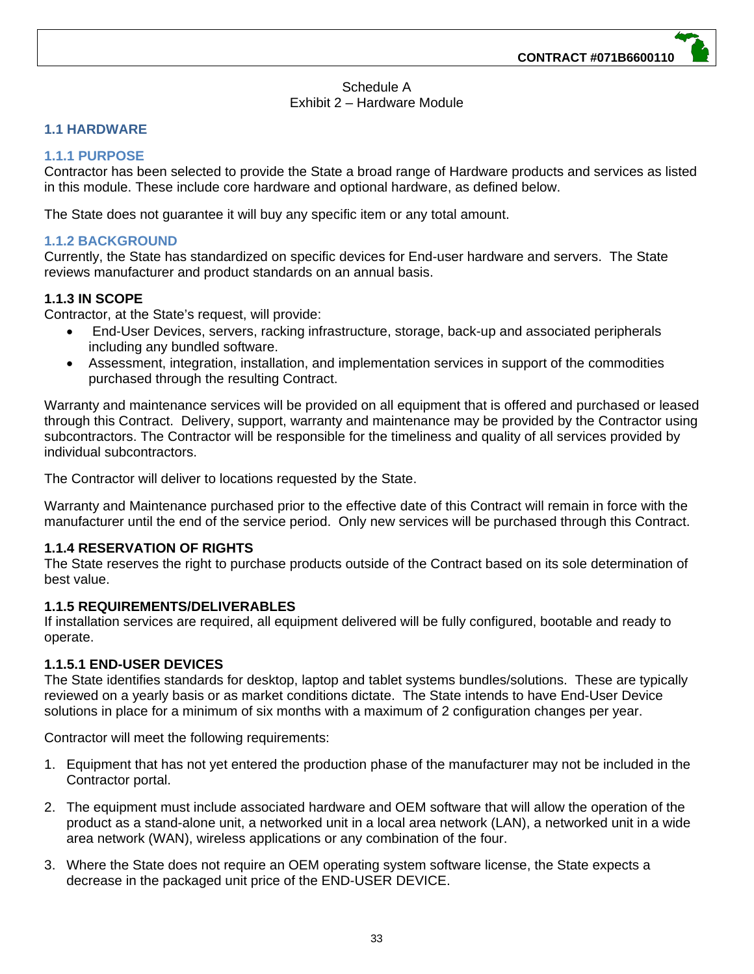#### Schedule A Exhibit 2 – Hardware Module

# **1.1 HARDWARE**

# **1.1.1 PURPOSE**

Contractor has been selected to provide the State a broad range of Hardware products and services as listed in this module. These include core hardware and optional hardware, as defined below.

The State does not guarantee it will buy any specific item or any total amount.

# **1.1.2 BACKGROUND**

Currently, the State has standardized on specific devices for End-user hardware and servers. The State reviews manufacturer and product standards on an annual basis.

# **1.1.3 IN SCOPE**

Contractor, at the State's request, will provide:

- End-User Devices, servers, racking infrastructure, storage, back-up and associated peripherals including any bundled software.
- Assessment, integration, installation, and implementation services in support of the commodities purchased through the resulting Contract.

Warranty and maintenance services will be provided on all equipment that is offered and purchased or leased through this Contract. Delivery, support, warranty and maintenance may be provided by the Contractor using subcontractors. The Contractor will be responsible for the timeliness and quality of all services provided by individual subcontractors.

The Contractor will deliver to locations requested by the State.

Warranty and Maintenance purchased prior to the effective date of this Contract will remain in force with the manufacturer until the end of the service period. Only new services will be purchased through this Contract.

# **1.1.4 RESERVATION OF RIGHTS**

The State reserves the right to purchase products outside of the Contract based on its sole determination of best value.

#### **1.1.5 REQUIREMENTS/DELIVERABLES**

If installation services are required, all equipment delivered will be fully configured, bootable and ready to operate.

# **1.1.5.1 END-USER DEVICES**

The State identifies standards for desktop, laptop and tablet systems bundles/solutions. These are typically reviewed on a yearly basis or as market conditions dictate. The State intends to have End-User Device solutions in place for a minimum of six months with a maximum of 2 configuration changes per year.

Contractor will meet the following requirements:

- 1. Equipment that has not yet entered the production phase of the manufacturer may not be included in the Contractor portal.
- 2. The equipment must include associated hardware and OEM software that will allow the operation of the product as a stand-alone unit, a networked unit in a local area network (LAN), a networked unit in a wide area network (WAN), wireless applications or any combination of the four.
- 3. Where the State does not require an OEM operating system software license, the State expects a decrease in the packaged unit price of the END-USER DEVICE.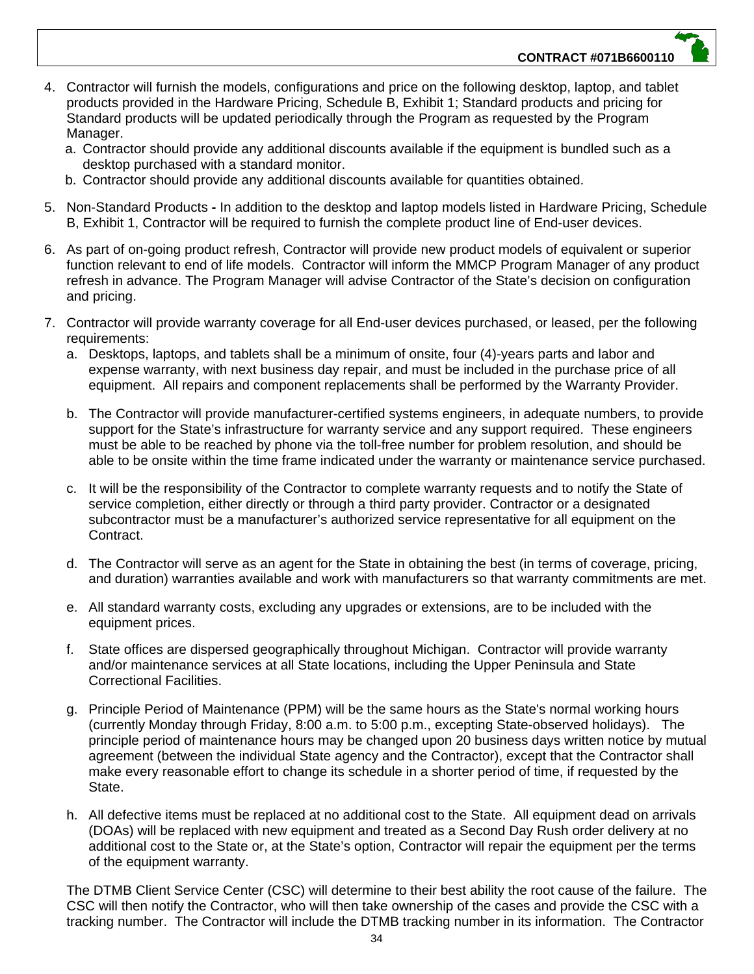- 4. Contractor will furnish the models, configurations and price on the following desktop, laptop, and tablet products provided in the Hardware Pricing, Schedule B, Exhibit 1; Standard products and pricing for Standard products will be updated periodically through the Program as requested by the Program Manager.
	- a. Contractor should provide any additional discounts available if the equipment is bundled such as a desktop purchased with a standard monitor.
	- b. Contractor should provide any additional discounts available for quantities obtained.
- 5. Non-Standard ProductsIn addition to the desktop and laptop models listed in Hardware Pricing, Schedule B, Exhibit 1, Contractor will be required to furnish the complete product line of End-user devices.
- 6. As part of on-going product refresh, Contractor will provide new product models of equivalent or superior function relevant to end of life models. Contractor will inform the MMCP Program Manager of any product refresh in advance. The Program Manager will advise Contractor of the State's decision on configuration and pricing.
- 7. Contractor will provide warranty coverage for all End-user devices purchased, or leased, per the following requirements:
	- a. Desktops, laptops, and tablets shall be a minimum of onsite, four (4)-years parts and labor and expense warranty, with next business day repair, and must be included in the purchase price of all equipment. All repairs and component replacements shall be performed by the Warranty Provider.
	- b. The Contractor will provide manufacturer-certified systems engineers, in adequate numbers, to provide support for the State's infrastructure for warranty service and any support required. These engineers must be able to be reached by phone via the toll-free number for problem resolution, and should be able to be onsite within the time frame indicated under the warranty or maintenance service purchased.
	- c. It will be the responsibility of the Contractor to complete warranty requests and to notify the State of service completion, either directly or through a third party provider. Contractor or a designated subcontractor must be a manufacturer's authorized service representative for all equipment on the Contract.
	- d. The Contractor will serve as an agent for the State in obtaining the best (in terms of coverage, pricing, and duration) warranties available and work with manufacturers so that warranty commitments are met.
	- e. All standard warranty costs, excluding any upgrades or extensions, are to be included with the equipment prices.
	- f. State offices are dispersed geographically throughout Michigan. Contractor will provide warranty and/or maintenance services at all State locations, including the Upper Peninsula and State Correctional Facilities.
	- g. Principle Period of Maintenance (PPM) will be the same hours as the State's normal working hours (currently Monday through Friday, 8:00 a.m. to 5:00 p.m., excepting State-observed holidays). The principle period of maintenance hours may be changed upon 20 business days written notice by mutual agreement (between the individual State agency and the Contractor), except that the Contractor shall make every reasonable effort to change its schedule in a shorter period of time, if requested by the State.
	- h. All defective items must be replaced at no additional cost to the State. All equipment dead on arrivals (DOAs) will be replaced with new equipment and treated as a Second Day Rush order delivery at no additional cost to the State or, at the State's option, Contractor will repair the equipment per the terms of the equipment warranty.

The DTMB Client Service Center (CSC) will determine to their best ability the root cause of the failure. The CSC will then notify the Contractor, who will then take ownership of the cases and provide the CSC with a tracking number. The Contractor will include the DTMB tracking number in its information. The Contractor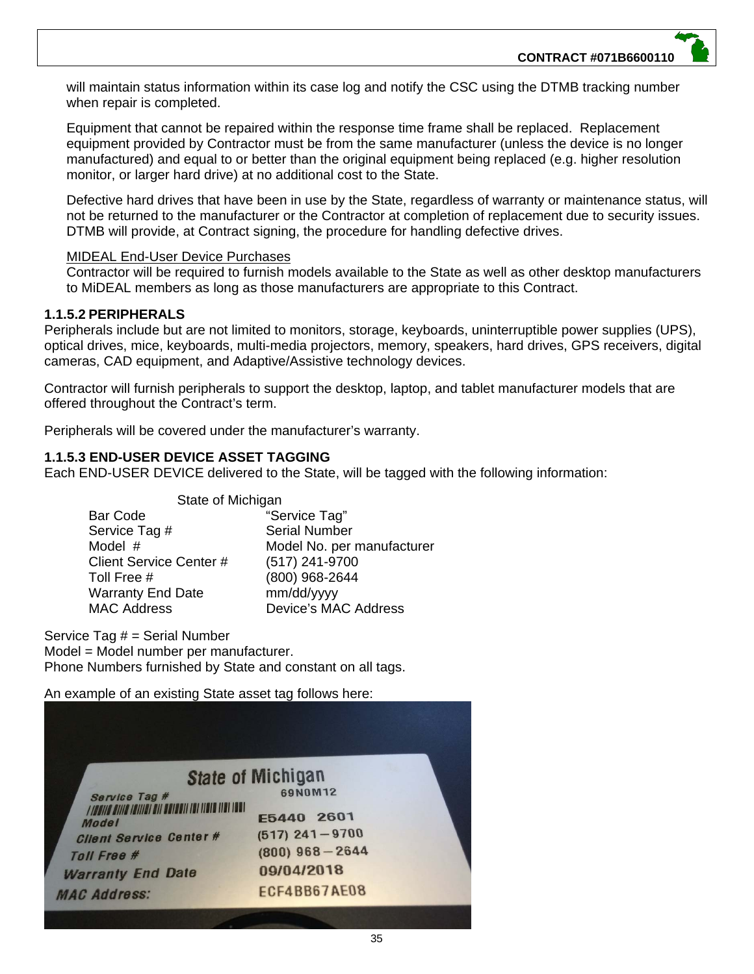will maintain status information within its case log and notify the CSC using the DTMB tracking number when repair is completed.

Equipment that cannot be repaired within the response time frame shall be replaced. Replacement equipment provided by Contractor must be from the same manufacturer (unless the device is no longer manufactured) and equal to or better than the original equipment being replaced (e.g. higher resolution monitor, or larger hard drive) at no additional cost to the State.

Defective hard drives that have been in use by the State, regardless of warranty or maintenance status, will not be returned to the manufacturer or the Contractor at completion of replacement due to security issues. DTMB will provide, at Contract signing, the procedure for handling defective drives.

#### MIDEAL End-User Device Purchases

Contractor will be required to furnish models available to the State as well as other desktop manufacturers to MiDEAL members as long as those manufacturers are appropriate to this Contract.

#### **1.1.5.2 PERIPHERALS**

Peripherals include but are not limited to monitors, storage, keyboards, uninterruptible power supplies (UPS), optical drives, mice, keyboards, multi-media projectors, memory, speakers, hard drives, GPS receivers, digital cameras, CAD equipment, and Adaptive/Assistive technology devices.

Contractor will furnish peripherals to support the desktop, laptop, and tablet manufacturer models that are offered throughout the Contract's term.

Peripherals will be covered under the manufacturer's warranty.

### **1.1.5.3 END-USER DEVICE ASSET TAGGING**

Each END-USER DEVICE delivered to the State, will be tagged with the following information:

| State of Michigan        |                            |  |
|--------------------------|----------------------------|--|
| <b>Bar Code</b>          | "Service Tag"              |  |
| Service Tag #            | <b>Serial Number</b>       |  |
| Model #                  | Model No. per manufacturer |  |
| Client Service Center #  | (517) 241-9700             |  |
| Toll Free #              | (800) 968-2644             |  |
| <b>Warranty End Date</b> | mm/dd/yyyy                 |  |
| <b>MAC Address</b>       | Device's MAC Address       |  |

Service Tag # = Serial Number Model = Model number per manufacturer. Phone Numbers furnished by State and constant on all tags.

An example of an existing State asset tag follows here:

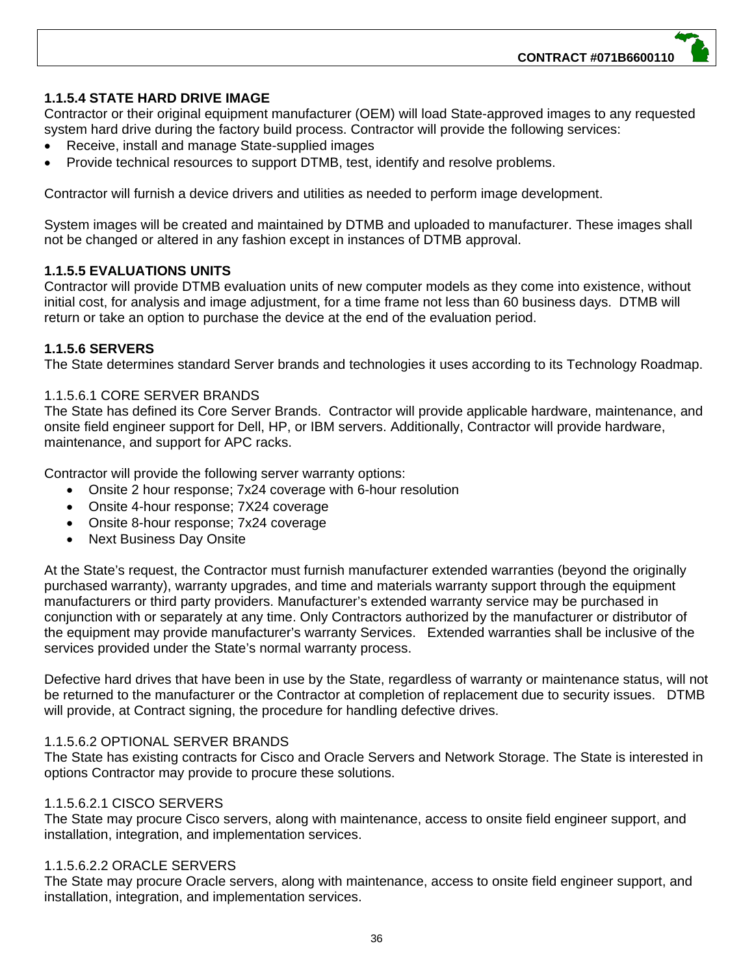## **1.1.5.4 STATE HARD DRIVE IMAGE**

Contractor or their original equipment manufacturer (OEM) will load State-approved images to any requested system hard drive during the factory build process. Contractor will provide the following services:

- Receive, install and manage State-supplied images
- Provide technical resources to support DTMB, test, identify and resolve problems.

Contractor will furnish a device drivers and utilities as needed to perform image development.

System images will be created and maintained by DTMB and uploaded to manufacturer. These images shall not be changed or altered in any fashion except in instances of DTMB approval.

## **1.1.5.5 EVALUATIONS UNITS**

Contractor will provide DTMB evaluation units of new computer models as they come into existence, without initial cost, for analysis and image adjustment, for a time frame not less than 60 business days. DTMB will return or take an option to purchase the device at the end of the evaluation period.

#### **1.1.5.6 SERVERS**

The State determines standard Server brands and technologies it uses according to its Technology Roadmap.

#### 1.1.5.6.1 CORE SERVER BRANDS

The State has defined its Core Server Brands. Contractor will provide applicable hardware, maintenance, and onsite field engineer support for Dell, HP, or IBM servers. Additionally, Contractor will provide hardware, maintenance, and support for APC racks.

Contractor will provide the following server warranty options:

- Onsite 2 hour response; 7x24 coverage with 6-hour resolution
- Onsite 4-hour response; 7X24 coverage
- Onsite 8-hour response; 7x24 coverage
- Next Business Day Onsite

At the State's request, the Contractor must furnish manufacturer extended warranties (beyond the originally purchased warranty), warranty upgrades, and time and materials warranty support through the equipment manufacturers or third party providers. Manufacturer's extended warranty service may be purchased in conjunction with or separately at any time. Only Contractors authorized by the manufacturer or distributor of the equipment may provide manufacturer's warranty Services. Extended warranties shall be inclusive of the services provided under the State's normal warranty process.

Defective hard drives that have been in use by the State, regardless of warranty or maintenance status, will not be returned to the manufacturer or the Contractor at completion of replacement due to security issues. DTMB will provide, at Contract signing, the procedure for handling defective drives.

#### 1.1.5.6.2 OPTIONAL SERVER BRANDS

The State has existing contracts for Cisco and Oracle Servers and Network Storage. The State is interested in options Contractor may provide to procure these solutions.

#### 1.1.5.6.2.1 CISCO SERVERS

The State may procure Cisco servers, along with maintenance, access to onsite field engineer support, and installation, integration, and implementation services.

## 1.1.5.6.2.2 ORACLE SERVERS

The State may procure Oracle servers, along with maintenance, access to onsite field engineer support, and installation, integration, and implementation services.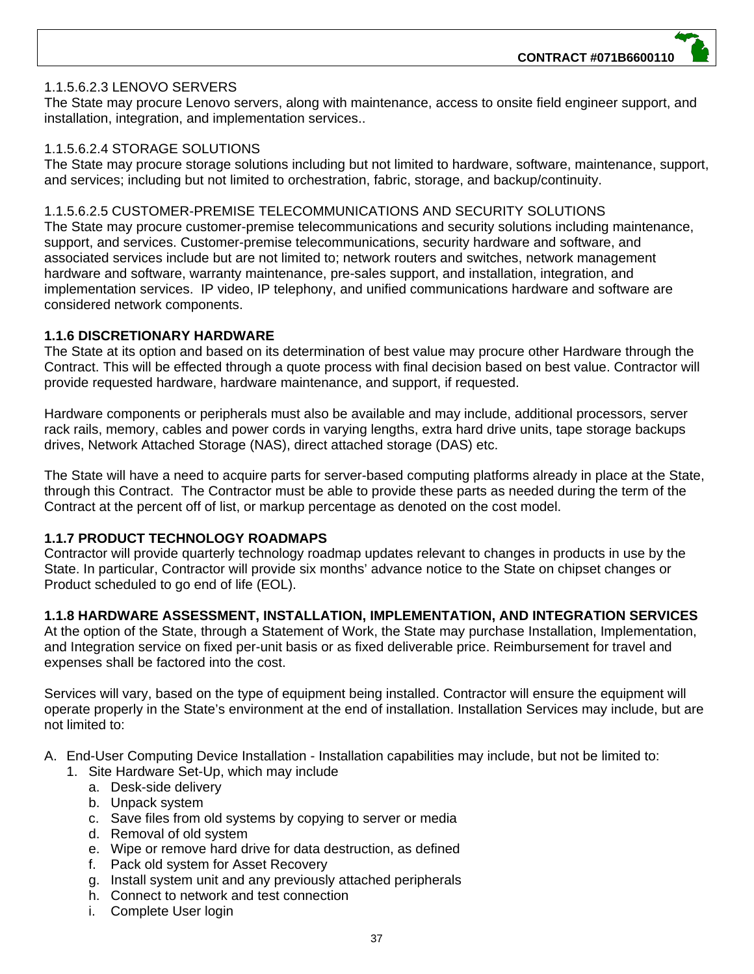#### 1.1.5.6.2.3 LENOVO SERVERS

The State may procure Lenovo servers, along with maintenance, access to onsite field engineer support, and installation, integration, and implementation services..

#### 1.1.5.6.2.4 STORAGE SOLUTIONS

The State may procure storage solutions including but not limited to hardware, software, maintenance, support, and services; including but not limited to orchestration, fabric, storage, and backup/continuity.

#### 1.1.5.6.2.5 CUSTOMER-PREMISE TELECOMMUNICATIONS AND SECURITY SOLUTIONS

The State may procure customer-premise telecommunications and security solutions including maintenance, support, and services. Customer-premise telecommunications, security hardware and software, and associated services include but are not limited to; network routers and switches, network management hardware and software, warranty maintenance, pre-sales support, and installation, integration, and implementation services. IP video, IP telephony, and unified communications hardware and software are considered network components.

#### **1.1.6 DISCRETIONARY HARDWARE**

The State at its option and based on its determination of best value may procure other Hardware through the Contract. This will be effected through a quote process with final decision based on best value. Contractor will provide requested hardware, hardware maintenance, and support, if requested.

Hardware components or peripherals must also be available and may include, additional processors, server rack rails, memory, cables and power cords in varying lengths, extra hard drive units, tape storage backups drives, Network Attached Storage (NAS), direct attached storage (DAS) etc.

The State will have a need to acquire parts for server-based computing platforms already in place at the State, through this Contract. The Contractor must be able to provide these parts as needed during the term of the Contract at the percent off of list, or markup percentage as denoted on the cost model.

### **1.1.7 PRODUCT TECHNOLOGY ROADMAPS**

Contractor will provide quarterly technology roadmap updates relevant to changes in products in use by the State. In particular, Contractor will provide six months' advance notice to the State on chipset changes or Product scheduled to go end of life (EOL).

### **1.1.8 HARDWARE ASSESSMENT, INSTALLATION, IMPLEMENTATION, AND INTEGRATION SERVICES**

At the option of the State, through a Statement of Work, the State may purchase Installation, Implementation, and Integration service on fixed per-unit basis or as fixed deliverable price. Reimbursement for travel and expenses shall be factored into the cost.

Services will vary, based on the type of equipment being installed. Contractor will ensure the equipment will operate properly in the State's environment at the end of installation. Installation Services may include, but are not limited to:

#### A. End-User Computing Device Installation - Installation capabilities may include, but not be limited to:

- 1. Site Hardware Set-Up, which may include
	- a. Desk-side delivery
	- b. Unpack system
	- c. Save files from old systems by copying to server or media
	- d. Removal of old system
	- e. Wipe or remove hard drive for data destruction, as defined
	- f. Pack old system for Asset Recovery
	- g. Install system unit and any previously attached peripherals
	- h. Connect to network and test connection
	- i. Complete User login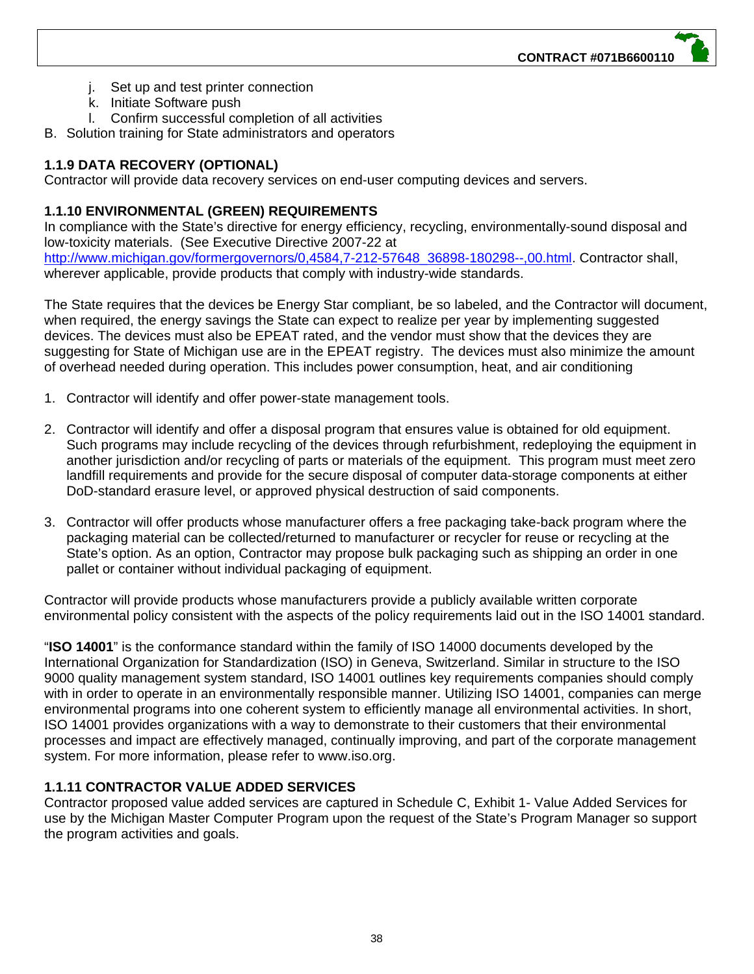- j. Set up and test printer connection
- k. Initiate Software push
- l. Confirm successful completion of all activities
- B. Solution training for State administrators and operators

# **1.1.9 DATA RECOVERY (OPTIONAL)**

Contractor will provide data recovery services on end-user computing devices and servers.

# **1.1.10 ENVIRONMENTAL (GREEN) REQUIREMENTS**

In compliance with the State's directive for energy efficiency, recycling, environmentally-sound disposal and low-toxicity materials. (See Executive Directive 2007-22 at http://www.michigan.gov/formergovernors/0,4584,7-212-57648\_36898-180298--,00.html. Contractor shall, wherever applicable, provide products that comply with industry-wide standards.

The State requires that the devices be Energy Star compliant, be so labeled, and the Contractor will document, when required, the energy savings the State can expect to realize per year by implementing suggested devices. The devices must also be EPEAT rated, and the vendor must show that the devices they are suggesting for State of Michigan use are in the EPEAT registry. The devices must also minimize the amount of overhead needed during operation. This includes power consumption, heat, and air conditioning

- 1. Contractor will identify and offer power-state management tools.
- 2. Contractor will identify and offer a disposal program that ensures value is obtained for old equipment. Such programs may include recycling of the devices through refurbishment, redeploying the equipment in another jurisdiction and/or recycling of parts or materials of the equipment. This program must meet zero landfill requirements and provide for the secure disposal of computer data-storage components at either DoD-standard erasure level, or approved physical destruction of said components.
- 3. Contractor will offer products whose manufacturer offers a free packaging take-back program where the packaging material can be collected/returned to manufacturer or recycler for reuse or recycling at the State's option. As an option, Contractor may propose bulk packaging such as shipping an order in one pallet or container without individual packaging of equipment.

Contractor will provide products whose manufacturers provide a publicly available written corporate environmental policy consistent with the aspects of the policy requirements laid out in the ISO 14001 standard.

"**ISO 14001**" is the conformance standard within the family of ISO 14000 documents developed by the International Organization for Standardization (ISO) in Geneva, Switzerland. Similar in structure to the ISO 9000 quality management system standard, ISO 14001 outlines key requirements companies should comply with in order to operate in an environmentally responsible manner. Utilizing ISO 14001, companies can merge environmental programs into one coherent system to efficiently manage all environmental activities. In short, ISO 14001 provides organizations with a way to demonstrate to their customers that their environmental processes and impact are effectively managed, continually improving, and part of the corporate management system. For more information, please refer to www.iso.org.

# **1.1.11 CONTRACTOR VALUE ADDED SERVICES**

Contractor proposed value added services are captured in Schedule C, Exhibit 1- Value Added Services for use by the Michigan Master Computer Program upon the request of the State's Program Manager so support the program activities and goals.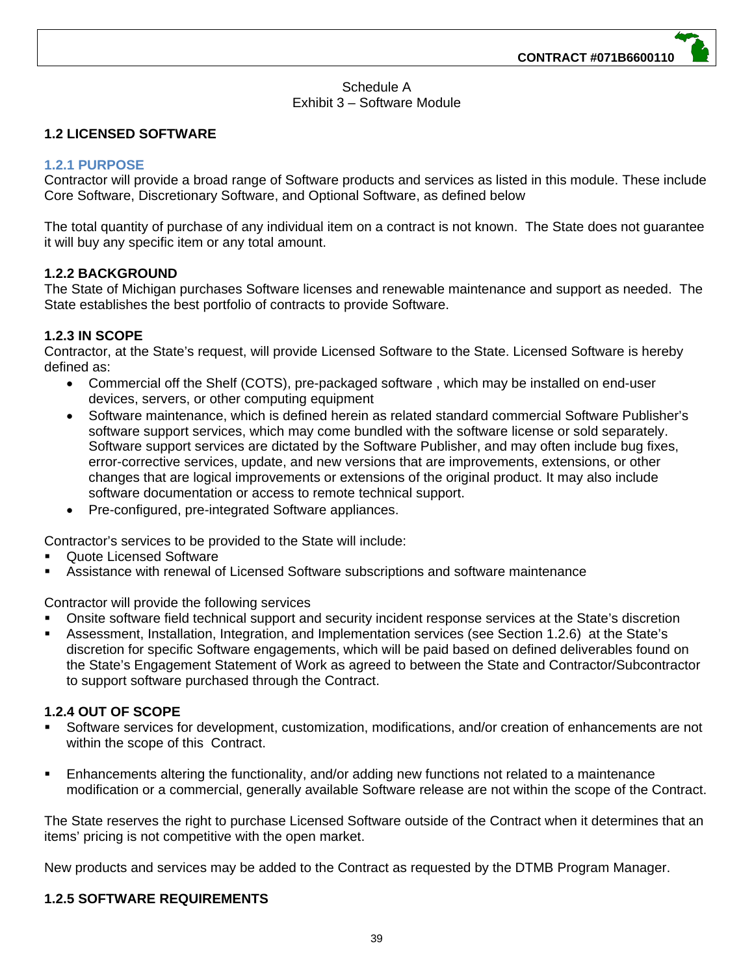### Schedule A Exhibit 3 – Software Module

## **1.2 LICENSED SOFTWARE**

## **1.2.1 PURPOSE**

Contractor will provide a broad range of Software products and services as listed in this module. These include Core Software, Discretionary Software, and Optional Software, as defined below

The total quantity of purchase of any individual item on a contract is not known. The State does not guarantee it will buy any specific item or any total amount.

### **1.2.2 BACKGROUND**

The State of Michigan purchases Software licenses and renewable maintenance and support as needed. The State establishes the best portfolio of contracts to provide Software.

### **1.2.3 IN SCOPE**

Contractor, at the State's request, will provide Licensed Software to the State. Licensed Software is hereby defined as:

- Commercial off the Shelf (COTS), pre-packaged software , which may be installed on end-user devices, servers, or other computing equipment
- Software maintenance, which is defined herein as related standard commercial Software Publisher's software support services, which may come bundled with the software license or sold separately. Software support services are dictated by the Software Publisher, and may often include bug fixes, error-corrective services, update, and new versions that are improvements, extensions, or other changes that are logical improvements or extensions of the original product. It may also include software documentation or access to remote technical support.
- Pre-configured, pre-integrated Software appliances.

Contractor's services to be provided to the State will include:

- Quote Licensed Software
- Assistance with renewal of Licensed Software subscriptions and software maintenance

Contractor will provide the following services

- Onsite software field technical support and security incident response services at the State's discretion
- Assessment, Installation, Integration, and Implementation services (see Section 1.2.6) at the State's discretion for specific Software engagements, which will be paid based on defined deliverables found on the State's Engagement Statement of Work as agreed to between the State and Contractor/Subcontractor to support software purchased through the Contract.

### **1.2.4 OUT OF SCOPE**

- Software services for development, customization, modifications, and/or creation of enhancements are not within the scope of this Contract.
- Enhancements altering the functionality, and/or adding new functions not related to a maintenance modification or a commercial, generally available Software release are not within the scope of the Contract.

The State reserves the right to purchase Licensed Software outside of the Contract when it determines that an items' pricing is not competitive with the open market.

New products and services may be added to the Contract as requested by the DTMB Program Manager.

### **1.2.5 SOFTWARE REQUIREMENTS**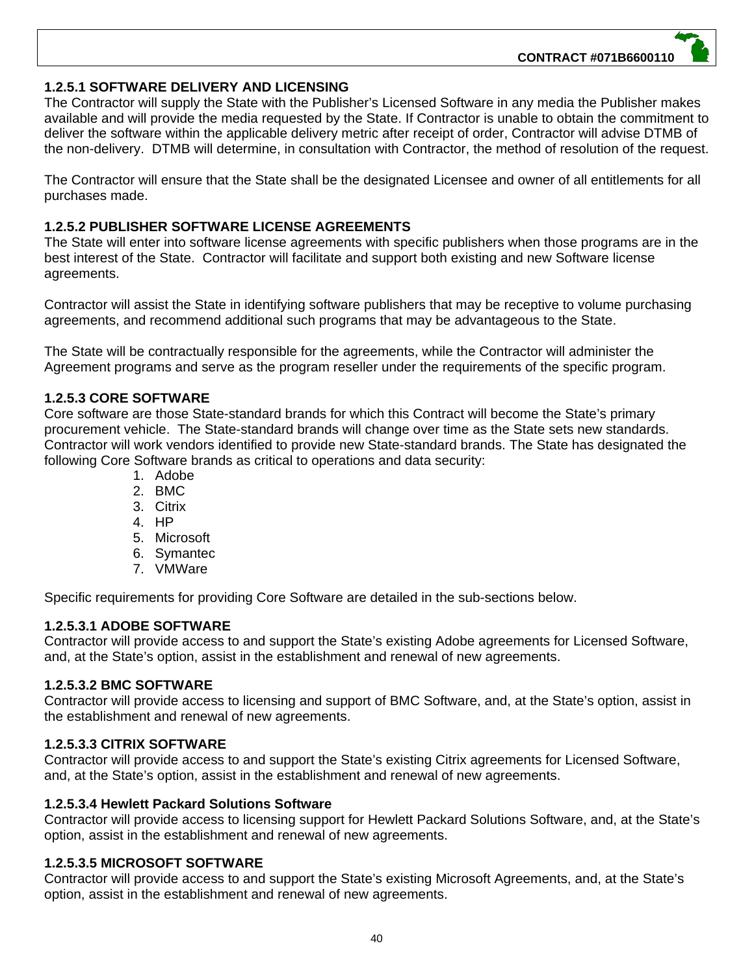## **1.2.5.1 SOFTWARE DELIVERY AND LICENSING**

The Contractor will supply the State with the Publisher's Licensed Software in any media the Publisher makes available and will provide the media requested by the State. If Contractor is unable to obtain the commitment to deliver the software within the applicable delivery metric after receipt of order, Contractor will advise DTMB of the non-delivery. DTMB will determine, in consultation with Contractor, the method of resolution of the request.

The Contractor will ensure that the State shall be the designated Licensee and owner of all entitlements for all purchases made.

## **1.2.5.2 PUBLISHER SOFTWARE LICENSE AGREEMENTS**

The State will enter into software license agreements with specific publishers when those programs are in the best interest of the State. Contractor will facilitate and support both existing and new Software license agreements.

Contractor will assist the State in identifying software publishers that may be receptive to volume purchasing agreements, and recommend additional such programs that may be advantageous to the State.

The State will be contractually responsible for the agreements, while the Contractor will administer the Agreement programs and serve as the program reseller under the requirements of the specific program.

### **1.2.5.3 CORE SOFTWARE**

Core software are those State-standard brands for which this Contract will become the State's primary procurement vehicle. The State-standard brands will change over time as the State sets new standards. Contractor will work vendors identified to provide new State-standard brands. The State has designated the following Core Software brands as critical to operations and data security:

- 1. Adobe
- 2. BMC
- 3. Citrix
- 4. HP
- 5. Microsoft
- 6. Symantec
- 7. VMWare

Specific requirements for providing Core Software are detailed in the sub-sections below.

#### **1.2.5.3.1 ADOBE SOFTWARE**

Contractor will provide access to and support the State's existing Adobe agreements for Licensed Software, and, at the State's option, assist in the establishment and renewal of new agreements.

#### **1.2.5.3.2 BMC SOFTWARE**

Contractor will provide access to licensing and support of BMC Software, and, at the State's option, assist in the establishment and renewal of new agreements.

#### **1.2.5.3.3 CITRIX SOFTWARE**

Contractor will provide access to and support the State's existing Citrix agreements for Licensed Software, and, at the State's option, assist in the establishment and renewal of new agreements.

#### **1.2.5.3.4 Hewlett Packard Solutions Software**

Contractor will provide access to licensing support for Hewlett Packard Solutions Software, and, at the State's option, assist in the establishment and renewal of new agreements.

## **1.2.5.3.5 MICROSOFT SOFTWARE**

Contractor will provide access to and support the State's existing Microsoft Agreements, and, at the State's option, assist in the establishment and renewal of new agreements.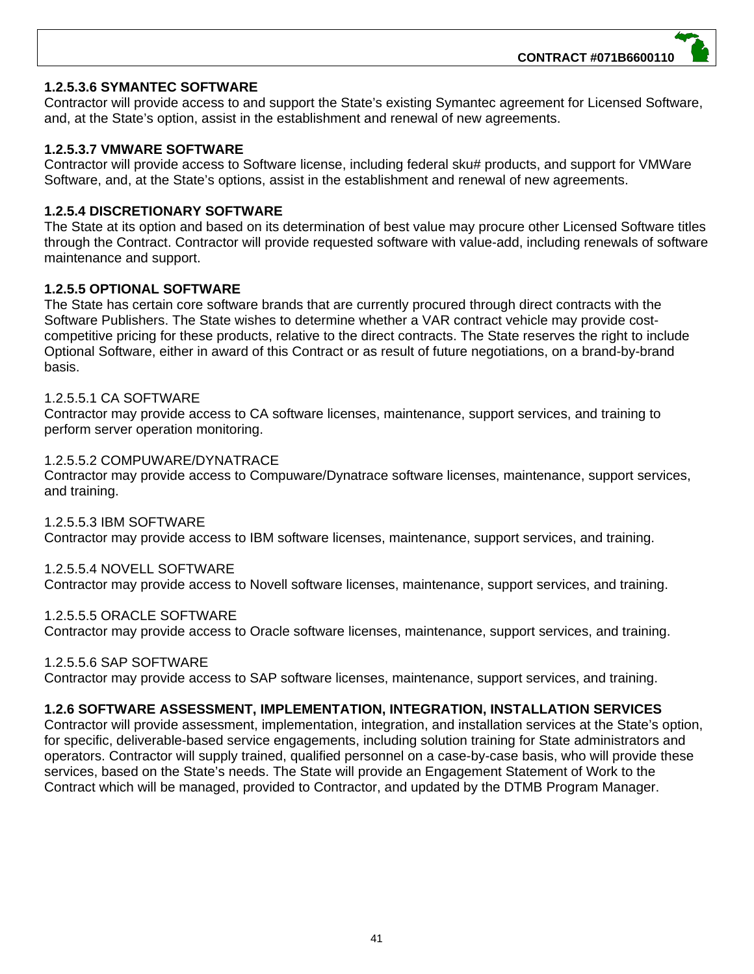## **1.2.5.3.6 SYMANTEC SOFTWARE**

Contractor will provide access to and support the State's existing Symantec agreement for Licensed Software, and, at the State's option, assist in the establishment and renewal of new agreements.

## **1.2.5.3.7 VMWARE SOFTWARE**

Contractor will provide access to Software license, including federal sku# products, and support for VMWare Software, and, at the State's options, assist in the establishment and renewal of new agreements.

## **1.2.5.4 DISCRETIONARY SOFTWARE**

The State at its option and based on its determination of best value may procure other Licensed Software titles through the Contract. Contractor will provide requested software with value-add, including renewals of software maintenance and support.

## **1.2.5.5 OPTIONAL SOFTWARE**

The State has certain core software brands that are currently procured through direct contracts with the Software Publishers. The State wishes to determine whether a VAR contract vehicle may provide costcompetitive pricing for these products, relative to the direct contracts. The State reserves the right to include Optional Software, either in award of this Contract or as result of future negotiations, on a brand-by-brand basis.

### 1.2.5.5.1 CA SOFTWARE

Contractor may provide access to CA software licenses, maintenance, support services, and training to perform server operation monitoring.

#### 1.2.5.5.2 COMPUWARE/DYNATRACE

Contractor may provide access to Compuware/Dynatrace software licenses, maintenance, support services, and training.

1.2.5.5.3 IBM SOFTWARE Contractor may provide access to IBM software licenses, maintenance, support services, and training.

### 1.2.5.5.4 NOVELL SOFTWARE

Contractor may provide access to Novell software licenses, maintenance, support services, and training.

### 1.2.5.5.5 ORACLE SOFTWARE

Contractor may provide access to Oracle software licenses, maintenance, support services, and training.

#### 1.2.5.5.6 SAP SOFTWARE

Contractor may provide access to SAP software licenses, maintenance, support services, and training.

### **1.2.6 SOFTWARE ASSESSMENT, IMPLEMENTATION, INTEGRATION, INSTALLATION SERVICES**

Contractor will provide assessment, implementation, integration, and installation services at the State's option, for specific, deliverable-based service engagements, including solution training for State administrators and operators. Contractor will supply trained, qualified personnel on a case-by-case basis, who will provide these services, based on the State's needs. The State will provide an Engagement Statement of Work to the Contract which will be managed, provided to Contractor, and updated by the DTMB Program Manager.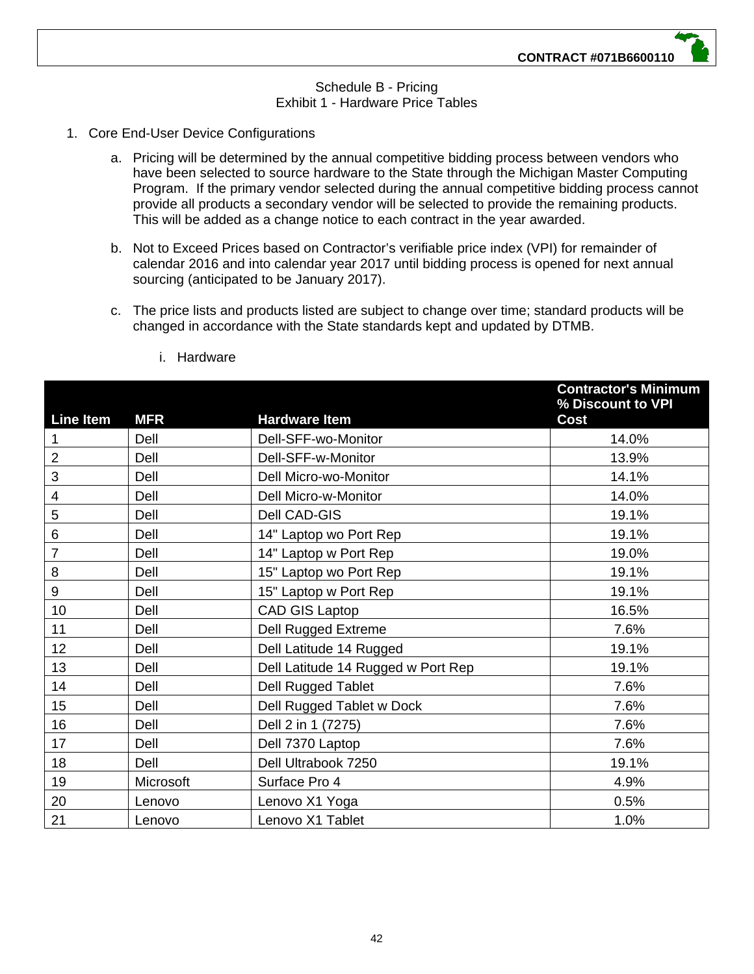## Schedule B - Pricing Exhibit 1 - Hardware Price Tables

- 1. Core End-User Device Configurations
	- a. Pricing will be determined by the annual competitive bidding process between vendors who have been selected to source hardware to the State through the Michigan Master Computing Program. If the primary vendor selected during the annual competitive bidding process cannot provide all products a secondary vendor will be selected to provide the remaining products. This will be added as a change notice to each contract in the year awarded.
	- b. Not to Exceed Prices based on Contractor's verifiable price index (VPI) for remainder of calendar 2016 and into calendar year 2017 until bidding process is opened for next annual sourcing (anticipated to be January 2017).
	- c. The price lists and products listed are subject to change over time; standard products will be changed in accordance with the State standards kept and updated by DTMB.

| <b>Line Item</b> | <b>MFR</b> | <b>Hardware Item</b>               | <b>Contractor's Minimum</b><br>% Discount to VPI<br><b>Cost</b> |
|------------------|------------|------------------------------------|-----------------------------------------------------------------|
| 1                | Dell       | Dell-SFF-wo-Monitor                | 14.0%                                                           |
| $\overline{2}$   | Dell       | Dell-SFF-w-Monitor                 | 13.9%                                                           |
| 3                | Dell       | Dell Micro-wo-Monitor              | 14.1%                                                           |
| 4                | Dell       | Dell Micro-w-Monitor               | 14.0%                                                           |
| 5                | Dell       | Dell CAD-GIS                       | 19.1%                                                           |
| 6                | Dell       | 14" Laptop wo Port Rep             | 19.1%                                                           |
| $\overline{7}$   | Dell       | 14" Laptop w Port Rep              | 19.0%                                                           |
| 8                | Dell       | 15" Laptop wo Port Rep             | 19.1%                                                           |
| 9                | Dell       | 15" Laptop w Port Rep              | 19.1%                                                           |
| 10               | Dell       | <b>CAD GIS Laptop</b>              | 16.5%                                                           |
| 11               | Dell       | Dell Rugged Extreme                | 7.6%                                                            |
| 12 <sub>2</sub>  | Dell       | Dell Latitude 14 Rugged            | 19.1%                                                           |
| 13               | Dell       | Dell Latitude 14 Rugged w Port Rep | 19.1%                                                           |
| 14               | Dell       | <b>Dell Rugged Tablet</b>          | 7.6%                                                            |
| 15               | Dell       | Dell Rugged Tablet w Dock          | 7.6%                                                            |
| 16               | Dell       | Dell 2 in 1 (7275)                 | 7.6%                                                            |
| 17               | Dell       | Dell 7370 Laptop                   | 7.6%                                                            |
| 18               | Dell       | Dell Ultrabook 7250                | 19.1%                                                           |
| 19               | Microsoft  | Surface Pro 4                      | 4.9%                                                            |
| 20               | Lenovo     | Lenovo X1 Yoga                     | 0.5%                                                            |
| 21               | Lenovo     | Lenovo X1 Tablet                   | 1.0%                                                            |

i. Hardware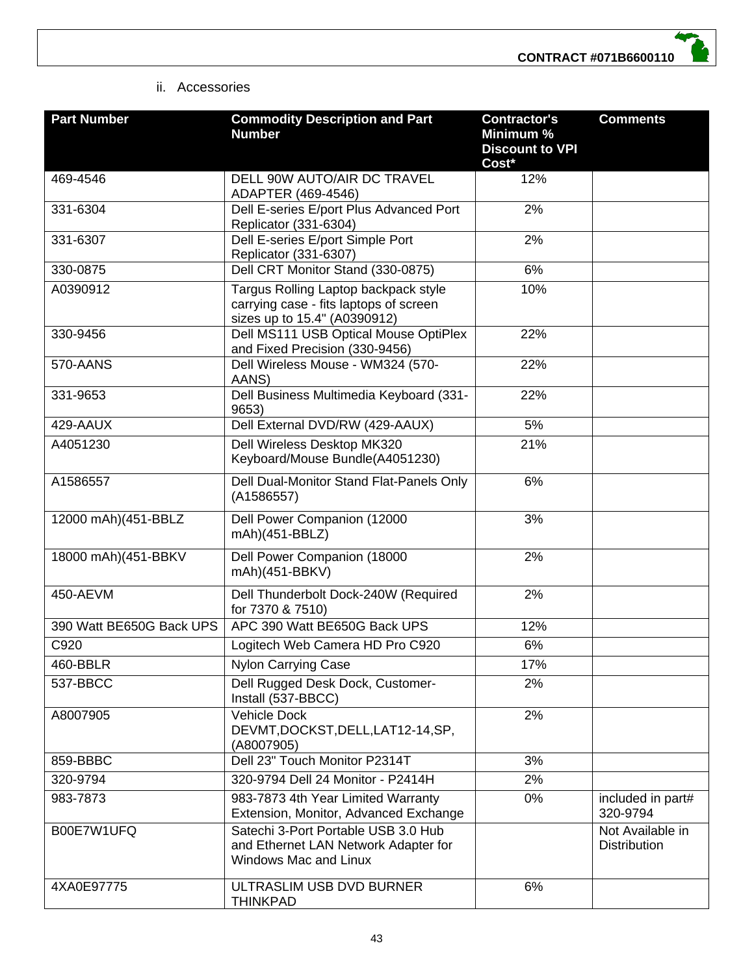

### ii. Accessories

| <b>Part Number</b>       | <b>Commodity Description and Part</b><br><b>Number</b>                                                         | <b>Contractor's</b><br>Minimum %<br><b>Discount to VPI</b><br>Cost* | <b>Comments</b>                         |
|--------------------------|----------------------------------------------------------------------------------------------------------------|---------------------------------------------------------------------|-----------------------------------------|
| 469-4546                 | <b>DELL 90W AUTO/AIR DC TRAVEL</b><br>ADAPTER (469-4546)                                                       | 12%                                                                 |                                         |
| 331-6304                 | Dell E-series E/port Plus Advanced Port<br>Replicator (331-6304)                                               | 2%                                                                  |                                         |
| 331-6307                 | Dell E-series E/port Simple Port<br>Replicator (331-6307)                                                      | 2%                                                                  |                                         |
| 330-0875                 | Dell CRT Monitor Stand (330-0875)                                                                              | 6%                                                                  |                                         |
| A0390912                 | Targus Rolling Laptop backpack style<br>carrying case - fits laptops of screen<br>sizes up to 15.4" (A0390912) | 10%                                                                 |                                         |
| 330-9456                 | Dell MS111 USB Optical Mouse OptiPlex<br>and Fixed Precision (330-9456)                                        | 22%                                                                 |                                         |
| 570-AANS                 | Dell Wireless Mouse - WM324 (570-<br>AANS)                                                                     | 22%                                                                 |                                         |
| 331-9653                 | Dell Business Multimedia Keyboard (331-<br>9653)                                                               | 22%                                                                 |                                         |
| 429-AAUX                 | Dell External DVD/RW (429-AAUX)                                                                                | 5%                                                                  |                                         |
| A4051230                 | Dell Wireless Desktop MK320<br>Keyboard/Mouse Bundle(A4051230)                                                 | 21%                                                                 |                                         |
| A1586557                 | Dell Dual-Monitor Stand Flat-Panels Only<br>(A1586557)                                                         | 6%                                                                  |                                         |
| 12000 mAh)(451-BBLZ      | Dell Power Companion (12000<br>mAh)(451-BBLZ)                                                                  | 3%                                                                  |                                         |
| 18000 mAh)(451-BBKV      | Dell Power Companion (18000<br>mAh)(451-BBKV)                                                                  | 2%                                                                  |                                         |
| 450-AEVM                 | Dell Thunderbolt Dock-240W (Required<br>for 7370 & 7510)                                                       | 2%                                                                  |                                         |
| 390 Watt BE650G Back UPS | APC 390 Watt BE650G Back UPS                                                                                   | 12%                                                                 |                                         |
| C920                     | Logitech Web Camera HD Pro C920                                                                                | 6%                                                                  |                                         |
| 460-BBLR                 | <b>Nylon Carrying Case</b>                                                                                     | 17%                                                                 |                                         |
| 537-BBCC                 | Dell Rugged Desk Dock, Customer-<br>Install (537-BBCC)                                                         | 2%                                                                  |                                         |
| A8007905                 | Vehicle Dock<br>DEVMT, DOCKST, DELL, LAT12-14, SP,<br>(A8007905)                                               | 2%                                                                  |                                         |
| 859-BBBC                 | Dell 23" Touch Monitor P2314T                                                                                  | 3%                                                                  |                                         |
| 320-9794                 | 320-9794 Dell 24 Monitor - P2414H                                                                              | 2%                                                                  |                                         |
| 983-7873                 | 983-7873 4th Year Limited Warranty<br>Extension, Monitor, Advanced Exchange                                    | 0%                                                                  | included in part#<br>320-9794           |
| B00E7W1UFQ               | Satechi 3-Port Portable USB 3.0 Hub<br>and Ethernet LAN Network Adapter for<br><b>Windows Mac and Linux</b>    |                                                                     | Not Available in<br><b>Distribution</b> |
| 4XA0E97775               | ULTRASLIM USB DVD BURNER<br><b>THINKPAD</b>                                                                    | 6%                                                                  |                                         |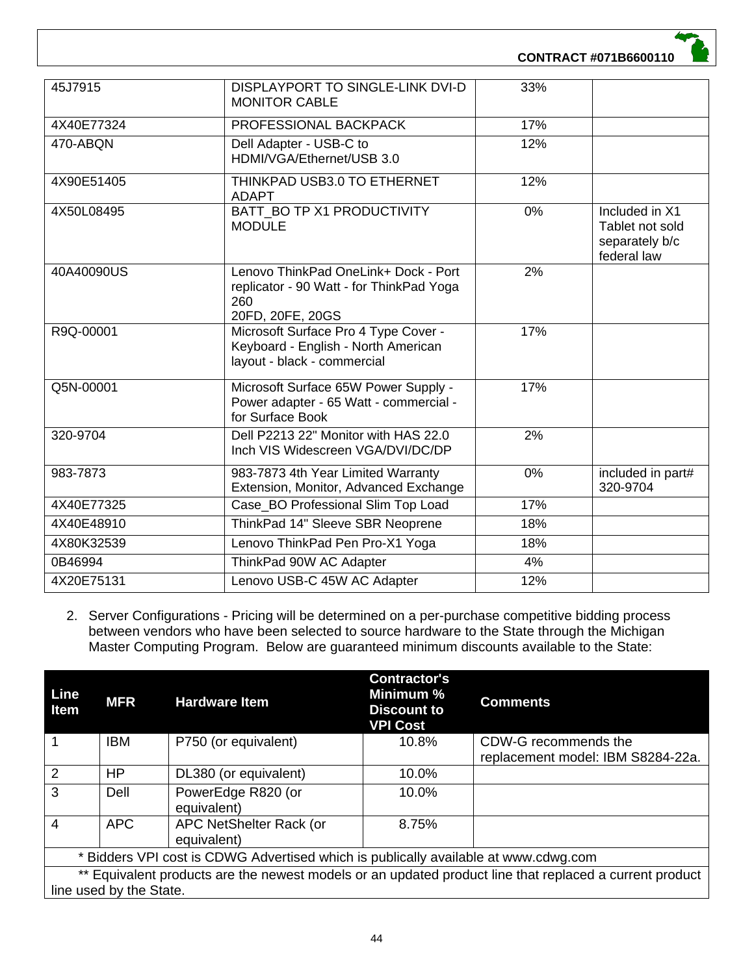| 45J7915    | DISPLAYPORT TO SINGLE-LINK DVI-D<br><b>MONITOR CABLE</b>                                                    | 33% |                                                                                 |
|------------|-------------------------------------------------------------------------------------------------------------|-----|---------------------------------------------------------------------------------|
| 4X40E77324 | PROFESSIONAL BACKPACK                                                                                       | 17% |                                                                                 |
| 470-ABQN   | Dell Adapter - USB-C to<br>HDMI/VGA/Ethernet/USB 3.0                                                        | 12% |                                                                                 |
| 4X90E51405 | THINKPAD USB3.0 TO ETHERNET<br><b>ADAPT</b>                                                                 | 12% |                                                                                 |
| 4X50L08495 | BATT BO TP X1 PRODUCTIVITY<br><b>MODULE</b>                                                                 | 0%  | Included in $\overline{X1}$<br>Tablet not sold<br>separately b/c<br>federal law |
| 40A40090US | Lenovo ThinkPad OneLink+ Dock - Port<br>replicator - 90 Watt - for ThinkPad Yoga<br>260<br>20FD, 20FE, 20GS | 2%  |                                                                                 |
| R9Q-00001  | Microsoft Surface Pro 4 Type Cover -<br>Keyboard - English - North American<br>layout - black - commercial  | 17% |                                                                                 |
| Q5N-00001  | Microsoft Surface 65W Power Supply -<br>Power adapter - 65 Watt - commercial -<br>for Surface Book          | 17% |                                                                                 |
| 320-9704   | Dell P2213 22" Monitor with HAS 22.0<br>Inch VIS Widescreen VGA/DVI/DC/DP                                   | 2%  |                                                                                 |
| 983-7873   | 983-7873 4th Year Limited Warranty<br>Extension, Monitor, Advanced Exchange                                 | 0%  | included in part#<br>320-9704                                                   |
| 4X40E77325 | Case BO Professional Slim Top Load                                                                          | 17% |                                                                                 |
| 4X40E48910 | ThinkPad 14" Sleeve SBR Neoprene                                                                            | 18% |                                                                                 |
| 4X80K32539 | Lenovo ThinkPad Pen Pro-X1 Yoga                                                                             | 18% |                                                                                 |
| 0B46994    | ThinkPad 90W AC Adapter                                                                                     | 4%  |                                                                                 |
| 4X20E75131 | Lenovo USB-C 45W AC Adapter                                                                                 | 12% |                                                                                 |

2. Server Configurations - Pricing will be determined on a per-purchase competitive bidding process between vendors who have been selected to source hardware to the State through the Michigan Master Computing Program. Below are guaranteed minimum discounts available to the State:

| Line<br><b>Item</b>                                                                                     | <b>MFR</b> | <b>Hardware Item</b>                   | <b>Contractor's</b><br>Minimum %<br><b>Discount to</b><br><b>VPI Cost</b> | <b>Comments</b>                                           |
|---------------------------------------------------------------------------------------------------------|------------|----------------------------------------|---------------------------------------------------------------------------|-----------------------------------------------------------|
|                                                                                                         | <b>IBM</b> | P750 (or equivalent)                   | 10.8%                                                                     | CDW-G recommends the<br>replacement model: IBM S8284-22a. |
| 2                                                                                                       | HP.        | DL380 (or equivalent)                  | 10.0%                                                                     |                                                           |
| 3                                                                                                       | Dell       | PowerEdge R820 (or<br>equivalent)      | 10.0%                                                                     |                                                           |
| 4                                                                                                       | <b>APC</b> | APC NetShelter Rack (or<br>equivalent) | 8.75%                                                                     |                                                           |
| * Bidders VPI cost is CDWG Advertised which is publically available at www.cdwg.com                     |            |                                        |                                                                           |                                                           |
| ** Equivalent products are the newest models or an updated product line that replaced a current product |            |                                        |                                                                           |                                                           |
| line used by the State.                                                                                 |            |                                        |                                                                           |                                                           |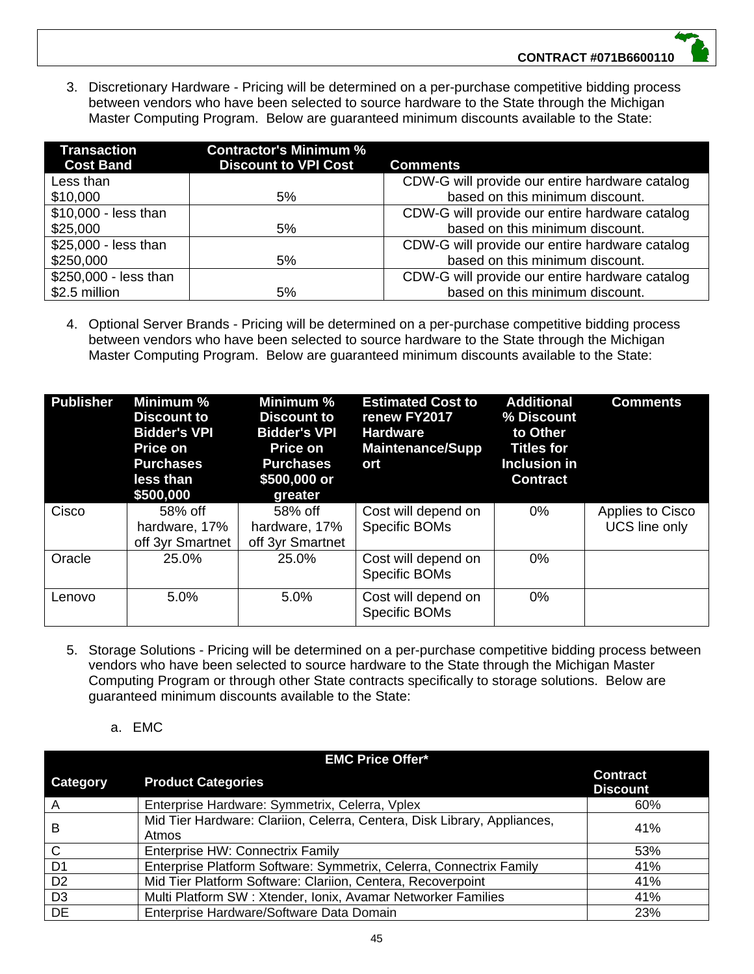3. Discretionary Hardware - Pricing will be determined on a per-purchase competitive bidding process between vendors who have been selected to source hardware to the State through the Michigan Master Computing Program. Below are guaranteed minimum discounts available to the State:

| <b>Transaction</b><br><b>Cost Band</b> | <b>Contractor's Minimum %</b><br><b>Discount to VPI Cost</b> | <b>Comments</b>                                |
|----------------------------------------|--------------------------------------------------------------|------------------------------------------------|
| Less than                              |                                                              | CDW-G will provide our entire hardware catalog |
| \$10,000                               | 5%                                                           | based on this minimum discount.                |
| \$10,000 - less than                   |                                                              | CDW-G will provide our entire hardware catalog |
| \$25,000                               | 5%                                                           | based on this minimum discount.                |
| \$25,000 - less than                   |                                                              | CDW-G will provide our entire hardware catalog |
| \$250,000                              | 5%                                                           | based on this minimum discount.                |
| \$250,000 - less than                  |                                                              | CDW-G will provide our entire hardware catalog |
| \$2.5 million                          | 5%                                                           | based on this minimum discount.                |

4. Optional Server Brands - Pricing will be determined on a per-purchase competitive bidding process between vendors who have been selected to source hardware to the State through the Michigan Master Computing Program. Below are guaranteed minimum discounts available to the State:

| <b>Publisher</b> | Minimum %<br><b>Discount to</b><br><b>Bidder's VPI</b><br><b>Price on</b><br><b>Purchases</b><br>less than<br>\$500,000 | Minimum %<br><b>Discount to</b><br><b>Bidder's VPI</b><br><b>Price on</b><br><b>Purchases</b><br>\$500,000 or<br>greater | <b>Estimated Cost to</b><br>renew FY2017<br><b>Hardware</b><br><b>Maintenance/Supp</b><br>ort | <b>Additional</b><br>% Discount<br>to Other<br><b>Titles for</b><br>Inclusion in<br><b>Contract</b> | <b>Comments</b>                   |
|------------------|-------------------------------------------------------------------------------------------------------------------------|--------------------------------------------------------------------------------------------------------------------------|-----------------------------------------------------------------------------------------------|-----------------------------------------------------------------------------------------------------|-----------------------------------|
| Cisco            | 58% off<br>hardware, 17%<br>off 3yr Smartnet                                                                            | 58% off<br>hardware, 17%<br>off 3yr Smartnet                                                                             | Cost will depend on<br>Specific BOMs                                                          | 0%                                                                                                  | Applies to Cisco<br>UCS line only |
| Oracle           | 25.0%                                                                                                                   | 25.0%                                                                                                                    | Cost will depend on<br>Specific BOMs                                                          | 0%                                                                                                  |                                   |
| Lenovo           | 5.0%                                                                                                                    | 5.0%                                                                                                                     | Cost will depend on<br>Specific BOMs                                                          | 0%                                                                                                  |                                   |

- 5. Storage Solutions Pricing will be determined on a per-purchase competitive bidding process between vendors who have been selected to source hardware to the State through the Michigan Master Computing Program or through other State contracts specifically to storage solutions. Below are guaranteed minimum discounts available to the State:
	- a. EMC

| <b>EMC Price Offer*</b> |                                                                                   |                                    |  |
|-------------------------|-----------------------------------------------------------------------------------|------------------------------------|--|
| Category                | <b>Product Categories</b>                                                         | <b>Contract</b><br><b>Discount</b> |  |
| A                       | Enterprise Hardware: Symmetrix, Celerra, Vplex                                    | 60%                                |  |
| B                       | Mid Tier Hardware: Clariion, Celerra, Centera, Disk Library, Appliances,<br>Atmos | 41%                                |  |
| $\mathsf{C}$            | Enterprise HW: Connectrix Family                                                  | 53%                                |  |
| D <sub>1</sub>          | Enterprise Platform Software: Symmetrix, Celerra, Connectrix Family               | 41%                                |  |
| D <sub>2</sub>          | Mid Tier Platform Software: Clariion, Centera, Recoverpoint                       | 41%                                |  |
| D <sub>3</sub>          | Multi Platform SW: Xtender, Ionix, Avamar Networker Families                      | 41%                                |  |
| <b>DE</b>               | Enterprise Hardware/Software Data Domain                                          | 23%                                |  |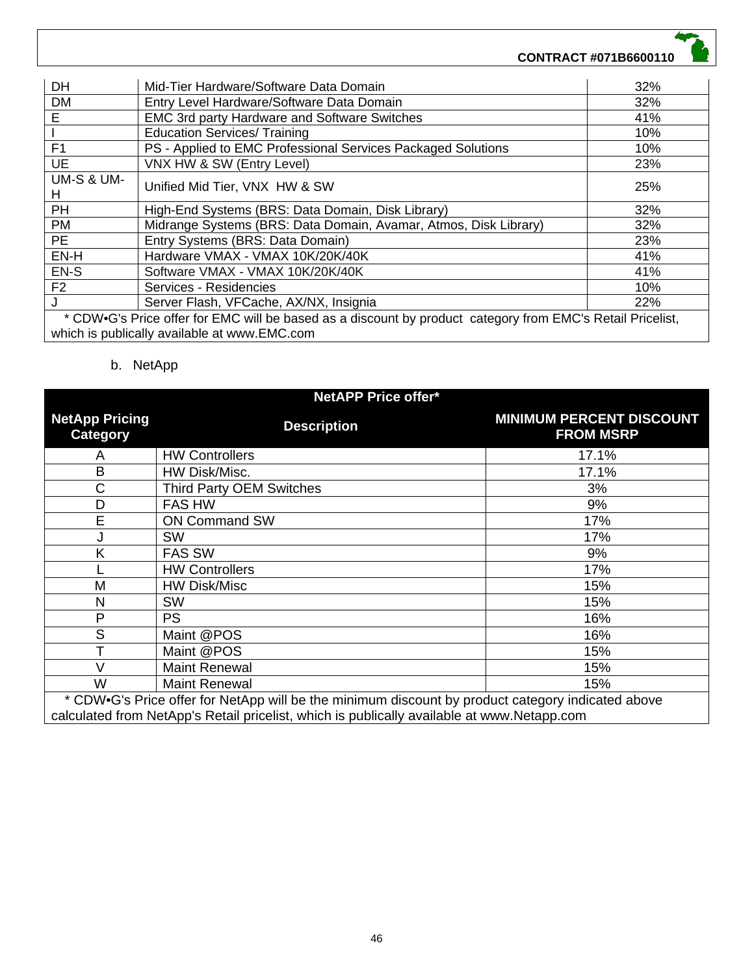| <b>DH</b>                                                                                                                                                  | Mid-Tier Hardware/Software Data Domain                           | 32% |
|------------------------------------------------------------------------------------------------------------------------------------------------------------|------------------------------------------------------------------|-----|
| <b>DM</b>                                                                                                                                                  | Entry Level Hardware/Software Data Domain                        | 32% |
| Е                                                                                                                                                          | <b>EMC 3rd party Hardware and Software Switches</b>              | 41% |
|                                                                                                                                                            | <b>Education Services/ Training</b>                              | 10% |
| F <sub>1</sub>                                                                                                                                             | PS - Applied to EMC Professional Services Packaged Solutions     | 10% |
| UE                                                                                                                                                         | VNX HW & SW (Entry Level)                                        | 23% |
| <b>UM-S &amp; UM-</b><br>н                                                                                                                                 | Unified Mid Tier, VNX HW & SW                                    | 25% |
| <b>PH</b>                                                                                                                                                  | High-End Systems (BRS: Data Domain, Disk Library)                | 32% |
| <b>PM</b>                                                                                                                                                  | Midrange Systems (BRS: Data Domain, Avamar, Atmos, Disk Library) | 32% |
| <b>PE</b>                                                                                                                                                  | Entry Systems (BRS: Data Domain)                                 | 23% |
| EN-H                                                                                                                                                       | Hardware VMAX - VMAX 10K/20K/40K                                 | 41% |
| EN-S                                                                                                                                                       | Software VMAX - VMAX 10K/20K/40K                                 | 41% |
| F <sub>2</sub>                                                                                                                                             | Services - Residencies                                           | 10% |
| J                                                                                                                                                          | Server Flash, VFCache, AX/NX, Insignia                           | 22% |
| * CDW•G's Price offer for EMC will be based as a discount by product category from EMC's Retail Pricelist,<br>which is publically available at www.EMC.com |                                                                  |     |

# b. NetApp

| <b>NetAPP Price offer*</b>                                                                        |                                 |                                                     |  |
|---------------------------------------------------------------------------------------------------|---------------------------------|-----------------------------------------------------|--|
| <b>NetApp Pricing</b><br><b>Category</b>                                                          | <b>Description</b>              | <b>MINIMUM PERCENT DISCOUNT</b><br><b>FROM MSRP</b> |  |
| A                                                                                                 | <b>HW Controllers</b>           | 17.1%                                               |  |
| B                                                                                                 | HW Disk/Misc.                   | 17.1%                                               |  |
| C                                                                                                 | <b>Third Party OEM Switches</b> | 3%                                                  |  |
| D                                                                                                 | <b>FAS HW</b>                   | 9%                                                  |  |
| E                                                                                                 | <b>ON Command SW</b>            | 17%                                                 |  |
|                                                                                                   | <b>SW</b>                       | 17%                                                 |  |
| Κ                                                                                                 | <b>FAS SW</b>                   | 9%                                                  |  |
|                                                                                                   | <b>HW Controllers</b>           | 17%                                                 |  |
| M                                                                                                 | <b>HW Disk/Misc</b>             | 15%                                                 |  |
| N                                                                                                 | SW                              | 15%                                                 |  |
| P                                                                                                 | <b>PS</b>                       | 16%                                                 |  |
| S                                                                                                 | Maint @POS                      | 16%                                                 |  |
| T                                                                                                 | Maint @POS                      | 15%                                                 |  |
| $\vee$                                                                                            | <b>Maint Renewal</b>            | 15%                                                 |  |
| W                                                                                                 | <b>Maint Renewal</b>            | 15%                                                 |  |
| * CDW•G's Price offer for NetApp will be the minimum discount by product category indicated above |                                 |                                                     |  |
| calculated from NetApp's Retail pricelist, which is publically available at www.Netapp.com        |                                 |                                                     |  |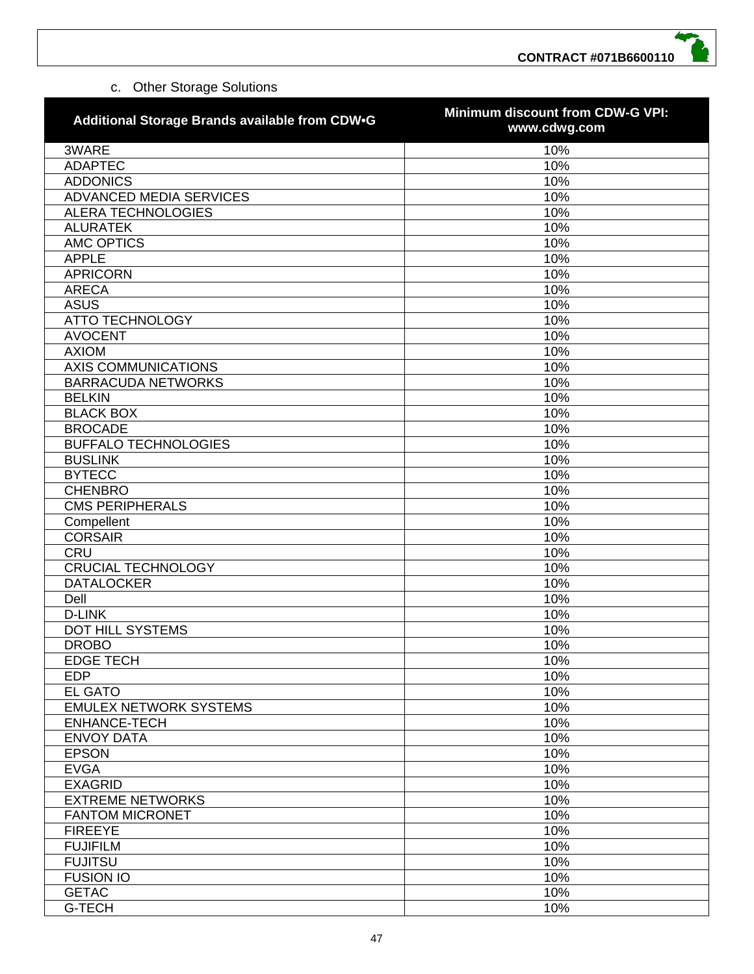# c. Other Storage Solutions

| Additional Storage Brands available from CDW.G | Minimum discount from CDW-G VPI:<br>www.cdwg.com |
|------------------------------------------------|--------------------------------------------------|
| 3WARE                                          | 10%                                              |
| <b>ADAPTEC</b>                                 | 10%                                              |
| <b>ADDONICS</b>                                | 10%                                              |
| ADVANCED MEDIA SERVICES                        | 10%                                              |
| <b>ALERA TECHNOLOGIES</b>                      | 10%                                              |
| <b>ALURATEK</b>                                | 10%                                              |
| <b>AMC OPTICS</b>                              | 10%                                              |
| <b>APPLE</b>                                   | 10%                                              |
| <b>APRICORN</b>                                | 10%                                              |
| <b>ARECA</b>                                   | 10%                                              |
| <b>ASUS</b>                                    | 10%                                              |
| <b>ATTO TECHNOLOGY</b>                         | 10%                                              |
| <b>AVOCENT</b>                                 | 10%                                              |
| <b>AXIOM</b>                                   | 10%                                              |
| <b>AXIS COMMUNICATIONS</b>                     | 10%                                              |
| <b>BARRACUDA NETWORKS</b>                      | 10%                                              |
| <b>BELKIN</b>                                  | 10%                                              |
| <b>BLACK BOX</b>                               | 10%                                              |
| <b>BROCADE</b>                                 | 10%                                              |
| <b>BUFFALO TECHNOLOGIES</b>                    | 10%                                              |
| <b>BUSLINK</b>                                 | 10%                                              |
| <b>BYTECC</b>                                  | 10%                                              |
| <b>CHENBRO</b>                                 | 10%                                              |
| <b>CMS PERIPHERALS</b>                         | 10%                                              |
| Compellent                                     | 10%                                              |
| <b>CORSAIR</b>                                 | 10%                                              |
| <b>CRU</b>                                     | 10%                                              |
| <b>CRUCIAL TECHNOLOGY</b>                      | 10%                                              |
| <b>DATALOCKER</b>                              | 10%                                              |
| Dell                                           | 10%                                              |
| <b>D-LINK</b>                                  | 10%                                              |
| DOT HILL SYSTEMS                               | 10%                                              |
| <b>DROBO</b>                                   | 10%                                              |
| <b>EDGE TECH</b>                               | 10%                                              |
| <b>EDP</b>                                     | 10%                                              |
| <b>EL GATO</b>                                 | 10%                                              |
| <b>EMULEX NETWORK SYSTEMS</b>                  | 10%                                              |
| <b>ENHANCE-TECH</b>                            | 10%                                              |
| <b>ENVOY DATA</b>                              | 10%                                              |
| <b>EPSON</b>                                   | 10%                                              |
| <b>EVGA</b>                                    | 10%                                              |
| <b>EXAGRID</b>                                 | 10%                                              |
| <b>EXTREME NETWORKS</b>                        | 10%                                              |
| <b>FANTOM MICRONET</b>                         | 10%                                              |
| <b>FIREEYE</b>                                 | 10%                                              |
| <b>FUJIFILM</b>                                | 10%                                              |
| <b>FUJITSU</b>                                 | 10%                                              |
| <b>FUSION IO</b>                               | 10%                                              |
| <b>GETAC</b>                                   | 10%                                              |
| <b>G-TECH</b>                                  | 10%                                              |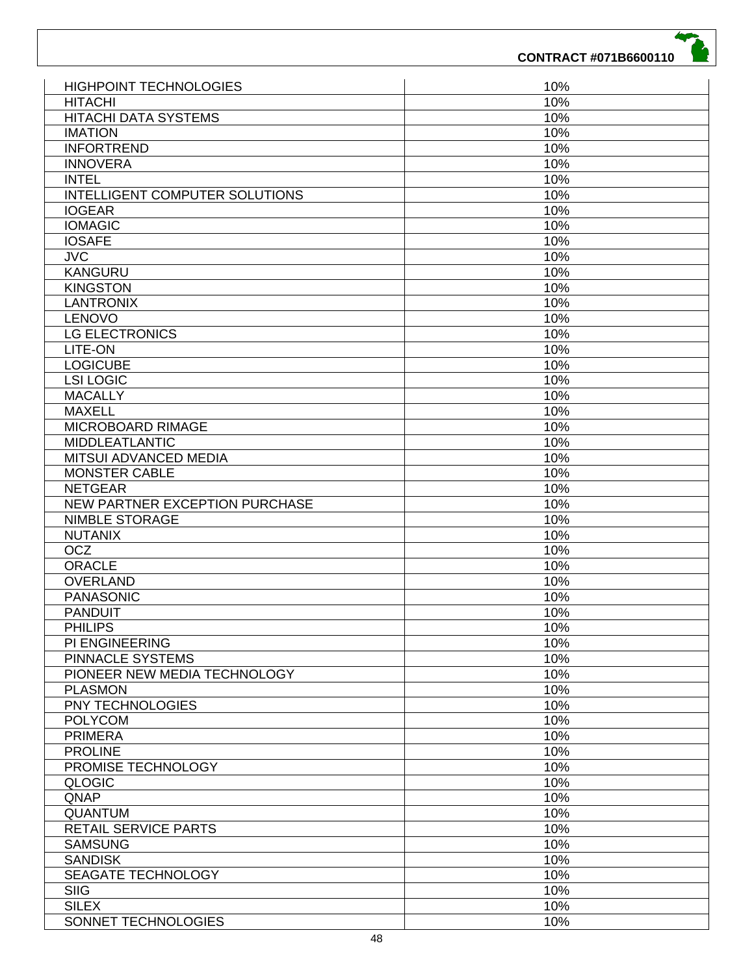| <b>HIGHPOINT TECHNOLOGIES</b>         | 10% |
|---------------------------------------|-----|
| <b>HITACHI</b>                        | 10% |
| HITACHI DATA SYSTEMS                  | 10% |
| <b>IMATION</b>                        | 10% |
| <b>INFORTREND</b>                     | 10% |
| <b>INNOVERA</b>                       | 10% |
| <b>INTEL</b>                          | 10% |
| <b>INTELLIGENT COMPUTER SOLUTIONS</b> | 10% |
| <b>IOGEAR</b>                         | 10% |
| <b>IOMAGIC</b>                        | 10% |
| <b>IOSAFE</b>                         | 10% |
| <b>JVC</b>                            | 10% |
| <b>KANGURU</b>                        | 10% |
| <b>KINGSTON</b>                       | 10% |
| <b>LANTRONIX</b>                      | 10% |
| LENOVO                                | 10% |
| LG ELECTRONICS                        |     |
|                                       | 10% |
| LITE-ON                               | 10% |
| <b>LOGICUBE</b>                       | 10% |
| <b>LSI LOGIC</b>                      | 10% |
| <b>MACALLY</b>                        | 10% |
| <b>MAXELL</b>                         | 10% |
| MICROBOARD RIMAGE                     | 10% |
| <b>MIDDLEATLANTIC</b>                 | 10% |
| MITSUI ADVANCED MEDIA                 | 10% |
| <b>MONSTER CABLE</b>                  | 10% |
| <b>NETGEAR</b>                        | 10% |
| NEW PARTNER EXCEPTION PURCHASE        | 10% |
| <b>NIMBLE STORAGE</b>                 | 10% |
| <b>NUTANIX</b>                        | 10% |
| <b>OCZ</b>                            | 10% |
| <b>ORACLE</b>                         | 10% |
| <b>OVERLAND</b>                       | 10% |
| <b>PANASONIC</b>                      | 10% |
| <b>PANDUIT</b>                        | 10% |
| <b>PHILIPS</b>                        | 10% |
| <b>PI ENGINEERING</b>                 | 10% |
| <b>PINNACLE SYSTEMS</b>               | 10% |
| PIONEER NEW MEDIA TECHNOLOGY          | 10% |
| <b>PLASMON</b>                        | 10% |
| PNY TECHNOLOGIES                      | 10% |
| <b>POLYCOM</b>                        | 10% |
| <b>PRIMERA</b>                        | 10% |
| <b>PROLINE</b>                        | 10% |
| PROMISE TECHNOLOGY                    | 10% |
|                                       |     |
| <b>QLOGIC</b>                         | 10% |
| QNAP                                  | 10% |
| <b>QUANTUM</b>                        | 10% |
| RETAIL SERVICE PARTS                  | 10% |
| <b>SAMSUNG</b>                        | 10% |
| <b>SANDISK</b>                        | 10% |
| SEAGATE TECHNOLOGY                    | 10% |
| <b>SIIG</b>                           | 10% |
| <b>SILEX</b>                          | 10% |
| SONNET TECHNOLOGIES                   | 10% |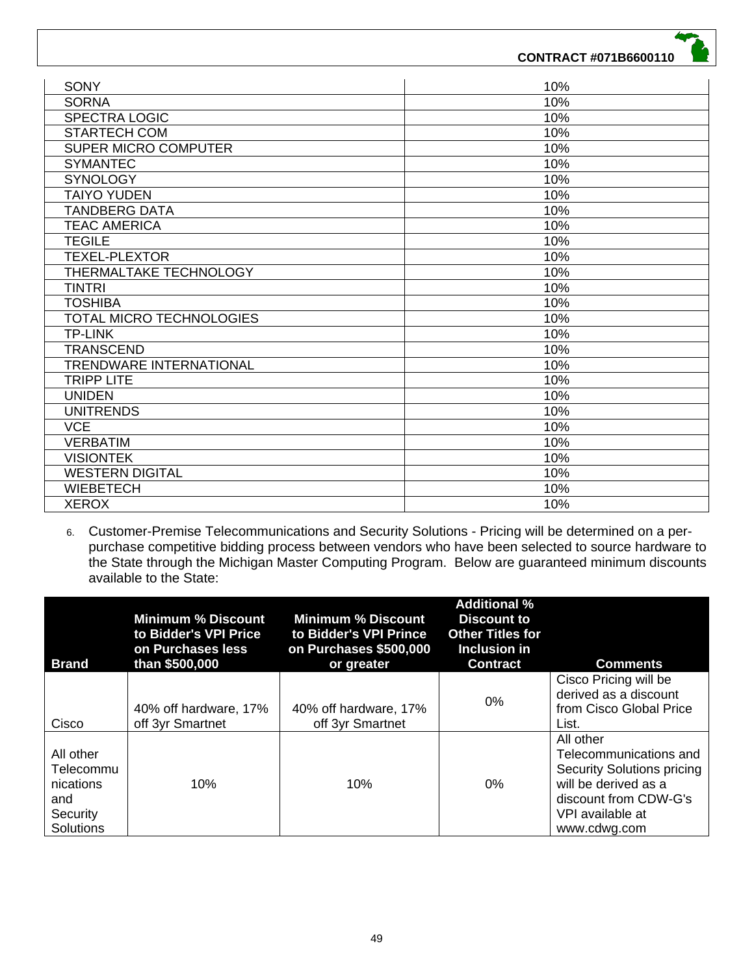| <b>SONY</b>                    | 10% |
|--------------------------------|-----|
| <b>SORNA</b>                   | 10% |
| <b>SPECTRA LOGIC</b>           | 10% |
| <b>STARTECH COM</b>            | 10% |
| <b>SUPER MICRO COMPUTER</b>    | 10% |
| <b>SYMANTEC</b>                | 10% |
| <b>SYNOLOGY</b>                | 10% |
| <b>TAIYO YUDEN</b>             | 10% |
| <b>TANDBERG DATA</b>           | 10% |
| <b>TEAC AMERICA</b>            | 10% |
| <b>TEGILE</b>                  | 10% |
| <b>TEXEL-PLEXTOR</b>           | 10% |
| THERMALTAKE TECHNOLOGY         | 10% |
| <b>TINTRI</b>                  | 10% |
| <b>TOSHIBA</b>                 | 10% |
| TOTAL MICRO TECHNOLOGIES       | 10% |
| <b>TP-LINK</b>                 | 10% |
| <b>TRANSCEND</b>               | 10% |
| <b>TRENDWARE INTERNATIONAL</b> | 10% |
| <b>TRIPP LITE</b>              | 10% |
| <b>UNIDEN</b>                  | 10% |
| <b>UNITRENDS</b>               | 10% |
| <b>VCE</b>                     | 10% |
| <b>VERBATIM</b>                | 10% |
| <b>VISIONTEK</b>               | 10% |
| <b>WESTERN DIGITAL</b>         | 10% |
| <b>WIEBETECH</b>               | 10% |
| <b>XEROX</b>                   | 10% |

6. Customer-Premise Telecommunications and Security Solutions - Pricing will be determined on a perpurchase competitive bidding process between vendors who have been selected to source hardware to the State through the Michigan Master Computing Program. Below are guaranteed minimum discounts available to the State:

| <b>Brand</b>                                                        | <b>Minimum % Discount</b><br>to Bidder's VPI Price<br>on Purchases less<br>than \$500,000 | <b>Minimum % Discount</b><br>to Bidder's VPI Prince<br>on Purchases \$500,000<br>or greater | <b>Additional %</b><br><b>Discount to</b><br><b>Other Titles for</b><br>Inclusion in<br><b>Contract</b> | <b>Comments</b>                                                                                                                                        |
|---------------------------------------------------------------------|-------------------------------------------------------------------------------------------|---------------------------------------------------------------------------------------------|---------------------------------------------------------------------------------------------------------|--------------------------------------------------------------------------------------------------------------------------------------------------------|
| Cisco                                                               | 40% off hardware, 17%<br>off 3yr Smartnet                                                 | 40% off hardware, 17%<br>off 3yr Smartnet                                                   | 0%                                                                                                      | Cisco Pricing will be<br>derived as a discount<br>from Cisco Global Price<br>List.                                                                     |
| All other<br>Telecommu<br>nications<br>and<br>Security<br>Solutions | 10%                                                                                       | 10%                                                                                         | 0%                                                                                                      | All other<br>Telecommunications and<br>Security Solutions pricing<br>will be derived as a<br>discount from CDW-G's<br>VPI available at<br>www.cdwg.com |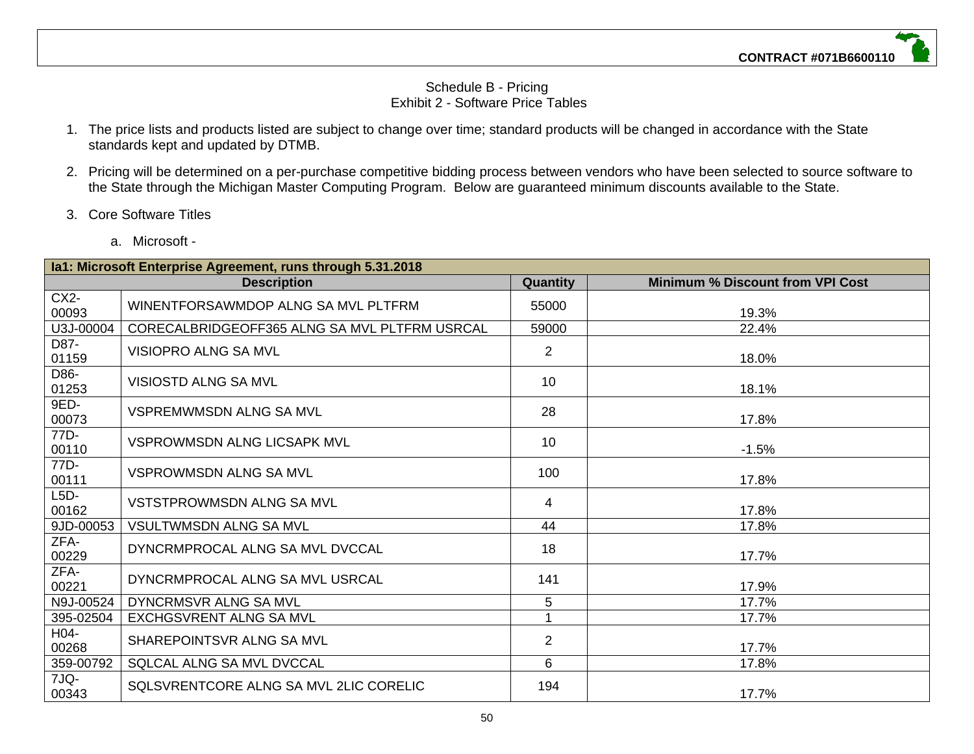#### Schedule B - Pricing Exhibit 2 - Software Price Tables

- 1. The price lists and products listed are subject to change over time; standard products will be changed in accordance with the State standards kept and updated by DTMB.
- 2. Pricing will be determined on a per-purchase competitive bidding process between vendors who have been selected to source software to the State through the Michigan Master Computing Program. Below are guaranteed minimum discounts available to the State.
- 3. Core Software Titles
	- a. Microsoft -

|                 | la1: Microsoft Enterprise Agreement, runs through 5.31.2018 |                |                                         |  |  |  |
|-----------------|-------------------------------------------------------------|----------------|-----------------------------------------|--|--|--|
|                 | <b>Description</b>                                          | Quantity       | <b>Minimum % Discount from VPI Cost</b> |  |  |  |
| $CX2-$<br>00093 | WINENTFORSAWMDOP ALNG SA MVL PLTFRM                         | 55000          | 19.3%                                   |  |  |  |
| U3J-00004       | CORECALBRIDGEOFF365 ALNG SA MVL PLTFRM USRCAL               | 59000          | 22.4%                                   |  |  |  |
| D87-<br>01159   | <b>VISIOPRO ALNG SA MVL</b>                                 | $\overline{2}$ | 18.0%                                   |  |  |  |
| D86-<br>01253   | <b>VISIOSTD ALNG SA MVL</b>                                 | 10             | 18.1%                                   |  |  |  |
| 9ED-<br>00073   | <b>VSPREMWMSDN ALNG SA MVL</b>                              | 28             | 17.8%                                   |  |  |  |
| 77D-<br>00110   | <b>VSPROWMSDN ALNG LICSAPK MVL</b>                          | 10             | $-1.5%$                                 |  |  |  |
| 77D-<br>00111   | <b>VSPROWMSDN ALNG SA MVL</b>                               | 100            | 17.8%                                   |  |  |  |
| $L5D-$<br>00162 | VSTSTPROWMSDN ALNG SA MVL                                   | 4              | 17.8%                                   |  |  |  |
| 9JD-00053       | <b>VSULTWMSDN ALNG SA MVL</b>                               | 44             | 17.8%                                   |  |  |  |
| ZFA-<br>00229   | DYNCRMPROCAL ALNG SA MVL DVCCAL                             | 18             | 17.7%                                   |  |  |  |
| ZFA-<br>00221   | DYNCRMPROCAL ALNG SA MVL USRCAL                             | 141            | 17.9%                                   |  |  |  |
| N9J-00524       | DYNCRMSVR ALNG SA MVL                                       | 5              | 17.7%                                   |  |  |  |
| 395-02504       | <b>EXCHGSVRENT ALNG SA MVL</b>                              | 1              | 17.7%                                   |  |  |  |
| H04-<br>00268   | SHAREPOINTSVR ALNG SA MVL                                   | $\overline{2}$ | 17.7%                                   |  |  |  |
| 359-00792       | SQLCAL ALNG SA MVL DVCCAL                                   | 6              | 17.8%                                   |  |  |  |
| 7JQ-<br>00343   | SQLSVRENTCORE ALNG SA MVL 2LIC CORELIC                      | 194            | 17.7%                                   |  |  |  |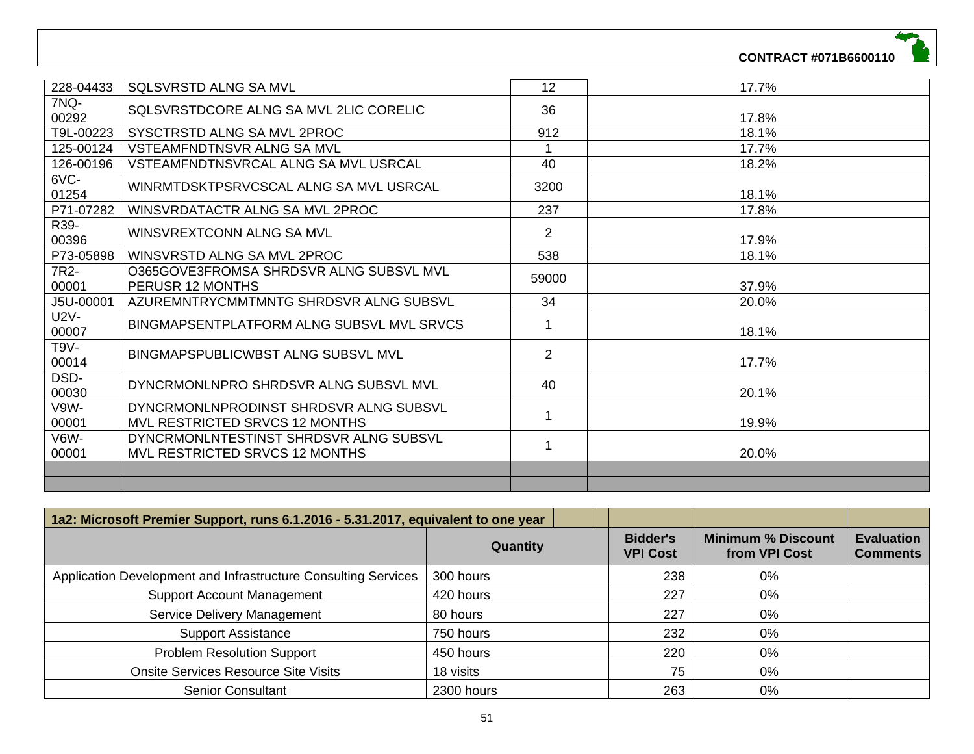| 228-04433     | <b>SQLSVRSTD ALNG SA MVL</b>                                             | 12             | 17.7% |
|---------------|--------------------------------------------------------------------------|----------------|-------|
| 7NQ-<br>00292 | SQLSVRSTDCORE ALNG SA MVL 2LIC CORELIC                                   | 36             | 17.8% |
| T9L-00223     | SYSCTRSTD ALNG SA MVL 2PROC                                              | 912            | 18.1% |
| 125-00124     | VSTEAMFNDTNSVR ALNG SA MVL                                               |                | 17.7% |
| 126-00196     | VSTEAMFNDTNSVRCAL ALNG SA MVL USRCAL                                     | 40             | 18.2% |
| 6VC-<br>01254 | WINRMTDSKTPSRVCSCAL ALNG SA MVL USRCAL                                   | 3200           | 18.1% |
| P71-07282     | WINSVRDATACTR ALNG SA MVL 2PROC                                          | 237            | 17.8% |
| R39-<br>00396 | WINSVREXTCONN ALNG SA MVL                                                | $\overline{2}$ | 17.9% |
| P73-05898     | WINSVRSTD ALNG SA MVL 2PROC                                              | 538            | 18.1% |
| 7R2-<br>00001 | O365GOVE3FROMSA SHRDSVR ALNG SUBSVL MVL<br>PERUSR 12 MONTHS              | 59000          | 37.9% |
| J5U-00001     | AZUREMNTRYCMMTMNTG SHRDSVR ALNG SUBSVL                                   | 34             | 20.0% |
| U2V-<br>00007 | BINGMAPSENTPLATFORM ALNG SUBSVL MVL SRVCS                                |                | 18.1% |
| T9V-<br>00014 | BINGMAPSPUBLICWBST ALNG SUBSVL MVL                                       | $\overline{2}$ | 17.7% |
| DSD-<br>00030 | DYNCRMONLNPRO SHRDSVR ALNG SUBSVL MVL                                    | 40             | 20.1% |
| V9W-<br>00001 | DYNCRMONLNPRODINST SHRDSVR ALNG SUBSVL<br>MVL RESTRICTED SRVCS 12 MONTHS |                | 19.9% |
| V6W-<br>00001 | DYNCRMONLNTESTINST SHRDSVR ALNG SUBSVL<br>MVL RESTRICTED SRVCS 12 MONTHS | -1             | 20.0% |
|               |                                                                          |                |       |
|               |                                                                          |                |       |

| 1a2: Microsoft Premier Support, runs 6.1.2016 - 5.31.2017, equivalent to one year |            |                                    |                                            |                                      |
|-----------------------------------------------------------------------------------|------------|------------------------------------|--------------------------------------------|--------------------------------------|
|                                                                                   | Quantity   | <b>Bidder's</b><br><b>VPI Cost</b> | <b>Minimum % Discount</b><br>from VPI Cost | <b>Evaluation</b><br><b>Comments</b> |
| Application Development and Infrastructure Consulting Services                    | 300 hours  | 238                                | 0%                                         |                                      |
| <b>Support Account Management</b>                                                 | 420 hours  | 227                                | 0%                                         |                                      |
| Service Delivery Management                                                       | 80 hours   | 227                                | 0%                                         |                                      |
| <b>Support Assistance</b>                                                         | 750 hours  | 232                                | 0%                                         |                                      |
| <b>Problem Resolution Support</b>                                                 | 450 hours  | 220                                | 0%                                         |                                      |
| <b>Onsite Services Resource Site Visits</b>                                       | 18 visits  | 75                                 | 0%                                         |                                      |
| <b>Senior Consultant</b>                                                          | 2300 hours | 263                                | 0%                                         |                                      |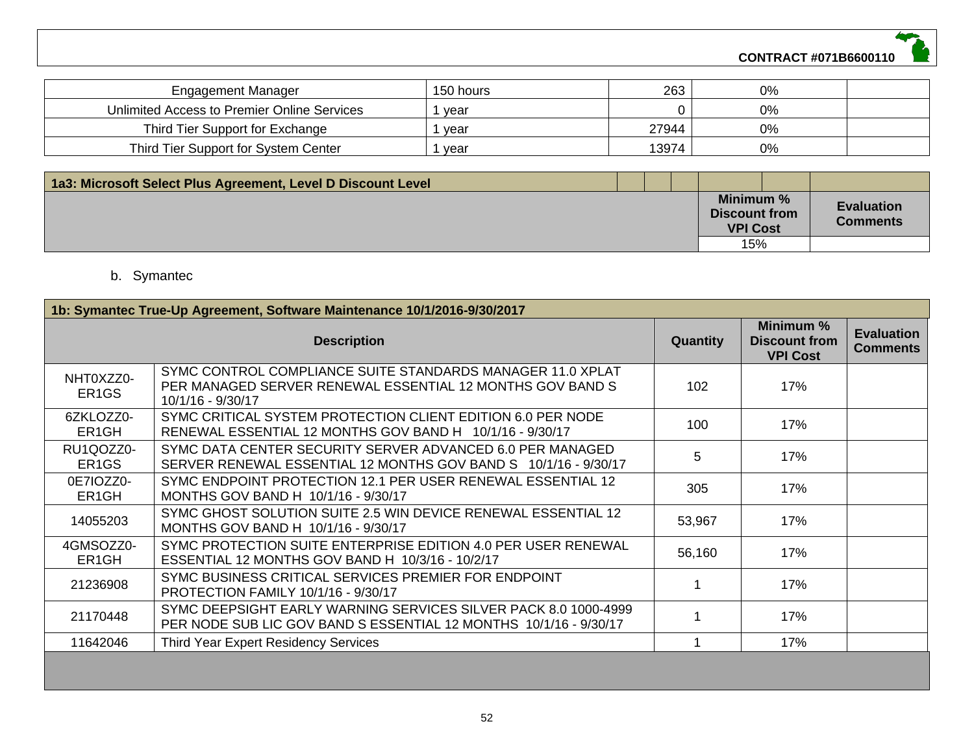

| Engagement Manager                          | 150 hours | 263   | 0% |  |
|---------------------------------------------|-----------|-------|----|--|
| Unlimited Access to Premier Online Services | vear      |       | 0% |  |
| Third Tier Support for Exchange             | vear      | 27944 | 0% |  |
| Third Tier Support for System Center        | vear      | 13974 | 0% |  |

| 1a3: Microsoft Select Plus Agreement, Level D Discount Level |  |                                                      |                                      |
|--------------------------------------------------------------|--|------------------------------------------------------|--------------------------------------|
|                                                              |  | Minimum %<br><b>Discount from</b><br><b>VPI Cost</b> | <b>Evaluation</b><br><b>Comments</b> |
|                                                              |  | 15%                                                  |                                      |

# b. Symantec

|                                 | 1b: Symantec True-Up Agreement, Software Maintenance 10/1/2016-9/30/2017                                                                     |                  |                                                      |                                      |  |  |
|---------------------------------|----------------------------------------------------------------------------------------------------------------------------------------------|------------------|------------------------------------------------------|--------------------------------------|--|--|
|                                 | <b>Description</b>                                                                                                                           | <b>Quantity</b>  | Minimum %<br><b>Discount from</b><br><b>VPI Cost</b> | <b>Evaluation</b><br><b>Comments</b> |  |  |
| NHT0XZZ0-<br>ER <sub>1</sub> GS | SYMC CONTROL COMPLIANCE SUITE STANDARDS MANAGER 11.0 XPLAT<br>PER MANAGED SERVER RENEWAL ESSENTIAL 12 MONTHS GOV BAND S<br>10/1/16 - 9/30/17 | 102 <sub>2</sub> | 17%                                                  |                                      |  |  |
| 6ZKLOZZ0-<br>ER <sub>1</sub> GH | SYMC CRITICAL SYSTEM PROTECTION CLIENT EDITION 6.0 PER NODE<br>RENEWAL ESSENTIAL 12 MONTHS GOV BAND H 10/1/16 - 9/30/17                      | 100              | 17%                                                  |                                      |  |  |
| RU1QOZZ0-<br>ER <sub>1</sub> GS | SYMC DATA CENTER SECURITY SERVER ADVANCED 6.0 PER MANAGED<br>SERVER RENEWAL ESSENTIAL 12 MONTHS GOV BAND S 10/1/16 - 9/30/17                 | 5                | 17%                                                  |                                      |  |  |
| 0E7IOZZ0-<br>ER <sub>1</sub> GH | SYMC ENDPOINT PROTECTION 12.1 PER USER RENEWAL ESSENTIAL 12<br>MONTHS GOV BAND H 10/1/16 - 9/30/17                                           | 305              | 17%                                                  |                                      |  |  |
| 14055203                        | SYMC GHOST SOLUTION SUITE 2.5 WIN DEVICE RENEWAL ESSENTIAL 12<br>MONTHS GOV BAND H 10/1/16 - 9/30/17                                         | 53,967           | 17%                                                  |                                      |  |  |
| 4GMSOZZ0-<br>ER <sub>1</sub> GH | SYMC PROTECTION SUITE ENTERPRISE EDITION 4.0 PER USER RENEWAL<br>ESSENTIAL 12 MONTHS GOV BAND H 10/3/16 - 10/2/17                            | 56,160           | 17%                                                  |                                      |  |  |
| 21236908                        | SYMC BUSINESS CRITICAL SERVICES PREMIER FOR ENDPOINT<br>PROTECTION FAMILY 10/1/16 - 9/30/17                                                  |                  | 17%                                                  |                                      |  |  |
| 21170448                        | SYMC DEEPSIGHT EARLY WARNING SERVICES SILVER PACK 8.0 1000-4999<br>PER NODE SUB LIC GOV BAND S ESSENTIAL 12 MONTHS 10/1/16 - 9/30/17         |                  | 17%                                                  |                                      |  |  |
| 11642046                        | Third Year Expert Residency Services                                                                                                         |                  | 17%                                                  |                                      |  |  |
|                                 |                                                                                                                                              |                  |                                                      |                                      |  |  |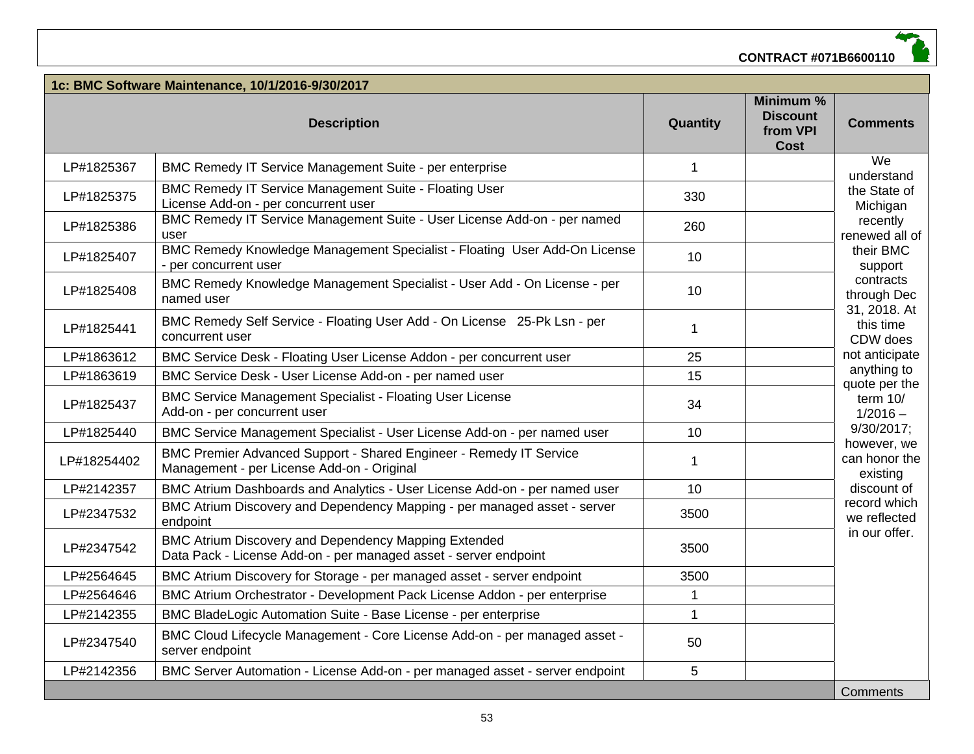| 1c: BMC Software Maintenance, 10/1/2016-9/30/2017 |                                                                                                                          |              |                                                         |                                          |
|---------------------------------------------------|--------------------------------------------------------------------------------------------------------------------------|--------------|---------------------------------------------------------|------------------------------------------|
|                                                   | <b>Description</b>                                                                                                       | Quantity     | Minimum %<br><b>Discount</b><br>from VPI<br><b>Cost</b> | <b>Comments</b>                          |
| LP#1825367                                        | BMC Remedy IT Service Management Suite - per enterprise                                                                  | $\mathbf{1}$ |                                                         | We<br>understand                         |
| LP#1825375                                        | <b>BMC Remedy IT Service Management Suite - Floating User</b><br>License Add-on - per concurrent user                    | 330          |                                                         | the State of<br>Michigan                 |
| LP#1825386                                        | BMC Remedy IT Service Management Suite - User License Add-on - per named<br>user                                         | 260          |                                                         | recently<br>renewed all of               |
| LP#1825407                                        | BMC Remedy Knowledge Management Specialist - Floating User Add-On License<br>- per concurrent user                       | 10           |                                                         | their BMC<br>support                     |
| LP#1825408                                        | BMC Remedy Knowledge Management Specialist - User Add - On License - per<br>named user                                   | 10           |                                                         | contracts<br>through Dec                 |
| LP#1825441                                        | BMC Remedy Self Service - Floating User Add - On License 25-Pk Lsn - per<br>concurrent user                              | 1            |                                                         | 31, 2018. At<br>this time<br>CDW does    |
| LP#1863612                                        | BMC Service Desk - Floating User License Addon - per concurrent user                                                     | 25           |                                                         | not anticipate                           |
| LP#1863619                                        | BMC Service Desk - User License Add-on - per named user                                                                  | 15           |                                                         | anything to<br>quote per the             |
| LP#1825437                                        | <b>BMC Service Management Specialist - Floating User License</b><br>Add-on - per concurrent user                         | 34           |                                                         | term $10/$<br>$1/2016 -$                 |
| LP#1825440                                        | BMC Service Management Specialist - User License Add-on - per named user                                                 | 10           |                                                         | 9/30/2017;                               |
| LP#18254402                                       | BMC Premier Advanced Support - Shared Engineer - Remedy IT Service<br>Management - per License Add-on - Original         | 1            |                                                         | however, we<br>can honor the<br>existing |
| LP#2142357                                        | BMC Atrium Dashboards and Analytics - User License Add-on - per named user                                               | 10           |                                                         | discount of                              |
| LP#2347532                                        | BMC Atrium Discovery and Dependency Mapping - per managed asset - server<br>endpoint                                     | 3500         |                                                         | record which<br>we reflected             |
| LP#2347542                                        | BMC Atrium Discovery and Dependency Mapping Extended<br>Data Pack - License Add-on - per managed asset - server endpoint | 3500         |                                                         | in our offer.                            |
| LP#2564645                                        | BMC Atrium Discovery for Storage - per managed asset - server endpoint                                                   | 3500         |                                                         |                                          |
| LP#2564646                                        | BMC Atrium Orchestrator - Development Pack License Addon - per enterprise                                                | 1            |                                                         |                                          |
| LP#2142355                                        | BMC BladeLogic Automation Suite - Base License - per enterprise                                                          | $\mathbf{1}$ |                                                         |                                          |
| LP#2347540                                        | BMC Cloud Lifecycle Management - Core License Add-on - per managed asset -<br>server endpoint                            | 50           |                                                         |                                          |
| LP#2142356                                        | BMC Server Automation - License Add-on - per managed asset - server endpoint                                             | 5            |                                                         |                                          |
|                                                   |                                                                                                                          |              |                                                         | Comments                                 |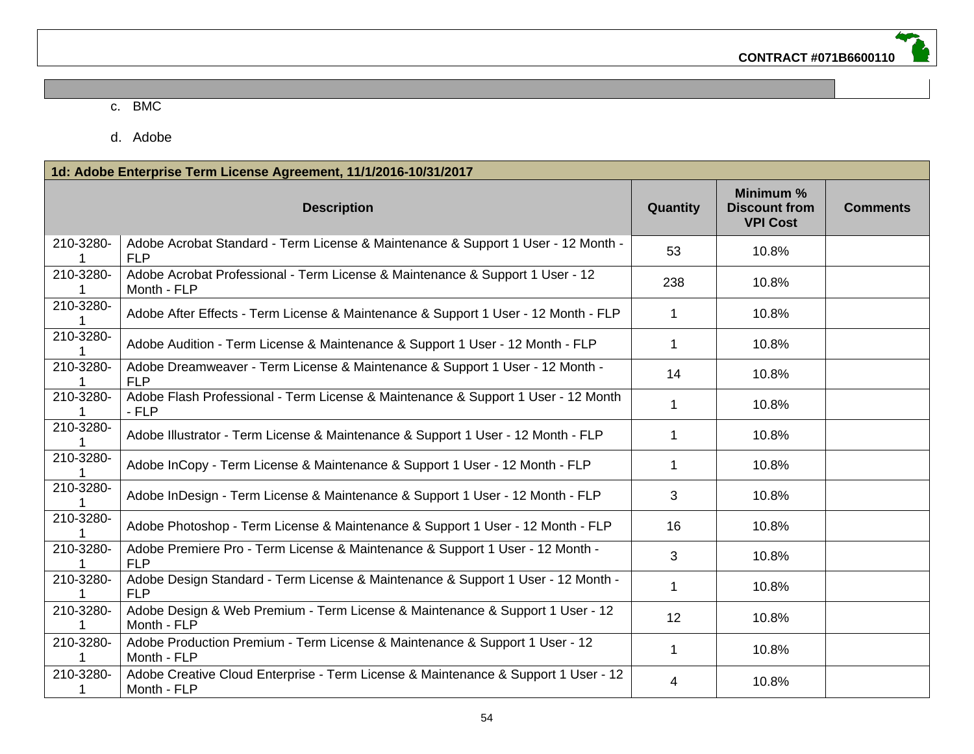#### c. BMC

d. Adobe

|                | 1d: Adobe Enterprise Term License Agreement, 11/1/2016-10/31/2017                                 |              |                                                      |                 |  |  |
|----------------|---------------------------------------------------------------------------------------------------|--------------|------------------------------------------------------|-----------------|--|--|
|                | <b>Description</b>                                                                                | Quantity     | Minimum %<br><b>Discount from</b><br><b>VPI Cost</b> | <b>Comments</b> |  |  |
| 210-3280-      | Adobe Acrobat Standard - Term License & Maintenance & Support 1 User - 12 Month -<br><b>FLP</b>   | 53           | 10.8%                                                |                 |  |  |
| 210-3280-      | Adobe Acrobat Professional - Term License & Maintenance & Support 1 User - 12<br>Month - FLP      | 238          | 10.8%                                                |                 |  |  |
| 210-3280-      | Adobe After Effects - Term License & Maintenance & Support 1 User - 12 Month - FLP                | 1            | 10.8%                                                |                 |  |  |
| 210-3280-      | Adobe Audition - Term License & Maintenance & Support 1 User - 12 Month - FLP                     | $\mathbf 1$  | 10.8%                                                |                 |  |  |
| 210-3280-      | Adobe Dreamweaver - Term License & Maintenance & Support 1 User - 12 Month -<br><b>FLP</b>        | 14           | 10.8%                                                |                 |  |  |
| 210-3280-      | Adobe Flash Professional - Term License & Maintenance & Support 1 User - 12 Month<br>$- FLP$      | $\mathbf{1}$ | 10.8%                                                |                 |  |  |
| 210-3280-      | Adobe Illustrator - Term License & Maintenance & Support 1 User - 12 Month - FLP                  | 1            | 10.8%                                                |                 |  |  |
| 210-3280-      | Adobe InCopy - Term License & Maintenance & Support 1 User - 12 Month - FLP                       | $\mathbf 1$  | 10.8%                                                |                 |  |  |
| 210-3280-      | Adobe InDesign - Term License & Maintenance & Support 1 User - 12 Month - FLP                     | 3            | 10.8%                                                |                 |  |  |
| 210-3280-      | Adobe Photoshop - Term License & Maintenance & Support 1 User - 12 Month - FLP                    | 16           | 10.8%                                                |                 |  |  |
| 210-3280-      | Adobe Premiere Pro - Term License & Maintenance & Support 1 User - 12 Month -<br><b>FLP</b>       | 3            | 10.8%                                                |                 |  |  |
| 210-3280-      | Adobe Design Standard - Term License & Maintenance & Support 1 User - 12 Month -<br><b>FLP</b>    | $\mathbf 1$  | 10.8%                                                |                 |  |  |
| 210-3280-      | Adobe Design & Web Premium - Term License & Maintenance & Support 1 User - 12<br>Month - FLP      | 12           | 10.8%                                                |                 |  |  |
| 210-3280-      | Adobe Production Premium - Term License & Maintenance & Support 1 User - 12<br>Month - FLP        | $\mathbf{1}$ | 10.8%                                                |                 |  |  |
| 210-3280-<br>1 | Adobe Creative Cloud Enterprise - Term License & Maintenance & Support 1 User - 12<br>Month - FLP | 4            | 10.8%                                                |                 |  |  |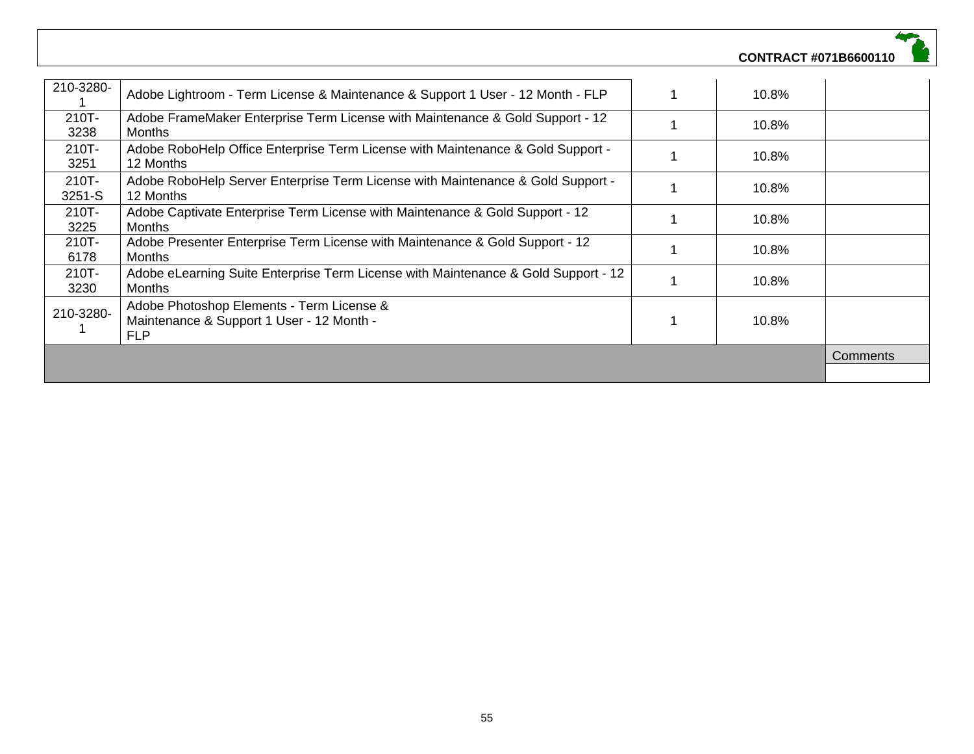| 210-3280-       | Adobe Lightroom - Term License & Maintenance & Support 1 User - 12 Month - FLP                       |  | 10.8% |  |
|-----------------|------------------------------------------------------------------------------------------------------|--|-------|--|
| 210T-<br>3238   | Adobe FrameMaker Enterprise Term License with Maintenance & Gold Support - 12<br><b>Months</b>       |  | 10.8% |  |
| 210T-<br>3251   | Adobe RoboHelp Office Enterprise Term License with Maintenance & Gold Support -<br>12 Months         |  | 10.8% |  |
| 210T-<br>3251-S | Adobe RoboHelp Server Enterprise Term License with Maintenance & Gold Support -<br>12 Months         |  | 10.8% |  |
| 210T-<br>3225   | Adobe Captivate Enterprise Term License with Maintenance & Gold Support - 12<br><b>Months</b>        |  | 10.8% |  |
| 210T-<br>6178   | Adobe Presenter Enterprise Term License with Maintenance & Gold Support - 12<br><b>Months</b>        |  | 10.8% |  |
| 210T-<br>3230   | Adobe eLearning Suite Enterprise Term License with Maintenance & Gold Support - 12<br>Months         |  | 10.8% |  |
| 210-3280-       | Adobe Photoshop Elements - Term License &<br>Maintenance & Support 1 User - 12 Month -<br><b>FLP</b> |  | 10.8% |  |
|                 |                                                                                                      |  |       |  |
|                 |                                                                                                      |  |       |  |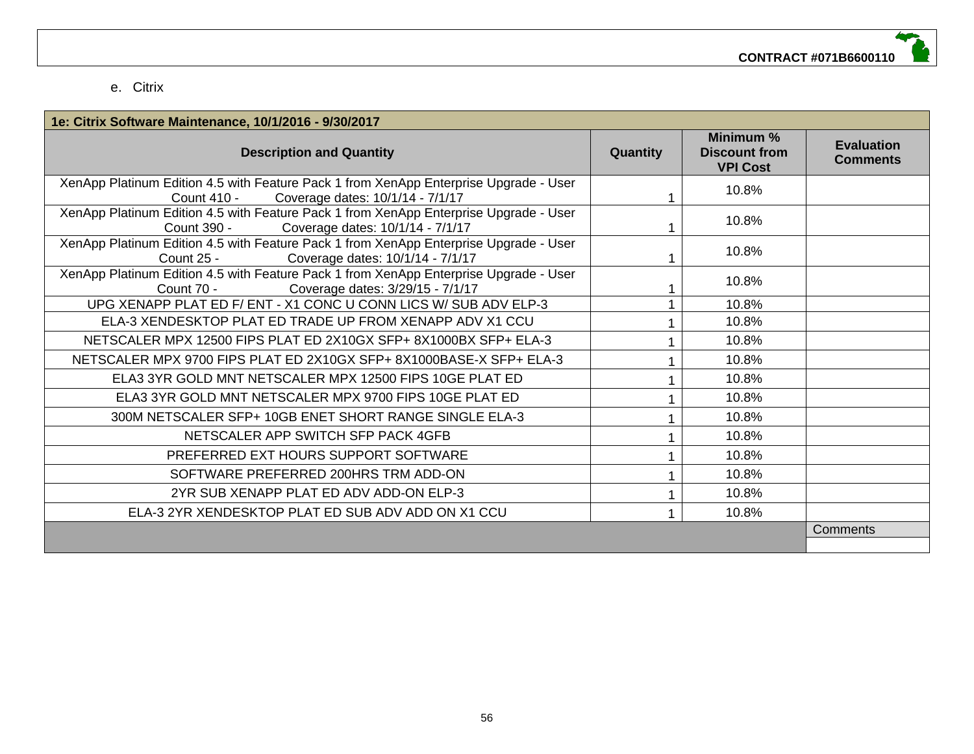#### e. Citrix

| 1e: Citrix Software Maintenance, 10/1/2016 - 9/30/2017                                                                                   |                 |                                                      |                                      |
|------------------------------------------------------------------------------------------------------------------------------------------|-----------------|------------------------------------------------------|--------------------------------------|
| <b>Description and Quantity</b>                                                                                                          | <b>Quantity</b> | Minimum %<br><b>Discount from</b><br><b>VPI Cost</b> | <b>Evaluation</b><br><b>Comments</b> |
| XenApp Platinum Edition 4.5 with Feature Pack 1 from XenApp Enterprise Upgrade - User<br>Coverage dates: 10/1/14 - 7/1/17<br>Count 410 - |                 | 10.8%                                                |                                      |
| XenApp Platinum Edition 4.5 with Feature Pack 1 from XenApp Enterprise Upgrade - User<br>Coverage dates: 10/1/14 - 7/1/17<br>Count 390 - |                 | 10.8%                                                |                                      |
| XenApp Platinum Edition 4.5 with Feature Pack 1 from XenApp Enterprise Upgrade - User<br>Coverage dates: 10/1/14 - 7/1/17<br>Count 25 -  |                 | 10.8%                                                |                                      |
| XenApp Platinum Edition 4.5 with Feature Pack 1 from XenApp Enterprise Upgrade - User<br>Coverage dates: 3/29/15 - 7/1/17<br>Count 70 -  |                 | 10.8%                                                |                                      |
| UPG XENAPP PLAT ED F/ ENT - X1 CONC U CONN LICS W/ SUB ADV ELP-3                                                                         |                 | 10.8%                                                |                                      |
| ELA-3 XENDESKTOP PLAT ED TRADE UP FROM XENAPP ADV X1 CCU                                                                                 |                 | 10.8%                                                |                                      |
| NETSCALER MPX 12500 FIPS PLAT ED 2X10GX SFP+ 8X1000BX SFP+ ELA-3                                                                         |                 | 10.8%                                                |                                      |
| NETSCALER MPX 9700 FIPS PLAT ED 2X10GX SFP+ 8X1000BASE-X SFP+ ELA-3                                                                      |                 | 10.8%                                                |                                      |
| ELA3 3YR GOLD MNT NETSCALER MPX 12500 FIPS 10GE PLAT ED                                                                                  |                 | 10.8%                                                |                                      |
| ELA3 3YR GOLD MNT NETSCALER MPX 9700 FIPS 10GE PLAT ED                                                                                   |                 | 10.8%                                                |                                      |
| 300M NETSCALER SFP+ 10GB ENET SHORT RANGE SINGLE ELA-3                                                                                   |                 | 10.8%                                                |                                      |
| NETSCALER APP SWITCH SFP PACK 4GFB                                                                                                       |                 | 10.8%                                                |                                      |
| PREFERRED EXT HOURS SUPPORT SOFTWARE                                                                                                     |                 | 10.8%                                                |                                      |
| SOFTWARE PREFERRED 200HRS TRM ADD-ON                                                                                                     |                 | 10.8%                                                |                                      |
| 2YR SUB XENAPP PLAT ED ADV ADD-ON ELP-3                                                                                                  |                 | 10.8%                                                |                                      |
| ELA-3 2YR XENDESKTOP PLAT ED SUB ADV ADD ON X1 CCU                                                                                       |                 | 10.8%                                                |                                      |
|                                                                                                                                          |                 |                                                      | <b>Comments</b>                      |
|                                                                                                                                          |                 |                                                      |                                      |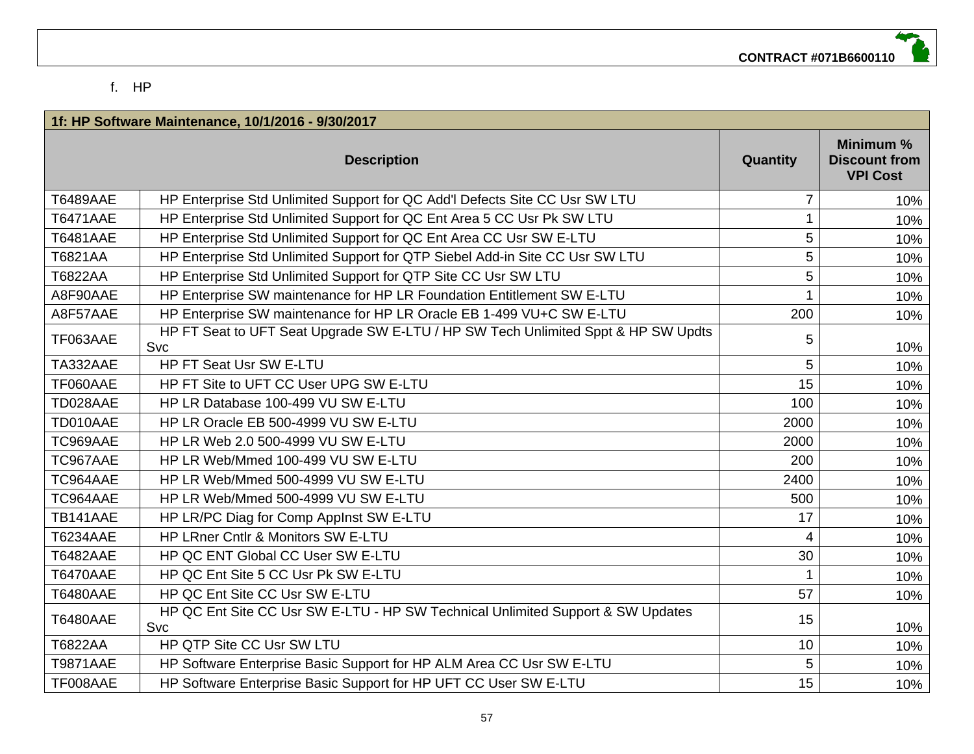#### f. HP

|                 | 1f: HP Software Maintenance, 10/1/2016 - 9/30/2017                                            |                      |                                                      |
|-----------------|-----------------------------------------------------------------------------------------------|----------------------|------------------------------------------------------|
|                 | <b>Description</b>                                                                            | Quantity             | Minimum %<br><b>Discount from</b><br><b>VPI Cost</b> |
| <b>T6489AAE</b> | HP Enterprise Std Unlimited Support for QC Add'l Defects Site CC Usr SW LTU                   | $\overline{7}$       | 10%                                                  |
| <b>T6471AAE</b> | HP Enterprise Std Unlimited Support for QC Ent Area 5 CC Usr Pk SW LTU                        | 1                    | 10%                                                  |
| <b>T6481AAE</b> | HP Enterprise Std Unlimited Support for QC Ent Area CC Usr SW E-LTU                           | 5                    | 10%                                                  |
| T6821AA         | HP Enterprise Std Unlimited Support for QTP Siebel Add-in Site CC Usr SW LTU                  | 5                    | 10%                                                  |
| T6822AA         | HP Enterprise Std Unlimited Support for QTP Site CC Usr SW LTU                                | 5                    | 10%                                                  |
| A8F90AAE        | HP Enterprise SW maintenance for HP LR Foundation Entitlement SW E-LTU                        |                      | 10%                                                  |
| A8F57AAE        | HP Enterprise SW maintenance for HP LR Oracle EB 1-499 VU+C SW E-LTU                          | 200                  | 10%                                                  |
| TF063AAE        | HP FT Seat to UFT Seat Upgrade SW E-LTU / HP SW Tech Unlimited Sppt & HP SW Updts<br>Svc      | 5                    | 10%                                                  |
| TA332AAE        | HP FT Seat Usr SW E-LTU                                                                       | 5                    | 10%                                                  |
| TF060AAE        | HP FT Site to UFT CC User UPG SW E-LTU                                                        | 15                   | 10%                                                  |
| TD028AAE        | HP LR Database 100-499 VU SW E-LTU                                                            | 100                  | 10%                                                  |
| TD010AAE        | HP LR Oracle EB 500-4999 VU SW E-LTU                                                          | 2000                 | 10%                                                  |
| TC969AAE        | HP LR Web 2.0 500-4999 VU SW E-LTU                                                            | 2000                 | 10%                                                  |
| TC967AAE        | HP LR Web/Mmed 100-499 VU SW E-LTU                                                            | 200                  | 10%                                                  |
| TC964AAE        | HP LR Web/Mmed 500-4999 VU SW E-LTU                                                           | 2400                 | 10%                                                  |
| TC964AAE        | HP LR Web/Mmed 500-4999 VU SW E-LTU                                                           | 500                  | 10%                                                  |
| TB141AAE        | HP LR/PC Diag for Comp Applnst SW E-LTU                                                       | 17                   | 10%                                                  |
| <b>T6234AAE</b> | HP LRner Cntlr & Monitors SW E-LTU                                                            | 4                    | 10%                                                  |
| <b>T6482AAE</b> | HP QC ENT Global CC User SW E-LTU                                                             | 30                   | 10%                                                  |
| <b>T6470AAE</b> | HP QC Ent Site 5 CC Usr Pk SW E-LTU                                                           | $\blacktriangleleft$ | 10%                                                  |
| <b>T6480AAE</b> | HP QC Ent Site CC Usr SW E-LTU                                                                | 57                   | 10%                                                  |
| <b>T6480AAE</b> | HP QC Ent Site CC Usr SW E-LTU - HP SW Technical Unlimited Support & SW Updates<br><b>Svc</b> | 15                   | 10%                                                  |
| T6822AA         | HP QTP Site CC Usr SW LTU                                                                     | 10                   | 10%                                                  |
| <b>T9871AAE</b> | HP Software Enterprise Basic Support for HP ALM Area CC Usr SW E-LTU                          | 5                    | 10%                                                  |
| TF008AAE        | HP Software Enterprise Basic Support for HP UFT CC User SW E-LTU                              | 15                   | 10%                                                  |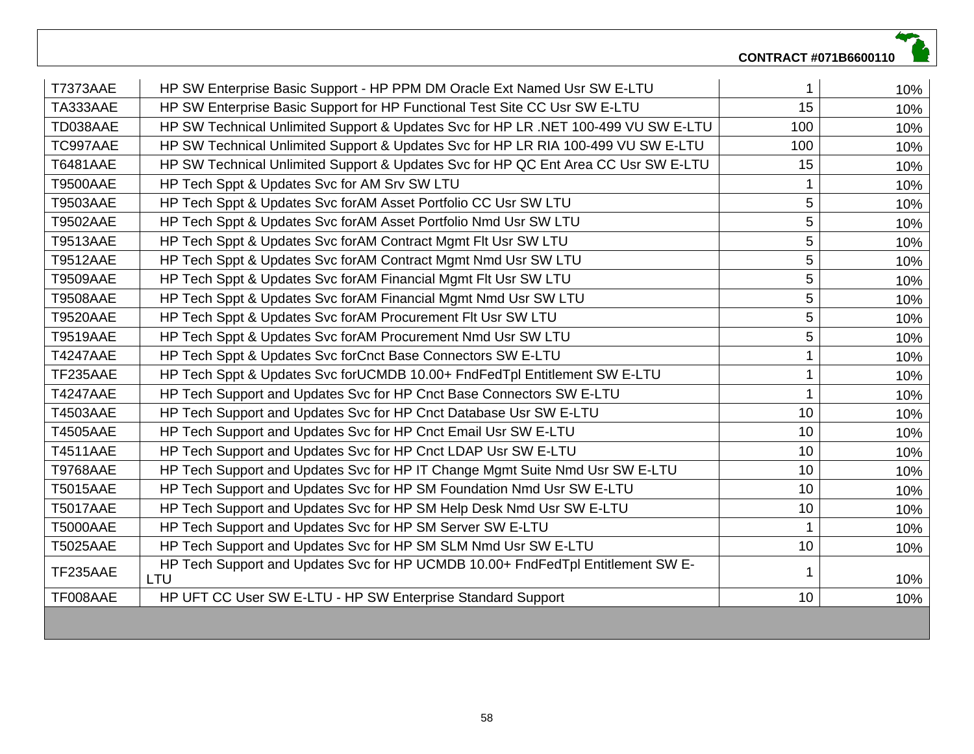|                 |                                                                                        | CONTRACT #071B6600110 |     |
|-----------------|----------------------------------------------------------------------------------------|-----------------------|-----|
| <b>T7373AAE</b> | HP SW Enterprise Basic Support - HP PPM DM Oracle Ext Named Usr SW E-LTU               |                       | 10% |
| TA333AAE        | HP SW Enterprise Basic Support for HP Functional Test Site CC Usr SW E-LTU             | 15                    | 10% |
| TD038AAE        | HP SW Technical Unlimited Support & Updates Svc for HP LR .NET 100-499 VU SW E-LTU     | 100                   | 10% |
| TC997AAE        | HP SW Technical Unlimited Support & Updates Svc for HP LR RIA 100-499 VU SW E-LTU      | 100                   | 10% |
| <b>T6481AAE</b> | HP SW Technical Unlimited Support & Updates Svc for HP QC Ent Area CC Usr SW E-LTU     | 15                    | 10% |
| <b>T9500AAE</b> | HP Tech Sppt & Updates Svc for AM Srv SW LTU                                           |                       | 10% |
| <b>T9503AAE</b> | HP Tech Sppt & Updates Svc forAM Asset Portfolio CC Usr SW LTU                         | 5                     | 10% |
| <b>T9502AAE</b> | HP Tech Sppt & Updates Svc forAM Asset Portfolio Nmd Usr SW LTU                        | 5                     | 10% |
| <b>T9513AAE</b> | HP Tech Sppt & Updates Svc forAM Contract Mgmt Flt Usr SW LTU                          | 5                     | 10% |
| <b>T9512AAE</b> | HP Tech Sppt & Updates Svc forAM Contract Mgmt Nmd Usr SW LTU                          | 5                     | 10% |
| <b>T9509AAE</b> | HP Tech Sppt & Updates Svc forAM Financial Mgmt Flt Usr SW LTU                         | 5                     | 10% |
| <b>T9508AAE</b> | HP Tech Sppt & Updates Svc forAM Financial Mgmt Nmd Usr SW LTU                         | 5                     | 10% |
| <b>T9520AAE</b> | HP Tech Sppt & Updates Svc forAM Procurement Flt Usr SW LTU                            | 5                     | 10% |
| <b>T9519AAE</b> | HP Tech Sppt & Updates Svc forAM Procurement Nmd Usr SW LTU                            | 5                     | 10% |
| <b>T4247AAE</b> | HP Tech Sppt & Updates Svc forCnct Base Connectors SW E-LTU                            |                       | 10% |
| TF235AAE        | HP Tech Sppt & Updates Svc forUCMDB 10.00+ FndFedTpl Entitlement SW E-LTU              |                       | 10% |
| <b>T4247AAE</b> | HP Tech Support and Updates Svc for HP Cnct Base Connectors SW E-LTU                   | 1                     | 10% |
| <b>T4503AAE</b> | HP Tech Support and Updates Svc for HP Cnct Database Usr SW E-LTU                      | 10                    | 10% |
| <b>T4505AAE</b> | HP Tech Support and Updates Svc for HP Cnct Email Usr SW E-LTU                         | 10                    | 10% |
| <b>T4511AAE</b> | HP Tech Support and Updates Svc for HP Cnct LDAP Usr SW E-LTU                          | 10                    | 10% |
| <b>T9768AAE</b> | HP Tech Support and Updates Svc for HP IT Change Mgmt Suite Nmd Usr SW E-LTU           | 10                    | 10% |
| <b>T5015AAE</b> | HP Tech Support and Updates Svc for HP SM Foundation Nmd Usr SW E-LTU                  | 10                    | 10% |
| <b>T5017AAE</b> | HP Tech Support and Updates Svc for HP SM Help Desk Nmd Usr SW E-LTU                   | 10                    | 10% |
| <b>T5000AAE</b> | HP Tech Support and Updates Svc for HP SM Server SW E-LTU                              | $\blacktriangleleft$  | 10% |
| <b>T5025AAE</b> | HP Tech Support and Updates Svc for HP SM SLM Nmd Usr SW E-LTU                         | 10                    | 10% |
| TF235AAE        | HP Tech Support and Updates Svc for HP UCMDB 10.00+ FndFedTpl Entitlement SW E-<br>LTU |                       | 10% |
| TF008AAE        | HP UFT CC User SW E-LTU - HP SW Enterprise Standard Support                            | 10                    | 10% |
|                 |                                                                                        |                       |     |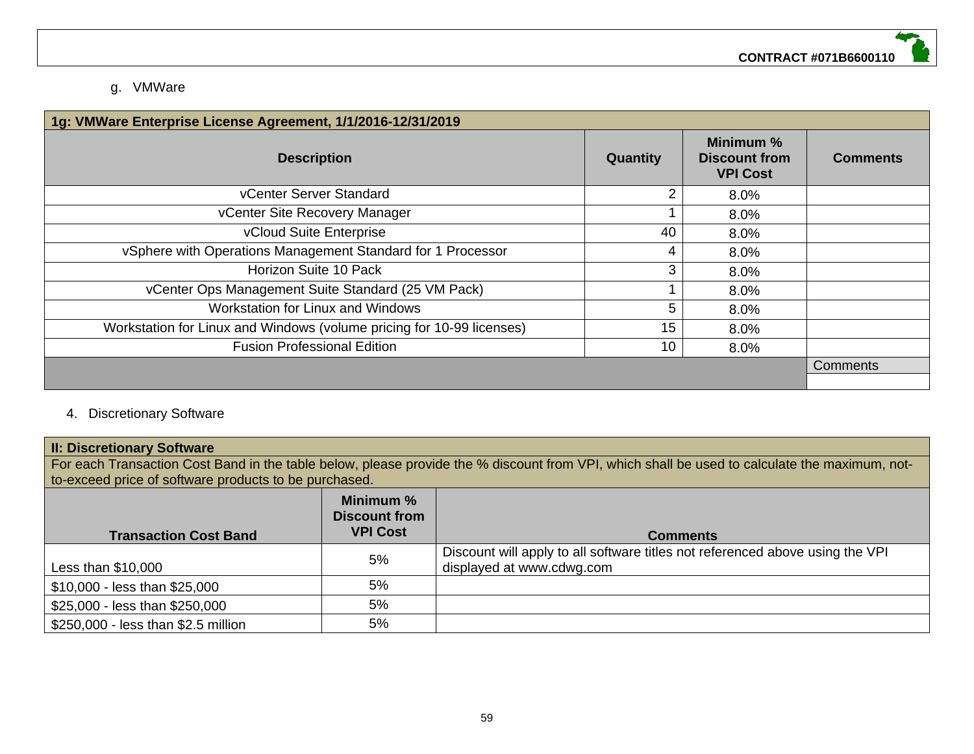# g. VMWare

| 1g: VMWare Enterprise License Agreement, 1/1/2016-12/31/2019          |          |                                                      |                 |  |  |  |
|-----------------------------------------------------------------------|----------|------------------------------------------------------|-----------------|--|--|--|
| <b>Description</b>                                                    | Quantity | Minimum %<br><b>Discount from</b><br><b>VPI Cost</b> | <b>Comments</b> |  |  |  |
| vCenter Server Standard                                               | 2        | 8.0%                                                 |                 |  |  |  |
| vCenter Site Recovery Manager                                         |          | 8.0%                                                 |                 |  |  |  |
| vCloud Suite Enterprise                                               | 40       | 8.0%                                                 |                 |  |  |  |
| vSphere with Operations Management Standard for 1 Processor           | 4        | 8.0%                                                 |                 |  |  |  |
| Horizon Suite 10 Pack                                                 | 3        | 8.0%                                                 |                 |  |  |  |
| vCenter Ops Management Suite Standard (25 VM Pack)                    |          | 8.0%                                                 |                 |  |  |  |
| Workstation for Linux and Windows                                     | 5        | 8.0%                                                 |                 |  |  |  |
| Workstation for Linux and Windows (volume pricing for 10-99 licenses) | 15       | 8.0%                                                 |                 |  |  |  |
| <b>Fusion Professional Edition</b>                                    | 10       | 8.0%                                                 |                 |  |  |  |
|                                                                       |          |                                                      | <b>Comments</b> |  |  |  |
|                                                                       |          |                                                      |                 |  |  |  |

# 4. Discretionary Software

#### **II: Discretionary Software**

For each Transaction Cost Band in the table below, please provide the % discount from VPI, which shall be used to calculate the maximum, notto-exceed price of software products to be purchased.

| <b>Transaction Cost Band</b>        | Minimum %<br><b>Discount from</b><br><b>VPI Cost</b> | <b>Comments</b>                                                                                            |
|-------------------------------------|------------------------------------------------------|------------------------------------------------------------------------------------------------------------|
| Less than $$10,000$                 | 5%                                                   | Discount will apply to all software titles not referenced above using the VPI<br>displayed at www.cdwg.com |
| \$10,000 - less than \$25,000       | 5%                                                   |                                                                                                            |
| \$25,000 - less than \$250,000      | 5%                                                   |                                                                                                            |
| \$250,000 - less than \$2.5 million | 5%                                                   |                                                                                                            |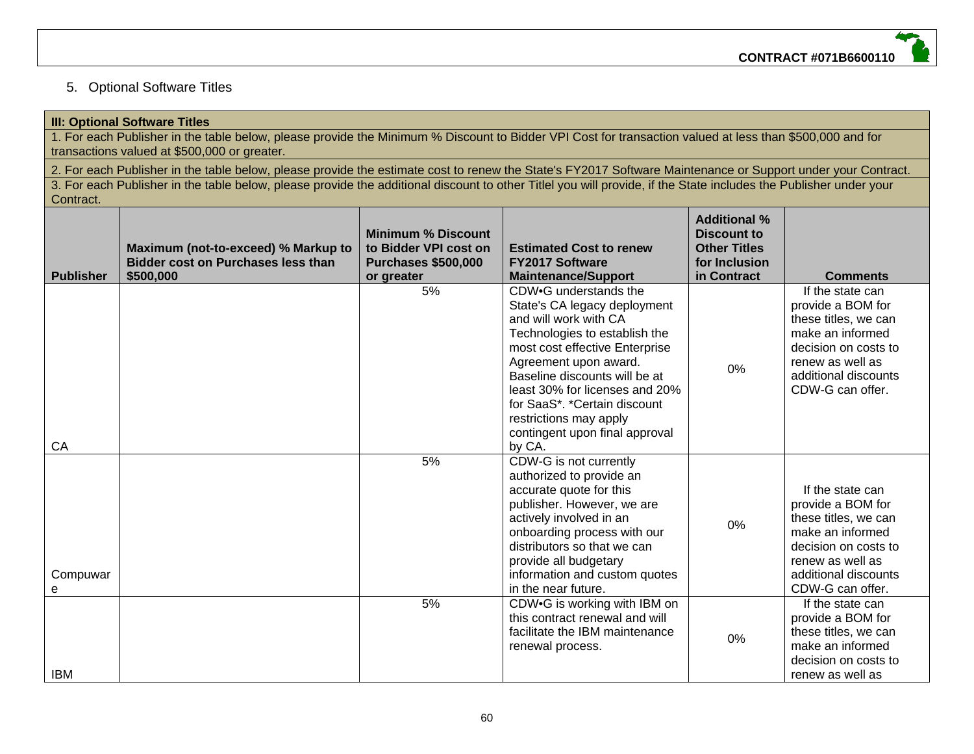# 5. Optional Software Titles

|                  | <b>III: Optional Software Titles</b>                                                                                                                                                                        |                                                                                                |                                                                                                                                                                                                                                                                                                                                                     |                                                                                                  |                                                                                                                                                                           |  |  |
|------------------|-------------------------------------------------------------------------------------------------------------------------------------------------------------------------------------------------------------|------------------------------------------------------------------------------------------------|-----------------------------------------------------------------------------------------------------------------------------------------------------------------------------------------------------------------------------------------------------------------------------------------------------------------------------------------------------|--------------------------------------------------------------------------------------------------|---------------------------------------------------------------------------------------------------------------------------------------------------------------------------|--|--|
|                  | 1. For each Publisher in the table below, please provide the Minimum % Discount to Bidder VPI Cost for transaction valued at less than \$500,000 and for                                                    |                                                                                                |                                                                                                                                                                                                                                                                                                                                                     |                                                                                                  |                                                                                                                                                                           |  |  |
|                  | transactions valued at \$500,000 or greater.<br>2. For each Publisher in the table below, please provide the estimate cost to renew the State's FY2017 Software Maintenance or Support under your Contract. |                                                                                                |                                                                                                                                                                                                                                                                                                                                                     |                                                                                                  |                                                                                                                                                                           |  |  |
|                  | 3. For each Publisher in the table below, please provide the additional discount to other Titlel you will provide, if the State includes the Publisher under your                                           |                                                                                                |                                                                                                                                                                                                                                                                                                                                                     |                                                                                                  |                                                                                                                                                                           |  |  |
| Contract.        |                                                                                                                                                                                                             |                                                                                                |                                                                                                                                                                                                                                                                                                                                                     |                                                                                                  |                                                                                                                                                                           |  |  |
| <b>Publisher</b> | Maximum (not-to-exceed) % Markup to<br><b>Bidder cost on Purchases less than</b><br>\$500,000                                                                                                               | <b>Minimum % Discount</b><br>to Bidder VPI cost on<br><b>Purchases \$500,000</b><br>or greater | <b>Estimated Cost to renew</b><br><b>FY2017 Software</b><br><b>Maintenance/Support</b>                                                                                                                                                                                                                                                              | <b>Additional %</b><br><b>Discount to</b><br><b>Other Titles</b><br>for Inclusion<br>in Contract | <b>Comments</b>                                                                                                                                                           |  |  |
| CA               |                                                                                                                                                                                                             | 5%                                                                                             | CDW.G understands the<br>State's CA legacy deployment<br>and will work with CA<br>Technologies to establish the<br>most cost effective Enterprise<br>Agreement upon award.<br>Baseline discounts will be at<br>least 30% for licenses and 20%<br>for SaaS*. *Certain discount<br>restrictions may apply<br>contingent upon final approval<br>by CA. | 0%                                                                                               | If the state can<br>provide a BOM for<br>these titles, we can<br>make an informed<br>decision on costs to<br>renew as well as<br>additional discounts<br>CDW-G can offer. |  |  |
| Compuwar<br>e    |                                                                                                                                                                                                             | 5%                                                                                             | CDW-G is not currently<br>authorized to provide an<br>accurate quote for this<br>publisher. However, we are<br>actively involved in an<br>onboarding process with our<br>distributors so that we can<br>provide all budgetary<br>information and custom quotes<br>in the near future.                                                               | 0%                                                                                               | If the state can<br>provide a BOM for<br>these titles, we can<br>make an informed<br>decision on costs to<br>renew as well as<br>additional discounts<br>CDW-G can offer. |  |  |
| <b>IBM</b>       |                                                                                                                                                                                                             | 5%                                                                                             | CDW.G is working with IBM on<br>this contract renewal and will<br>facilitate the IBM maintenance<br>renewal process.                                                                                                                                                                                                                                | 0%                                                                                               | If the state can<br>provide a BOM for<br>these titles, we can<br>make an informed<br>decision on costs to<br>renew as well as                                             |  |  |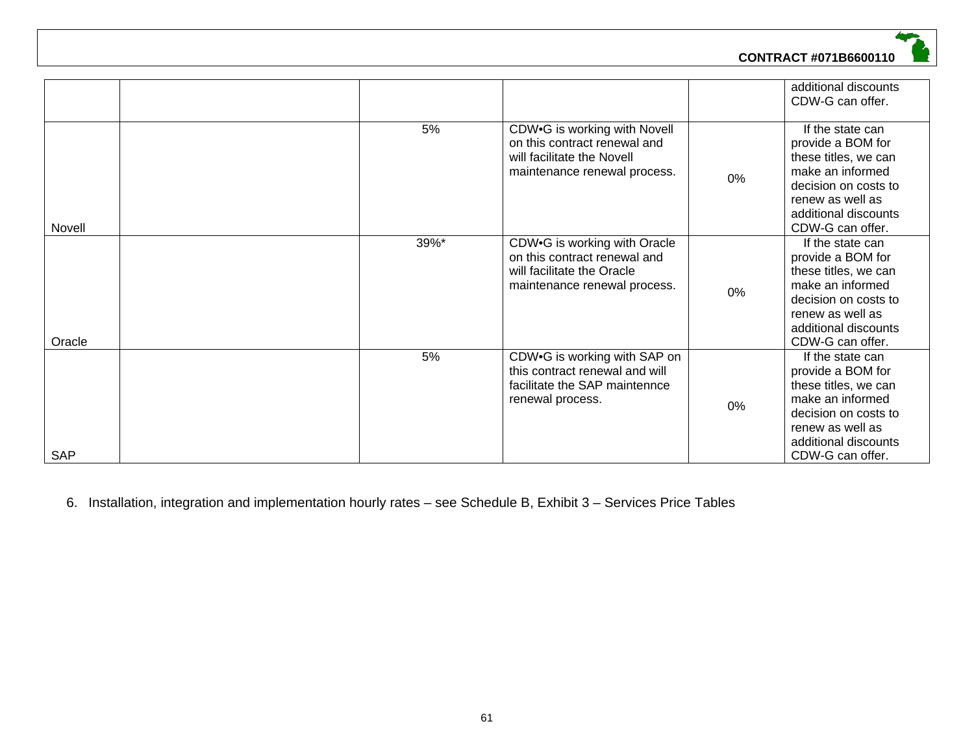

|            |      |                                                                                                                            |    | additional discounts<br>CDW-G can offer.                                                                                                                                  |
|------------|------|----------------------------------------------------------------------------------------------------------------------------|----|---------------------------------------------------------------------------------------------------------------------------------------------------------------------------|
| Novell     | 5%   | CDW.G is working with Novell<br>on this contract renewal and<br>will facilitate the Novell<br>maintenance renewal process. | 0% | If the state can<br>provide a BOM for<br>these titles, we can<br>make an informed<br>decision on costs to<br>renew as well as<br>additional discounts<br>CDW-G can offer. |
| Oracle     | 39%* | CDW.G is working with Oracle<br>on this contract renewal and<br>will facilitate the Oracle<br>maintenance renewal process. | 0% | If the state can<br>provide a BOM for<br>these titles, we can<br>make an informed<br>decision on costs to<br>renew as well as<br>additional discounts<br>CDW-G can offer. |
| <b>SAP</b> | 5%   | CDW.G is working with SAP on<br>this contract renewal and will<br>facilitate the SAP maintennce<br>renewal process.        | 0% | If the state can<br>provide a BOM for<br>these titles, we can<br>make an informed<br>decision on costs to<br>renew as well as<br>additional discounts<br>CDW-G can offer. |

6. Installation, integration and implementation hourly rates – see Schedule B, Exhibit 3 – Services Price Tables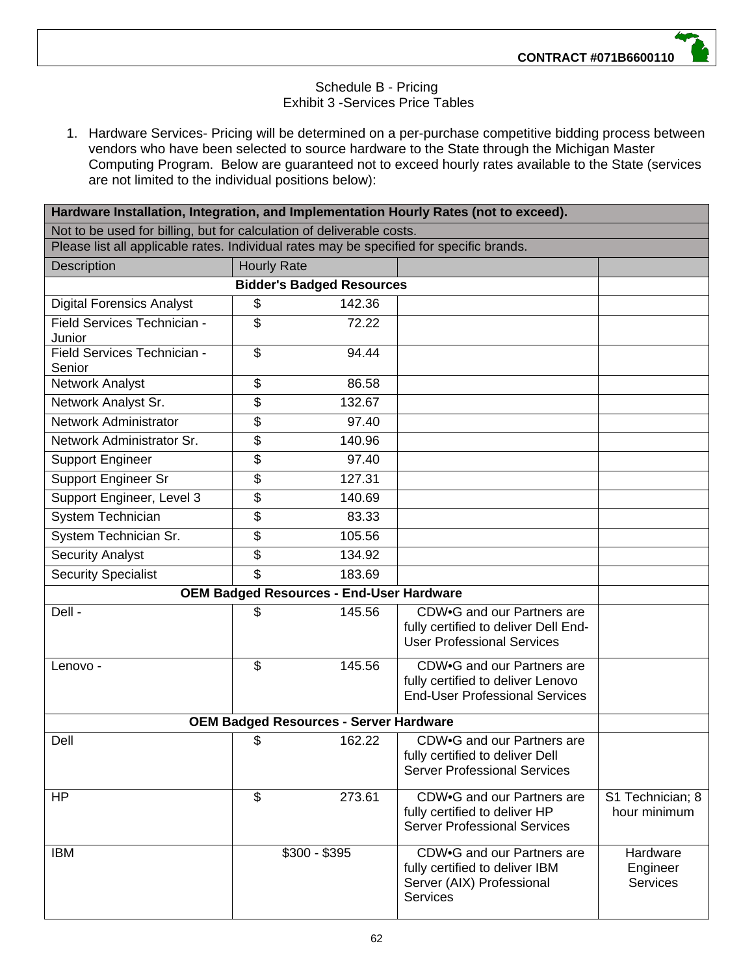## Schedule B - Pricing Exhibit 3 -Services Price Tables

1. Hardware Services- Pricing will be determined on a per-purchase competitive bidding process between vendors who have been selected to source hardware to the State through the Michigan Master Computing Program. Below are guaranteed not to exceed hourly rates available to the State (services are not limited to the individual positions below):

| Hardware Installation, Integration, and Implementation Hourly Rates (not to exceed).     |    |                                                 |                                                                                                              |                                  |  |  |  |
|------------------------------------------------------------------------------------------|----|-------------------------------------------------|--------------------------------------------------------------------------------------------------------------|----------------------------------|--|--|--|
| Not to be used for billing, but for calculation of deliverable costs.                    |    |                                                 |                                                                                                              |                                  |  |  |  |
| Please list all applicable rates. Individual rates may be specified for specific brands. |    |                                                 |                                                                                                              |                                  |  |  |  |
| Description<br><b>Hourly Rate</b>                                                        |    |                                                 |                                                                                                              |                                  |  |  |  |
|                                                                                          |    | <b>Bidder's Badged Resources</b>                |                                                                                                              |                                  |  |  |  |
| <b>Digital Forensics Analyst</b>                                                         | \$ | 142.36                                          |                                                                                                              |                                  |  |  |  |
| Field Services Technician -<br>Junior                                                    | \$ | 72.22                                           |                                                                                                              |                                  |  |  |  |
| Field Services Technician -<br>Senior                                                    | \$ | 94.44                                           |                                                                                                              |                                  |  |  |  |
| Network Analyst                                                                          | \$ | 86.58                                           |                                                                                                              |                                  |  |  |  |
| Network Analyst Sr.                                                                      | \$ | 132.67                                          |                                                                                                              |                                  |  |  |  |
| Network Administrator                                                                    | \$ | 97.40                                           |                                                                                                              |                                  |  |  |  |
| Network Administrator Sr.                                                                | \$ | 140.96                                          |                                                                                                              |                                  |  |  |  |
| <b>Support Engineer</b>                                                                  | \$ | 97.40                                           |                                                                                                              |                                  |  |  |  |
| Support Engineer Sr                                                                      | \$ | 127.31                                          |                                                                                                              |                                  |  |  |  |
| Support Engineer, Level 3                                                                | \$ | 140.69                                          |                                                                                                              |                                  |  |  |  |
| System Technician                                                                        | \$ | 83.33                                           |                                                                                                              |                                  |  |  |  |
| System Technician Sr.                                                                    | \$ | 105.56                                          |                                                                                                              |                                  |  |  |  |
| <b>Security Analyst</b>                                                                  | \$ | 134.92                                          |                                                                                                              |                                  |  |  |  |
| Security Specialist                                                                      | \$ | 183.69                                          |                                                                                                              |                                  |  |  |  |
|                                                                                          |    | <b>OEM Badged Resources - End-User Hardware</b> |                                                                                                              |                                  |  |  |  |
| Dell -                                                                                   | \$ | 145.56                                          | CDW.G and our Partners are<br>fully certified to deliver Dell End-<br><b>User Professional Services</b>      |                                  |  |  |  |
| Lenovo -                                                                                 | \$ | 145.56                                          | CDW.G and our Partners are<br>fully certified to deliver Lenovo<br><b>End-User Professional Services</b>     |                                  |  |  |  |
|                                                                                          |    | <b>OEM Badged Resources - Server Hardware</b>   |                                                                                                              |                                  |  |  |  |
| Dell                                                                                     | \$ | 162.22                                          | CDW.G and our Partners are<br>fully certified to deliver Dell<br><b>Server Professional Services</b>         |                                  |  |  |  |
| HP                                                                                       | \$ | 273.61                                          | CDW.G and our Partners are<br>fully certified to deliver HP<br><b>Server Professional Services</b>           | S1 Technician; 8<br>hour minimum |  |  |  |
| <b>IBM</b>                                                                               |    | $$300 - $395$                                   | CDW.G and our Partners are<br>fully certified to deliver IBM<br>Server (AIX) Professional<br><b>Services</b> | Hardware<br>Engineer<br>Services |  |  |  |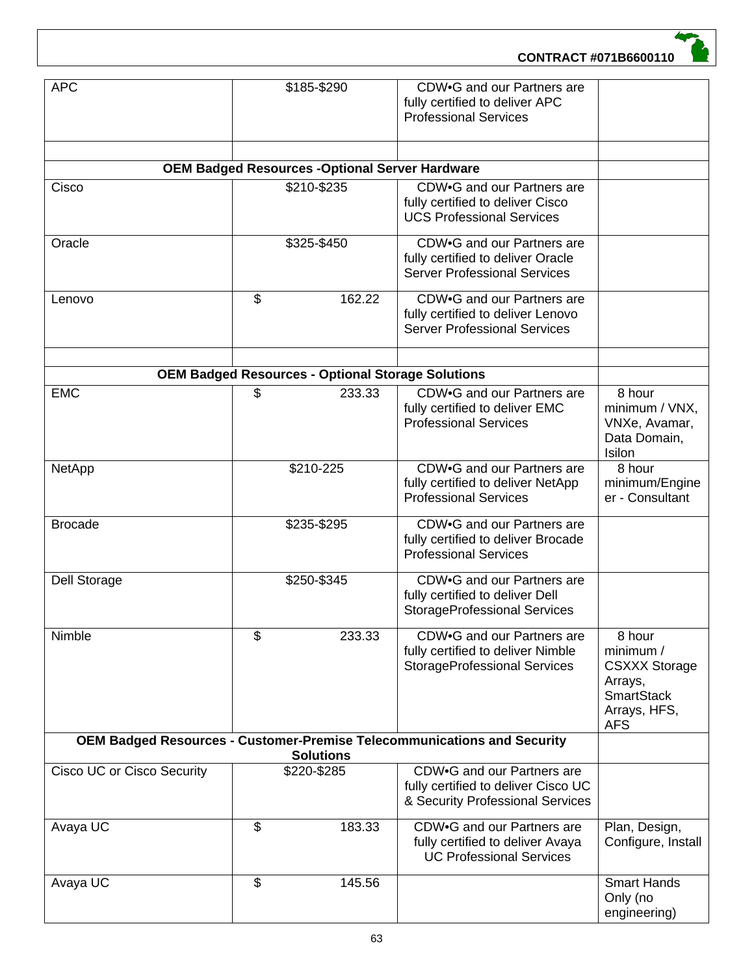

| <b>APC</b>                                                                                  | \$185-\$290<br>CDW.G and our Partners are<br>fully certified to deliver APC<br><b>Professional Services</b> |                                                          |                                                                                                        |                                                                                                           |  |  |
|---------------------------------------------------------------------------------------------|-------------------------------------------------------------------------------------------------------------|----------------------------------------------------------|--------------------------------------------------------------------------------------------------------|-----------------------------------------------------------------------------------------------------------|--|--|
|                                                                                             |                                                                                                             | <b>OEM Badged Resources -Optional Server Hardware</b>    |                                                                                                        |                                                                                                           |  |  |
| Cisco                                                                                       |                                                                                                             | \$210-\$235                                              | CDW.G and our Partners are<br>fully certified to deliver Cisco<br><b>UCS Professional Services</b>     |                                                                                                           |  |  |
| Oracle                                                                                      |                                                                                                             | \$325-\$450                                              | CDW.G and our Partners are<br>fully certified to deliver Oracle<br><b>Server Professional Services</b> |                                                                                                           |  |  |
| Lenovo                                                                                      | \$                                                                                                          | 162.22                                                   | CDW.G and our Partners are<br>fully certified to deliver Lenovo<br><b>Server Professional Services</b> |                                                                                                           |  |  |
|                                                                                             |                                                                                                             | <b>OEM Badged Resources - Optional Storage Solutions</b> |                                                                                                        |                                                                                                           |  |  |
| <b>EMC</b>                                                                                  | \$                                                                                                          | 233.33                                                   | CDW.G and our Partners are                                                                             | 8 hour                                                                                                    |  |  |
|                                                                                             |                                                                                                             |                                                          | fully certified to deliver EMC<br><b>Professional Services</b>                                         | minimum / VNX,<br>VNXe, Avamar,<br>Data Domain,<br>Isilon                                                 |  |  |
| NetApp                                                                                      |                                                                                                             | \$210-225                                                | CDW.G and our Partners are<br>fully certified to deliver NetApp<br><b>Professional Services</b>        | 8 hour<br>minimum/Engine<br>er - Consultant                                                               |  |  |
| <b>Brocade</b>                                                                              |                                                                                                             | \$235-\$295                                              | CDW.G and our Partners are<br>fully certified to deliver Brocade<br><b>Professional Services</b>       |                                                                                                           |  |  |
| Dell Storage                                                                                |                                                                                                             | \$250-\$345                                              | CDW.G and our Partners are<br>fully certified to deliver Dell<br><b>StorageProfessional Services</b>   |                                                                                                           |  |  |
| Nimble                                                                                      | \$                                                                                                          | 233.33                                                   | CDW.G and our Partners are<br>fully certified to deliver Nimble<br><b>StorageProfessional Services</b> | 8 hour<br>minimum /<br><b>CSXXX Storage</b><br>Arrays,<br><b>SmartStack</b><br>Arrays, HFS,<br><b>AFS</b> |  |  |
| OEM Badged Resources - Customer-Premise Telecommunications and Security<br><b>Solutions</b> |                                                                                                             |                                                          |                                                                                                        |                                                                                                           |  |  |
| <b>Cisco UC or Cisco Security</b>                                                           |                                                                                                             | \$220-\$285                                              | CDW.G and our Partners are<br>fully certified to deliver Cisco UC<br>& Security Professional Services  |                                                                                                           |  |  |
| Avaya UC                                                                                    | \$                                                                                                          | 183.33                                                   | CDW.G and our Partners are<br>fully certified to deliver Avaya<br><b>UC Professional Services</b>      | Plan, Design,<br>Configure, Install                                                                       |  |  |
| Avaya UC                                                                                    | \$                                                                                                          | 145.56                                                   |                                                                                                        | <b>Smart Hands</b><br>Only (no<br>engineering)                                                            |  |  |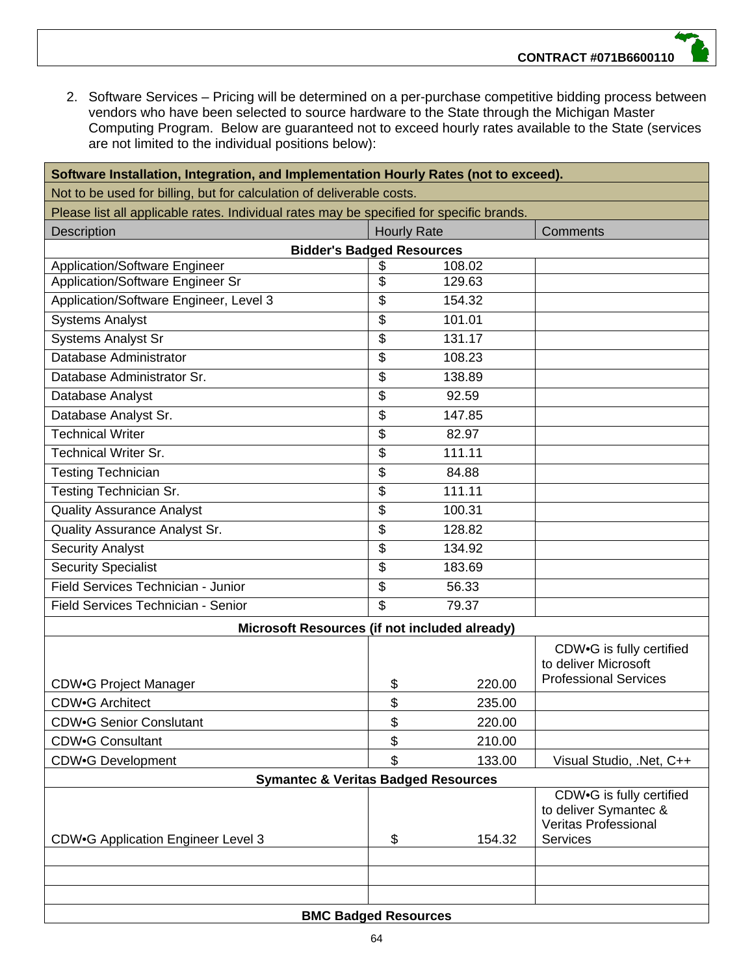2. Software Services – Pricing will be determined on a per-purchase competitive bidding process between vendors who have been selected to source hardware to the State through the Michigan Master Computing Program. Below are guaranteed not to exceed hourly rates available to the State (services are not limited to the individual positions below):

| Software Installation, Integration, and Implementation Hourly Rates (not to exceed).     |                             |        |                                                                                                     |  |  |
|------------------------------------------------------------------------------------------|-----------------------------|--------|-----------------------------------------------------------------------------------------------------|--|--|
| Not to be used for billing, but for calculation of deliverable costs.                    |                             |        |                                                                                                     |  |  |
| Please list all applicable rates. Individual rates may be specified for specific brands. |                             |        |                                                                                                     |  |  |
| <b>Description</b>                                                                       | <b>Hourly Rate</b>          |        | Comments                                                                                            |  |  |
| <b>Bidder's Badged Resources</b>                                                         |                             |        |                                                                                                     |  |  |
| <b>Application/Software Engineer</b>                                                     | \$                          | 108.02 |                                                                                                     |  |  |
| Application/Software Engineer Sr                                                         | \$                          | 129.63 |                                                                                                     |  |  |
| Application/Software Engineer, Level 3                                                   | \$                          | 154.32 |                                                                                                     |  |  |
| <b>Systems Analyst</b>                                                                   | \$                          | 101.01 |                                                                                                     |  |  |
| <b>Systems Analyst Sr</b>                                                                | \$                          | 131.17 |                                                                                                     |  |  |
| Database Administrator                                                                   | \$                          | 108.23 |                                                                                                     |  |  |
| Database Administrator Sr.                                                               | \$                          | 138.89 |                                                                                                     |  |  |
| Database Analyst                                                                         | \$                          | 92.59  |                                                                                                     |  |  |
| Database Analyst Sr.                                                                     | \$                          | 147.85 |                                                                                                     |  |  |
| <b>Technical Writer</b>                                                                  | \$                          | 82.97  |                                                                                                     |  |  |
| <b>Technical Writer Sr.</b>                                                              | \$                          | 111.11 |                                                                                                     |  |  |
| <b>Testing Technician</b>                                                                | \$                          | 84.88  |                                                                                                     |  |  |
| Testing Technician Sr.                                                                   | \$                          | 111.11 |                                                                                                     |  |  |
| <b>Quality Assurance Analyst</b>                                                         | \$                          | 100.31 |                                                                                                     |  |  |
| Quality Assurance Analyst Sr.                                                            | \$                          | 128.82 |                                                                                                     |  |  |
| <b>Security Analyst</b>                                                                  | $\overline{\mathcal{S}}$    | 134.92 |                                                                                                     |  |  |
| <b>Security Specialist</b>                                                               | \$                          | 183.69 |                                                                                                     |  |  |
| Field Services Technician - Junior                                                       | \$                          | 56.33  |                                                                                                     |  |  |
| Field Services Technician - Senior                                                       | \$                          | 79.37  |                                                                                                     |  |  |
| Microsoft Resources (if not included already)                                            |                             |        |                                                                                                     |  |  |
| <b>CDW.G Project Manager</b>                                                             | \$                          | 220.00 | CDW.G is fully certified<br>to deliver Microsoft<br><b>Professional Services</b>                    |  |  |
| <b>CDW.G Architect</b>                                                                   | \$                          | 235.00 |                                                                                                     |  |  |
| <b>CDW.G Senior Conslutant</b>                                                           | \$                          | 220.00 |                                                                                                     |  |  |
| <b>CDW.G Consultant</b>                                                                  | \$                          | 210.00 |                                                                                                     |  |  |
| <b>CDW.G Development</b>                                                                 | \$                          | 133.00 | Visual Studio, .Net, C++                                                                            |  |  |
| <b>Symantec &amp; Veritas Badged Resources</b>                                           |                             |        |                                                                                                     |  |  |
| CDW.G Application Engineer Level 3                                                       | \$                          | 154.32 | CDW.G is fully certified<br>to deliver Symantec &<br><b>Veritas Professional</b><br><b>Services</b> |  |  |
|                                                                                          |                             |        |                                                                                                     |  |  |
|                                                                                          |                             |        |                                                                                                     |  |  |
|                                                                                          | <b>BMC Badged Resources</b> |        |                                                                                                     |  |  |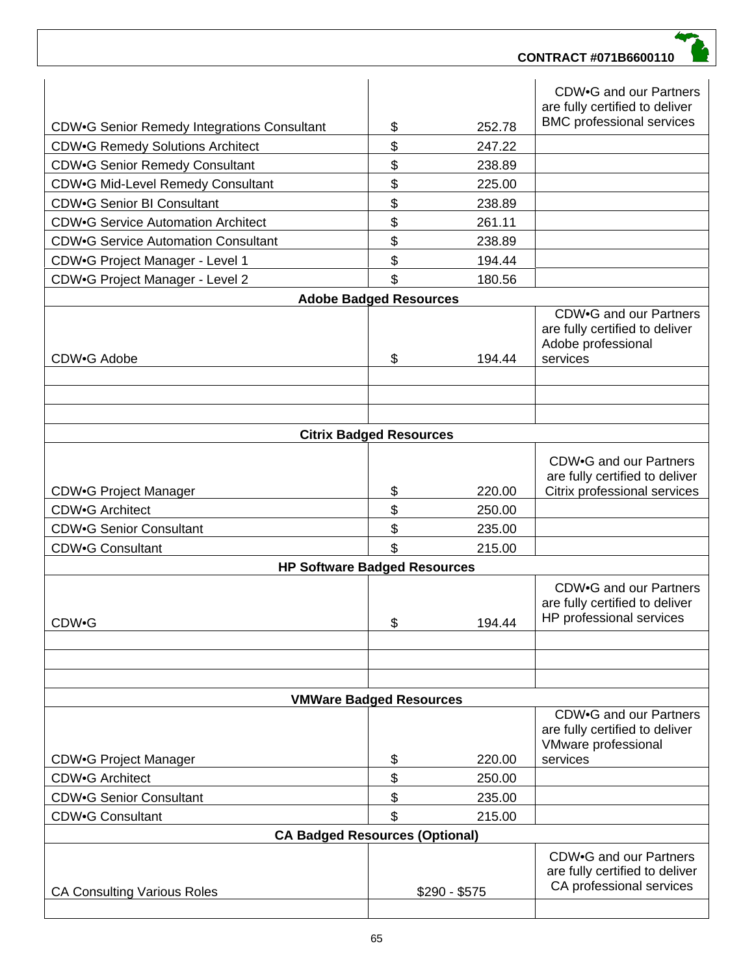| <b>CA Consulting Various Roles</b>                               |          | $$290 - $575$ | CA professional services                                                                    |
|------------------------------------------------------------------|----------|---------------|---------------------------------------------------------------------------------------------|
|                                                                  |          |               | are fully certified to deliver                                                              |
|                                                                  |          |               | CDW.G and our Partners                                                                      |
| <b>CA Badged Resources (Optional)</b>                            |          |               |                                                                                             |
| <b>CDW.G Consultant</b>                                          | \$       | 215.00        |                                                                                             |
| <b>CDW.G Senior Consultant</b>                                   | \$       | 235.00        |                                                                                             |
| <b>CDW.G Architect</b>                                           | \$<br>\$ | 250.00        |                                                                                             |
| <b>CDW.G Project Manager</b>                                     |          | 220.00        | CDW.G and our Partners<br>are fully certified to deliver<br>VMware professional<br>services |
| <b>VMWare Badged Resources</b>                                   |          |               |                                                                                             |
|                                                                  |          |               |                                                                                             |
| CDW•G                                                            | \$       | 194.44        | HP professional services                                                                    |
|                                                                  |          |               | CDW.G and our Partners<br>are fully certified to deliver                                    |
| <b>HP Software Badged Resources</b>                              |          |               |                                                                                             |
| <b>CDW.G Consultant</b>                                          | \$       | 215.00        |                                                                                             |
| <b>CDW.G Senior Consultant</b>                                   | \$       | 235.00        |                                                                                             |
| <b>CDW.G Architect</b>                                           | \$       | 250.00        |                                                                                             |
| <b>CDW.G Project Manager</b>                                     | \$       | 220.00        | CDW.G and our Partners<br>are fully certified to deliver<br>Citrix professional services    |
| <b>Citrix Badged Resources</b>                                   |          |               |                                                                                             |
|                                                                  |          |               |                                                                                             |
| CDW.G Adobe                                                      | \$       | 194.44        | services                                                                                    |
|                                                                  |          |               | CDW.G and our Partners<br>are fully certified to deliver<br>Adobe professional              |
| CDW.G Project Manager - Level 2<br><b>Adobe Badged Resources</b> | \$       | 180.56        |                                                                                             |
| CDW.G Project Manager - Level 1                                  | \$       | 194.44        |                                                                                             |
| <b>CDW•G Service Automation Consultant</b>                       | \$       | 238.89        |                                                                                             |
| <b>CDW•G Service Automation Architect</b>                        | \$       | 261.11        |                                                                                             |
| <b>CDW.G Senior BI Consultant</b>                                | \$       | 238.89        |                                                                                             |
| CDW.G Mid-Level Remedy Consultant                                | \$       | 225.00        |                                                                                             |
| <b>CDW.G Senior Remedy Consultant</b>                            | \$       | 238.89        |                                                                                             |
| <b>CDW.G Remedy Solutions Architect</b>                          | \$       | 247.22        |                                                                                             |
| CDW.G Senior Remedy Integrations Consultant                      | \$       | 252.78        | <b>BMC</b> professional services                                                            |
|                                                                  |          |               | CDW.G and our Partners<br>are fully certified to deliver                                    |
|                                                                  |          |               |                                                                                             |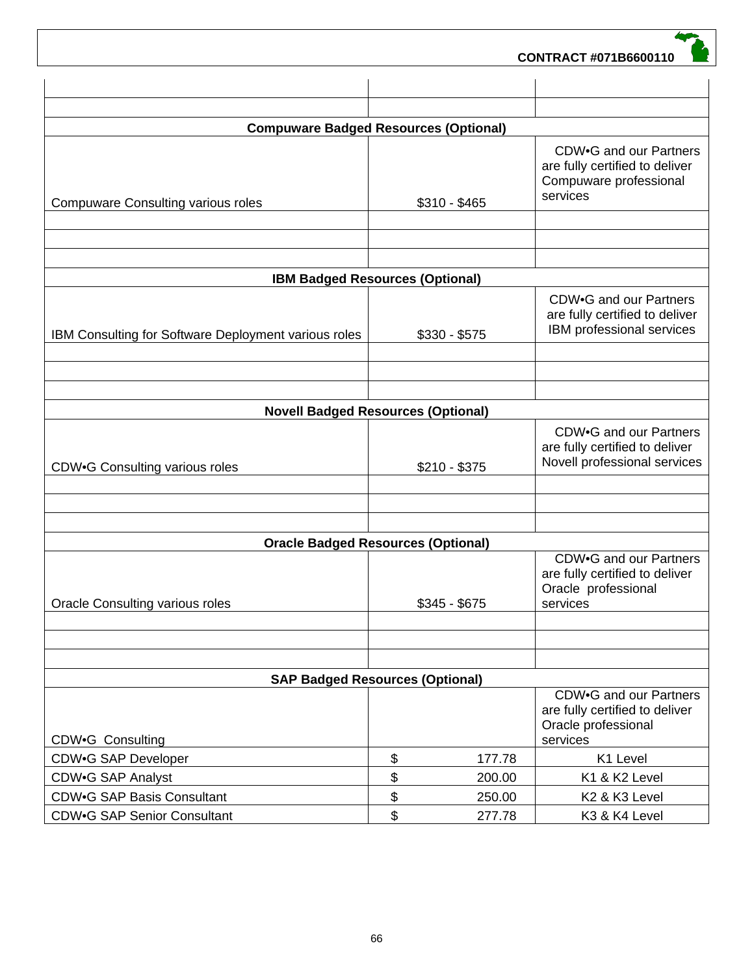| <b>Compuware Badged Resources (Optional)</b>               |               |                                                                                                |
|------------------------------------------------------------|---------------|------------------------------------------------------------------------------------------------|
| <b>Compuware Consulting various roles</b>                  | $$310 - $465$ | CDW.G and our Partners<br>are fully certified to deliver<br>Compuware professional<br>services |
|                                                            |               |                                                                                                |
| <b>IBM Badged Resources (Optional)</b>                     |               |                                                                                                |
| IBM Consulting for Software Deployment various roles       | $$330 - $575$ | CDW.G and our Partners<br>are fully certified to deliver<br>IBM professional services          |
|                                                            |               |                                                                                                |
| <b>Novell Badged Resources (Optional)</b>                  |               |                                                                                                |
| <b>CDW•G Consulting various roles</b>                      | $$210 - $375$ | CDW.G and our Partners<br>are fully certified to deliver<br>Novell professional services       |
|                                                            |               |                                                                                                |
| <b>Oracle Badged Resources (Optional)</b>                  |               |                                                                                                |
| <b>Oracle Consulting various roles</b>                     | $$345 - $675$ | CDW.G and our Partners<br>are fully certified to deliver<br>Oracle professional<br>services    |
|                                                            |               |                                                                                                |
| <b>SAP Badged Resources (Optional)</b><br>CDW.G Consulting |               | CDW.G and our Partners<br>are fully certified to deliver<br>Oracle professional<br>services    |
| <b>CDW.G SAP Developer</b>                                 | \$<br>177.78  | K1 Level                                                                                       |
| CDW.G SAP Analyst                                          | \$<br>200.00  | K1 & K2 Level                                                                                  |
| <b>CDW•G SAP Basis Consultant</b>                          | \$<br>250.00  | K2 & K3 Level                                                                                  |
| <b>CDW•G SAP Senior Consultant</b>                         | \$<br>277.78  | K3 & K4 Level                                                                                  |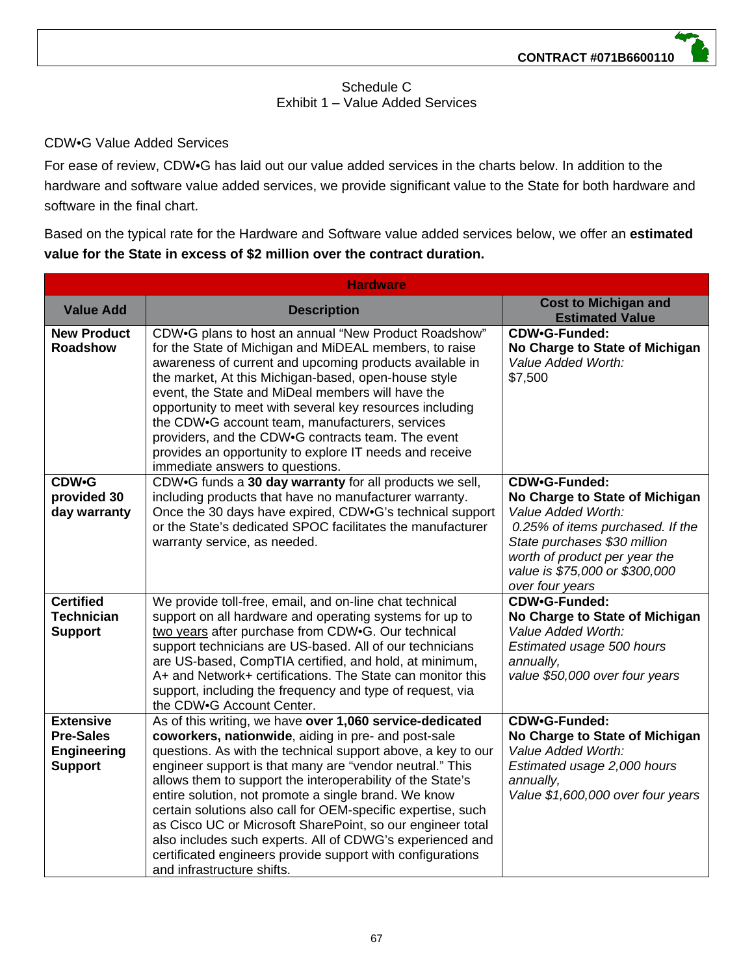# Schedule C Exhibit 1 – Value Added Services

# CDW•G Value Added Services

For ease of review, CDW•G has laid out our value added services in the charts below. In addition to the hardware and software value added services, we provide significant value to the State for both hardware and software in the final chart.

Based on the typical rate for the Hardware and Software value added services below, we offer an **estimated value for the State in excess of \$2 million over the contract duration.**

| <b>Hardware</b>                                                              |                                                                                                                                                                                                                                                                                                                                                                                                                                                                                                                                                                                                                                                          |                                                                                                                                                                                                                                 |
|------------------------------------------------------------------------------|----------------------------------------------------------------------------------------------------------------------------------------------------------------------------------------------------------------------------------------------------------------------------------------------------------------------------------------------------------------------------------------------------------------------------------------------------------------------------------------------------------------------------------------------------------------------------------------------------------------------------------------------------------|---------------------------------------------------------------------------------------------------------------------------------------------------------------------------------------------------------------------------------|
| <b>Value Add</b>                                                             | <b>Description</b>                                                                                                                                                                                                                                                                                                                                                                                                                                                                                                                                                                                                                                       | <b>Cost to Michigan and</b><br><b>Estimated Value</b>                                                                                                                                                                           |
| <b>New Product</b><br><b>Roadshow</b>                                        | CDW.G plans to host an annual "New Product Roadshow"<br>for the State of Michigan and MiDEAL members, to raise<br>awareness of current and upcoming products available in<br>the market, At this Michigan-based, open-house style<br>event, the State and MiDeal members will have the<br>opportunity to meet with several key resources including<br>the CDW.G account team, manufacturers, services<br>providers, and the CDW.G contracts team. The event<br>provides an opportunity to explore IT needs and receive<br>immediate answers to questions.                                                                                                | CDW•G-Funded:<br>No Charge to State of Michigan<br>Value Added Worth:<br>\$7,500                                                                                                                                                |
| <b>CDW•G</b><br>provided 30<br>day warranty                                  | CDW.G funds a 30 day warranty for all products we sell,<br>including products that have no manufacturer warranty.<br>Once the 30 days have expired, CDW.G's technical support<br>or the State's dedicated SPOC facilitates the manufacturer<br>warranty service, as needed.                                                                                                                                                                                                                                                                                                                                                                              | CDW.G-Funded:<br>No Charge to State of Michigan<br>Value Added Worth:<br>0.25% of items purchased. If the<br>State purchases \$30 million<br>worth of product per year the<br>value is \$75,000 or \$300,000<br>over four years |
| <b>Certified</b><br><b>Technician</b><br><b>Support</b>                      | We provide toll-free, email, and on-line chat technical<br>support on all hardware and operating systems for up to<br>two years after purchase from CDW.G. Our technical<br>support technicians are US-based. All of our technicians<br>are US-based, CompTIA certified, and hold, at minimum,<br>A+ and Network+ certifications. The State can monitor this<br>support, including the frequency and type of request, via<br>the CDW.G Account Center.                                                                                                                                                                                                   | CDW•G-Funded:<br>No Charge to State of Michigan<br>Value Added Worth:<br>Estimated usage 500 hours<br>annually,<br>value \$50,000 over four years                                                                               |
| <b>Extensive</b><br><b>Pre-Sales</b><br><b>Engineering</b><br><b>Support</b> | As of this writing, we have over 1,060 service-dedicated<br>coworkers, nationwide, aiding in pre- and post-sale<br>questions. As with the technical support above, a key to our<br>engineer support is that many are "vendor neutral." This<br>allows them to support the interoperability of the State's<br>entire solution, not promote a single brand. We know<br>certain solutions also call for OEM-specific expertise, such<br>as Cisco UC or Microsoft SharePoint, so our engineer total<br>also includes such experts. All of CDWG's experienced and<br>certificated engineers provide support with configurations<br>and infrastructure shifts. | CDW•G-Funded:<br>No Charge to State of Michigan<br>Value Added Worth:<br>Estimated usage 2,000 hours<br>annually,<br>Value \$1,600,000 over four years                                                                          |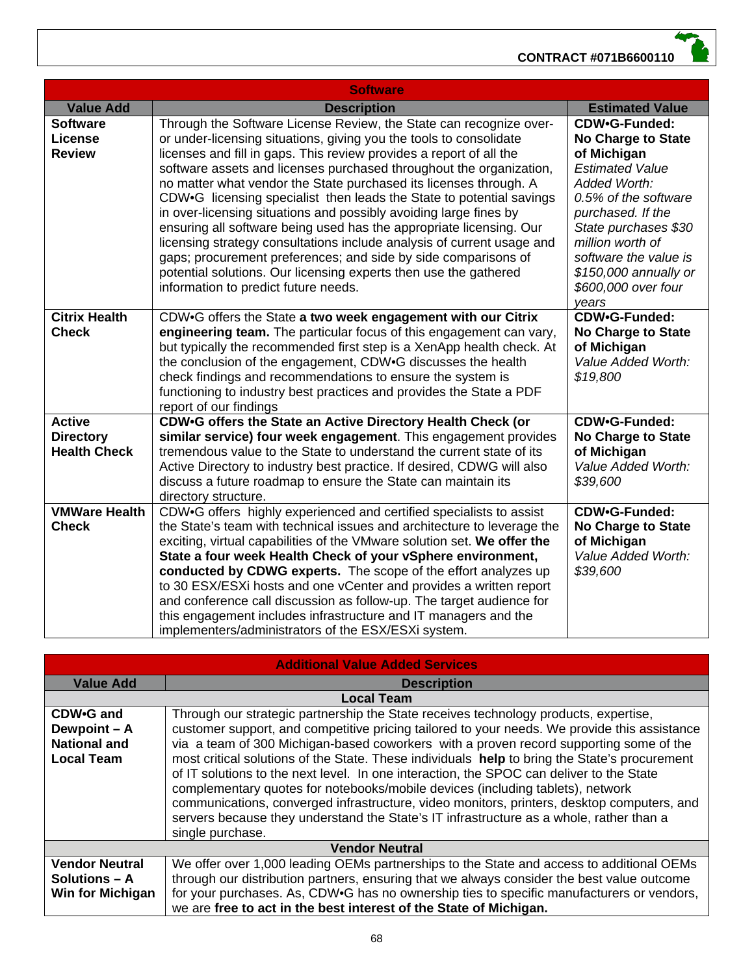

| <b>Software</b>                                          |                                                                                                                                                                                                                                                                                                                                                                                                                                                                                                                                                                                                                                                                                                                                                                                                                                         |                                                                                                                                                                                                                                                                                |
|----------------------------------------------------------|-----------------------------------------------------------------------------------------------------------------------------------------------------------------------------------------------------------------------------------------------------------------------------------------------------------------------------------------------------------------------------------------------------------------------------------------------------------------------------------------------------------------------------------------------------------------------------------------------------------------------------------------------------------------------------------------------------------------------------------------------------------------------------------------------------------------------------------------|--------------------------------------------------------------------------------------------------------------------------------------------------------------------------------------------------------------------------------------------------------------------------------|
| <b>Value Add</b>                                         | <b>Description</b>                                                                                                                                                                                                                                                                                                                                                                                                                                                                                                                                                                                                                                                                                                                                                                                                                      | <b>Estimated Value</b>                                                                                                                                                                                                                                                         |
| <b>Software</b><br><b>License</b><br><b>Review</b>       | Through the Software License Review, the State can recognize over-<br>or under-licensing situations, giving you the tools to consolidate<br>licenses and fill in gaps. This review provides a report of all the<br>software assets and licenses purchased throughout the organization,<br>no matter what vendor the State purchased its licenses through. A<br>CDW.G licensing specialist then leads the State to potential savings<br>in over-licensing situations and possibly avoiding large fines by<br>ensuring all software being used has the appropriate licensing. Our<br>licensing strategy consultations include analysis of current usage and<br>gaps; procurement preferences; and side by side comparisons of<br>potential solutions. Our licensing experts then use the gathered<br>information to predict future needs. | CDW•G-Funded:<br><b>No Charge to State</b><br>of Michigan<br><b>Estimated Value</b><br>Added Worth:<br>0.5% of the software<br>purchased. If the<br>State purchases \$30<br>million worth of<br>software the value is<br>\$150,000 annually or<br>\$600,000 over four<br>years |
| <b>Citrix Health</b><br><b>Check</b>                     | CDW.G offers the State a two week engagement with our Citrix<br>engineering team. The particular focus of this engagement can vary,<br>but typically the recommended first step is a XenApp health check. At<br>the conclusion of the engagement, CDW.G discusses the health<br>check findings and recommendations to ensure the system is<br>functioning to industry best practices and provides the State a PDF<br>report of our findings                                                                                                                                                                                                                                                                                                                                                                                             | CDW.G-Funded:<br><b>No Charge to State</b><br>of Michigan<br>Value Added Worth:<br>\$19,800                                                                                                                                                                                    |
| <b>Active</b><br><b>Directory</b><br><b>Health Check</b> | CDW.G offers the State an Active Directory Health Check (or<br>similar service) four week engagement. This engagement provides<br>tremendous value to the State to understand the current state of its<br>Active Directory to industry best practice. If desired, CDWG will also<br>discuss a future roadmap to ensure the State can maintain its<br>directory structure.                                                                                                                                                                                                                                                                                                                                                                                                                                                               | CDW•G-Funded:<br><b>No Charge to State</b><br>of Michigan<br>Value Added Worth:<br>\$39,600                                                                                                                                                                                    |
| <b>VMWare Health</b><br><b>Check</b>                     | CDW.G offers highly experienced and certified specialists to assist<br>the State's team with technical issues and architecture to leverage the<br>exciting, virtual capabilities of the VMware solution set. We offer the<br>State a four week Health Check of your vSphere environment,<br>conducted by CDWG experts. The scope of the effort analyzes up<br>to 30 ESX/ESXi hosts and one vCenter and provides a written report<br>and conference call discussion as follow-up. The target audience for<br>this engagement includes infrastructure and IT managers and the<br>implementers/administrators of the ESX/ESXi system.                                                                                                                                                                                                      | CDW•G-Funded:<br><b>No Charge to State</b><br>of Michigan<br>Value Added Worth:<br>\$39,600                                                                                                                                                                                    |

| <b>Additional Value Added Services</b> |                                                                                                                                                                                                                                                                                                                                                                                                                                                                                          |  |
|----------------------------------------|------------------------------------------------------------------------------------------------------------------------------------------------------------------------------------------------------------------------------------------------------------------------------------------------------------------------------------------------------------------------------------------------------------------------------------------------------------------------------------------|--|
| <b>Value Add</b>                       | <b>Description</b>                                                                                                                                                                                                                                                                                                                                                                                                                                                                       |  |
| <b>Local Team</b>                      |                                                                                                                                                                                                                                                                                                                                                                                                                                                                                          |  |
| CDW.G and                              | Through our strategic partnership the State receives technology products, expertise,                                                                                                                                                                                                                                                                                                                                                                                                     |  |
| Dewpoint - A                           | customer support, and competitive pricing tailored to your needs. We provide this assistance                                                                                                                                                                                                                                                                                                                                                                                             |  |
| <b>National and</b>                    | via a team of 300 Michigan-based coworkers with a proven record supporting some of the                                                                                                                                                                                                                                                                                                                                                                                                   |  |
| <b>Local Team</b>                      | most critical solutions of the State. These individuals help to bring the State's procurement<br>of IT solutions to the next level. In one interaction, the SPOC can deliver to the State<br>complementary quotes for notebooks/mobile devices (including tablets), network<br>communications, converged infrastructure, video monitors, printers, desktop computers, and<br>servers because they understand the State's IT infrastructure as a whole, rather than a<br>single purchase. |  |
| <b>Vendor Neutral</b>                  |                                                                                                                                                                                                                                                                                                                                                                                                                                                                                          |  |
| <b>Vendor Neutral</b>                  | We offer over 1,000 leading OEMs partnerships to the State and access to additional OEMs                                                                                                                                                                                                                                                                                                                                                                                                 |  |
| Solutions $-$ A                        | through our distribution partners, ensuring that we always consider the best value outcome                                                                                                                                                                                                                                                                                                                                                                                               |  |
| Win for Michigan                       | for your purchases. As, CDW.G has no ownership ties to specific manufacturers or vendors,                                                                                                                                                                                                                                                                                                                                                                                                |  |
|                                        | we are free to act in the best interest of the State of Michigan.                                                                                                                                                                                                                                                                                                                                                                                                                        |  |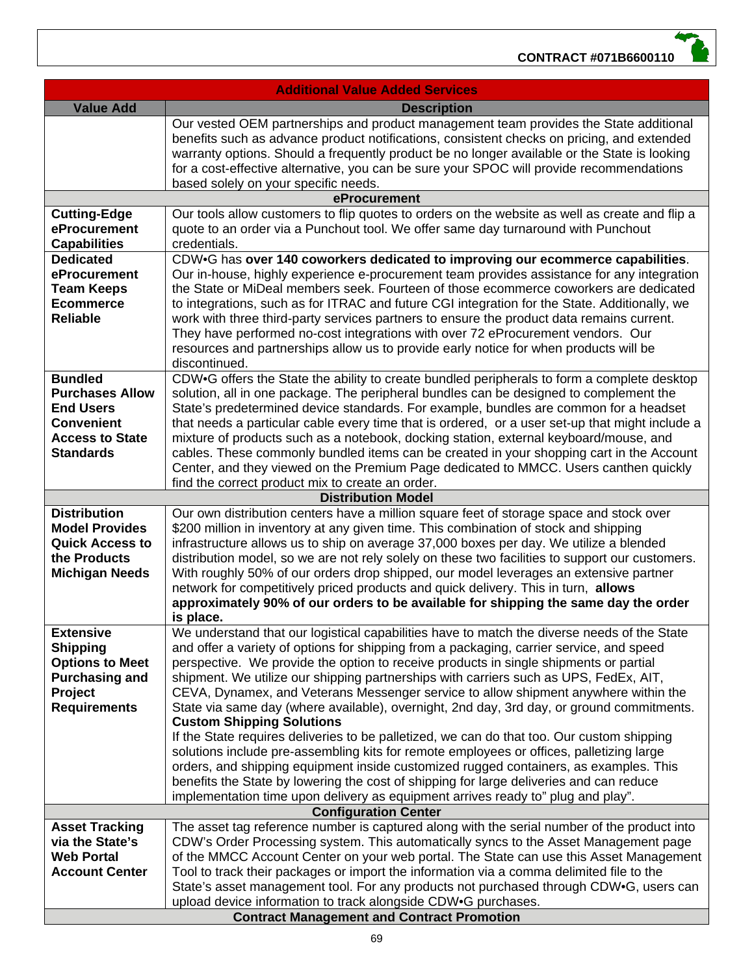| <b>Additional Value Added Services</b>            |                                                                                                                                                                                     |  |
|---------------------------------------------------|-------------------------------------------------------------------------------------------------------------------------------------------------------------------------------------|--|
| <b>Value Add</b>                                  | <b>Description</b>                                                                                                                                                                  |  |
|                                                   | Our vested OEM partnerships and product management team provides the State additional                                                                                               |  |
|                                                   | benefits such as advance product notifications, consistent checks on pricing, and extended                                                                                          |  |
|                                                   | warranty options. Should a frequently product be no longer available or the State is looking                                                                                        |  |
|                                                   | for a cost-effective alternative, you can be sure your SPOC will provide recommendations                                                                                            |  |
|                                                   | based solely on your specific needs.                                                                                                                                                |  |
|                                                   | eProcurement                                                                                                                                                                        |  |
| <b>Cutting-Edge</b><br>eProcurement               | Our tools allow customers to flip quotes to orders on the website as well as create and flip a                                                                                      |  |
| <b>Capabilities</b>                               | quote to an order via a Punchout tool. We offer same day turnaround with Punchout<br>credentials.                                                                                   |  |
| <b>Dedicated</b>                                  | CDW.G has over 140 coworkers dedicated to improving our ecommerce capabilities.                                                                                                     |  |
| eProcurement                                      | Our in-house, highly experience e-procurement team provides assistance for any integration                                                                                          |  |
| <b>Team Keeps</b>                                 | the State or MiDeal members seek. Fourteen of those ecommerce coworkers are dedicated                                                                                               |  |
| <b>Ecommerce</b>                                  | to integrations, such as for ITRAC and future CGI integration for the State. Additionally, we                                                                                       |  |
| <b>Reliable</b>                                   | work with three third-party services partners to ensure the product data remains current.                                                                                           |  |
|                                                   | They have performed no-cost integrations with over 72 eProcurement vendors. Our                                                                                                     |  |
|                                                   | resources and partnerships allow us to provide early notice for when products will be                                                                                               |  |
|                                                   | discontinued.                                                                                                                                                                       |  |
| <b>Bundled</b>                                    | CDW.G offers the State the ability to create bundled peripherals to form a complete desktop                                                                                         |  |
| <b>Purchases Allow</b>                            | solution, all in one package. The peripheral bundles can be designed to complement the                                                                                              |  |
| <b>End Users</b>                                  | State's predetermined device standards. For example, bundles are common for a headset                                                                                               |  |
| <b>Convenient</b>                                 | that needs a particular cable every time that is ordered, or a user set-up that might include a                                                                                     |  |
| <b>Access to State</b><br><b>Standards</b>        | mixture of products such as a notebook, docking station, external keyboard/mouse, and<br>cables. These commonly bundled items can be created in your shopping cart in the Account   |  |
|                                                   | Center, and they viewed on the Premium Page dedicated to MMCC. Users canthen quickly                                                                                                |  |
|                                                   | find the correct product mix to create an order.                                                                                                                                    |  |
|                                                   | <b>Distribution Model</b>                                                                                                                                                           |  |
| <b>Distribution</b>                               | Our own distribution centers have a million square feet of storage space and stock over                                                                                             |  |
| <b>Model Provides</b>                             | \$200 million in inventory at any given time. This combination of stock and shipping                                                                                                |  |
| <b>Quick Access to</b>                            | infrastructure allows us to ship on average 37,000 boxes per day. We utilize a blended                                                                                              |  |
| the Products                                      | distribution model, so we are not rely solely on these two facilities to support our customers.                                                                                     |  |
| <b>Michigan Needs</b>                             | With roughly 50% of our orders drop shipped, our model leverages an extensive partner                                                                                               |  |
|                                                   | network for competitively priced products and quick delivery. This in turn, allows                                                                                                  |  |
|                                                   | approximately 90% of our orders to be available for shipping the same day the order                                                                                                 |  |
| <b>Extensive</b>                                  | is place.<br>We understand that our logistical capabilities have to match the diverse needs of the State                                                                            |  |
| <b>Shipping</b>                                   | and offer a variety of options for shipping from a packaging, carrier service, and speed                                                                                            |  |
| <b>Options to Meet</b>                            | perspective. We provide the option to receive products in single shipments or partial                                                                                               |  |
| <b>Purchasing and</b>                             | shipment. We utilize our shipping partnerships with carriers such as UPS, FedEx, AIT,                                                                                               |  |
| Project                                           | CEVA, Dynamex, and Veterans Messenger service to allow shipment anywhere within the                                                                                                 |  |
| <b>Requirements</b>                               | State via same day (where available), overnight, 2nd day, 3rd day, or ground commitments.                                                                                           |  |
|                                                   | <b>Custom Shipping Solutions</b>                                                                                                                                                    |  |
|                                                   | If the State requires deliveries to be palletized, we can do that too. Our custom shipping                                                                                          |  |
|                                                   | solutions include pre-assembling kits for remote employees or offices, palletizing large                                                                                            |  |
|                                                   | orders, and shipping equipment inside customized rugged containers, as examples. This                                                                                               |  |
|                                                   | benefits the State by lowering the cost of shipping for large deliveries and can reduce                                                                                             |  |
|                                                   | implementation time upon delivery as equipment arrives ready to" plug and play".                                                                                                    |  |
|                                                   | <b>Configuration Center</b>                                                                                                                                                         |  |
| <b>Asset Tracking</b><br>via the State's          | The asset tag reference number is captured along with the serial number of the product into<br>CDW's Order Processing system. This automatically syncs to the Asset Management page |  |
| <b>Web Portal</b>                                 | of the MMCC Account Center on your web portal. The State can use this Asset Management                                                                                              |  |
| <b>Account Center</b>                             | Tool to track their packages or import the information via a comma delimited file to the                                                                                            |  |
|                                                   | State's asset management tool. For any products not purchased through CDW•G, users can                                                                                              |  |
|                                                   | upload device information to track alongside CDW.G purchases.                                                                                                                       |  |
| <b>Contract Management and Contract Promotion</b> |                                                                                                                                                                                     |  |